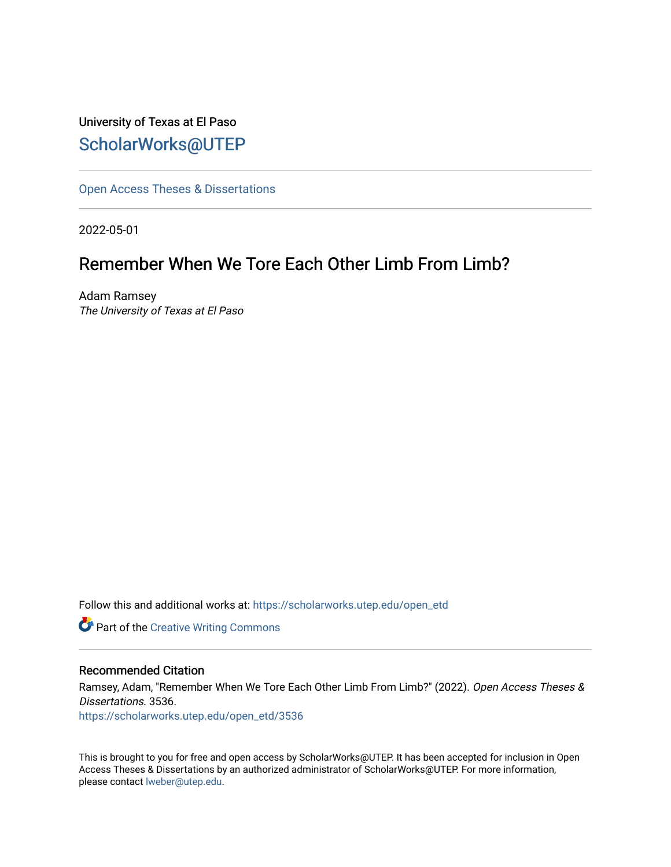University of Texas at El Paso [ScholarWorks@UTEP](https://scholarworks.utep.edu/)

[Open Access Theses & Dissertations](https://scholarworks.utep.edu/open_etd) 

2022-05-01

# Remember When We Tore Each Other Limb From Limb?

Adam Ramsey The University of Texas at El Paso

Follow this and additional works at: [https://scholarworks.utep.edu/open\\_etd](https://scholarworks.utep.edu/open_etd?utm_source=scholarworks.utep.edu%2Fopen_etd%2F3536&utm_medium=PDF&utm_campaign=PDFCoverPages)

**Part of the Creative Writing Commons** 

### Recommended Citation

Ramsey, Adam, "Remember When We Tore Each Other Limb From Limb?" (2022). Open Access Theses & Dissertations. 3536.

[https://scholarworks.utep.edu/open\\_etd/3536](https://scholarworks.utep.edu/open_etd/3536?utm_source=scholarworks.utep.edu%2Fopen_etd%2F3536&utm_medium=PDF&utm_campaign=PDFCoverPages) 

This is brought to you for free and open access by ScholarWorks@UTEP. It has been accepted for inclusion in Open Access Theses & Dissertations by an authorized administrator of ScholarWorks@UTEP. For more information, please contact [lweber@utep.edu.](mailto:lweber@utep.edu)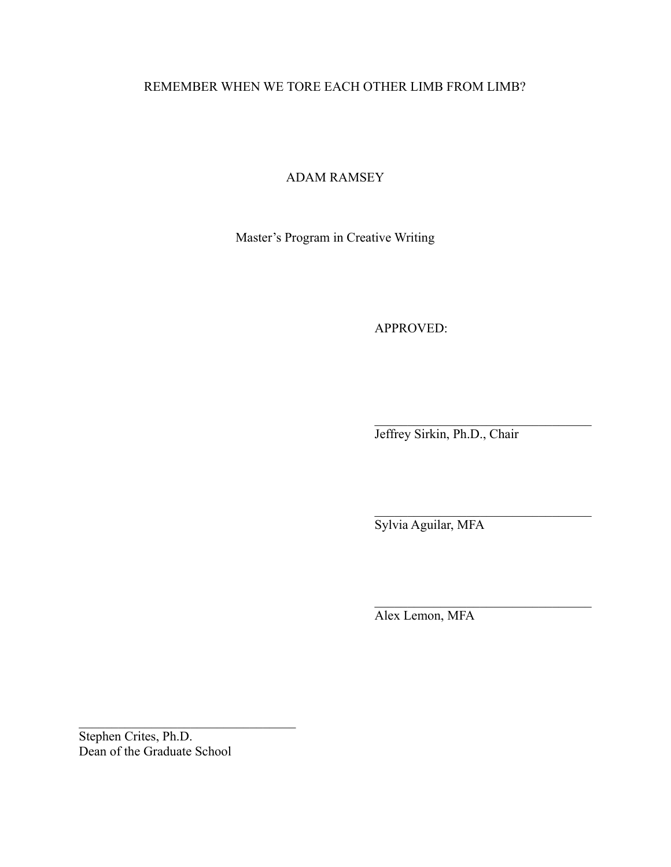# REMEMBER WHEN WE TORE EACH OTHER LIMB FROM LIMB?

# ADAM RAMSEY

Master's Program in Creative Writing

APPROVED:

Jeffrey Sirkin, Ph.D., Chair

 $\mathcal{L}_\text{max}$  , where  $\mathcal{L}_\text{max}$  and  $\mathcal{L}_\text{max}$  and  $\mathcal{L}_\text{max}$ 

 $\mathcal{L}_\text{max}$  , where  $\mathcal{L}_\text{max}$  and  $\mathcal{L}_\text{max}$  and  $\mathcal{L}_\text{max}$ 

 $\mathcal{L}_\text{max}$  , where  $\mathcal{L}_\text{max}$  and  $\mathcal{L}_\text{max}$  and  $\mathcal{L}_\text{max}$ 

Sylvia Aguilar, MFA

Alex Lemon, MFA

Stephen Crites, Ph.D. Dean of the Graduate School

 $\mathcal{L}_\text{max}$  , where  $\mathcal{L}_\text{max}$  and  $\mathcal{L}_\text{max}$  and  $\mathcal{L}_\text{max}$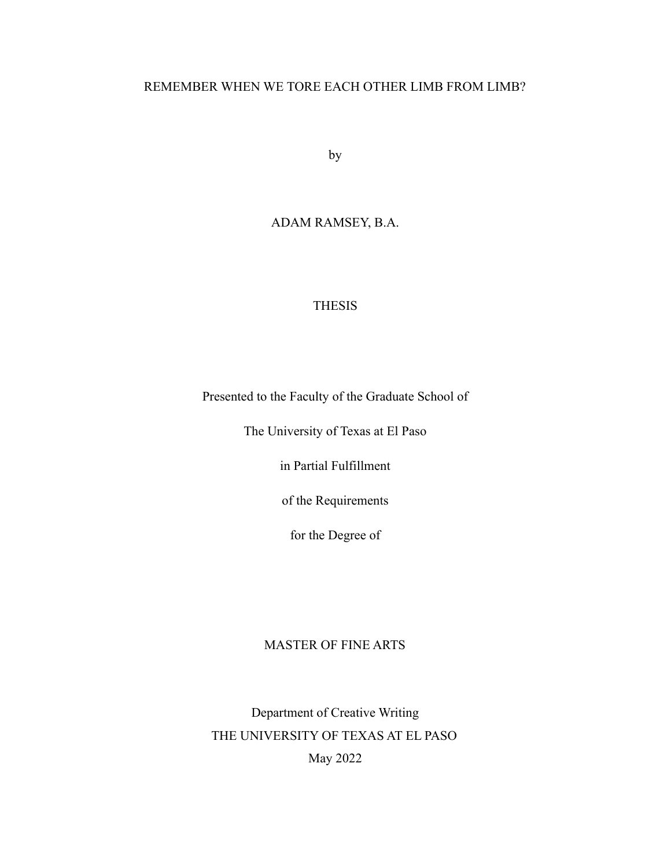# REMEMBER WHEN WE TORE EACH OTHER LIMB FROM LIMB?

by

# ADAM RAMSEY, B.A.

# THESIS

Presented to the Faculty of the Graduate School of

The University of Texas at El Paso

in Partial Fulfillment

of the Requirements

for the Degree of

# MASTER OF FINE ARTS

Department of Creative Writing THE UNIVERSITY OF TEXAS AT EL PASO May 2022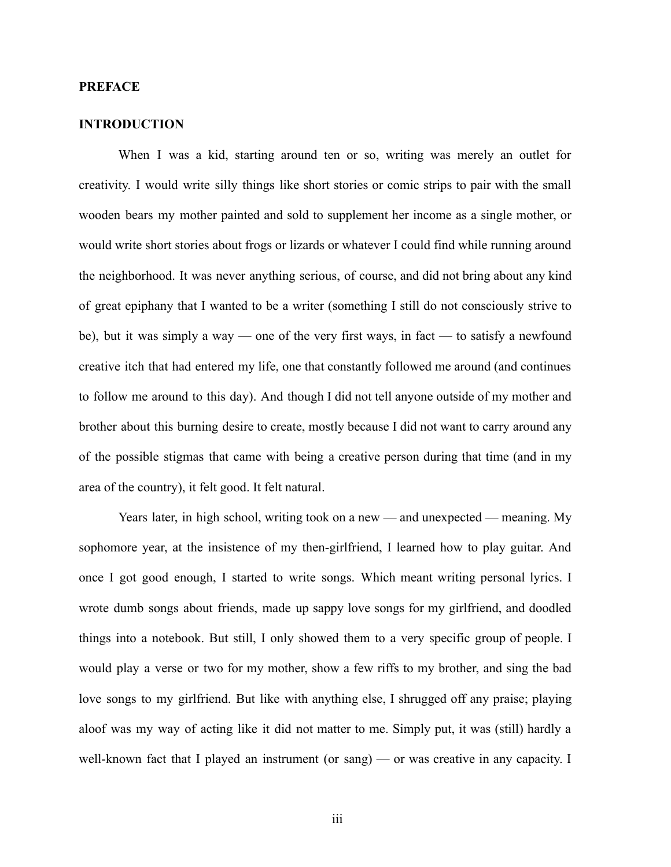# **PREFACE**

# **INTRODUCTION**

When I was a kid, starting around ten or so, writing was merely an outlet for creativity. I would write silly things like short stories or comic strips to pair with the small wooden bears my mother painted and sold to supplement her income as a single mother, or would write short stories about frogs or lizards or whatever I could find while running around the neighborhood. It was never anything serious, of course, and did not bring about any kind of great epiphany that I wanted to be a writer (something I still do not consciously strive to be), but it was simply a way — one of the very first ways, in fact — to satisfy a newfound creative itch that had entered my life, one that constantly followed me around (and continues to follow me around to this day). And though I did not tell anyone outside of my mother and brother about this burning desire to create, mostly because I did not want to carry around any of the possible stigmas that came with being a creative person during that time (and in my area of the country), it felt good. It felt natural.

Years later, in high school, writing took on a new — and unexpected — meaning. My sophomore year, at the insistence of my then-girlfriend, I learned how to play guitar. And once I got good enough, I started to write songs. Which meant writing personal lyrics. I wrote dumb songs about friends, made up sappy love songs for my girlfriend, and doodled things into a notebook. But still, I only showed them to a very specific group of people. I would play a verse or two for my mother, show a few riffs to my brother, and sing the bad love songs to my girlfriend. But like with anything else, I shrugged off any praise; playing aloof was my way of acting like it did not matter to me. Simply put, it was (still) hardly a well-known fact that I played an instrument (or sang) — or was creative in any capacity. I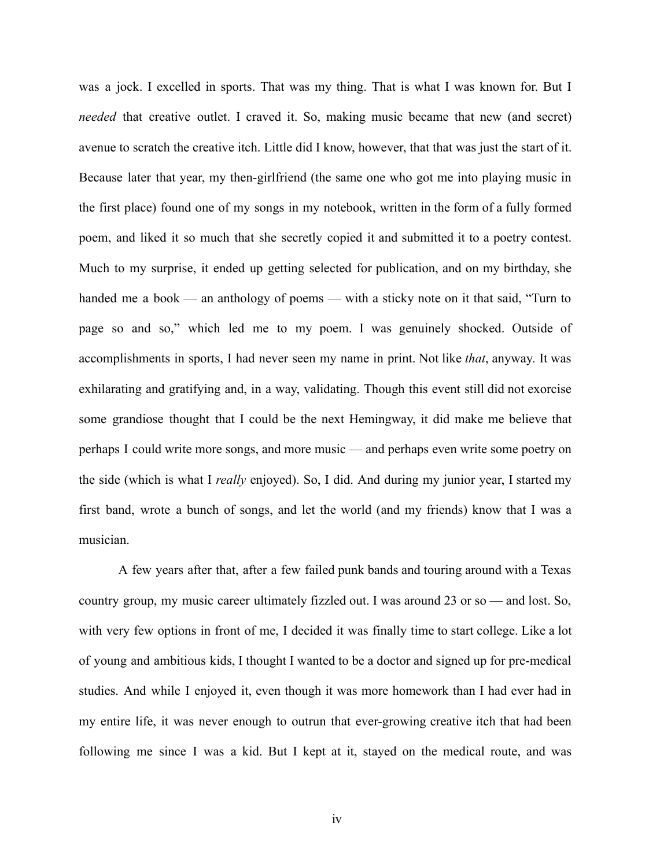was a jock. I excelled in sports. That was my thing. That is what I was known for. But I *needed* that creative outlet. I craved it. So, making music became that new (and secret) avenue to scratch the creative itch. Little did I know, however, that that was just the start of it. Because later that year, my then-girlfriend (the same one who got me into playing music in the first place) found one of my songs in my notebook, written in the form of a fully formed poem, and liked it so much that she secretly copied it and submitted it to a poetry contest. Much to my surprise, it ended up getting selected for publication, and on my birthday, she handed me a book — an anthology of poems — with a sticky note on it that said, "Turn to page so and so," which led me to my poem. I was genuinely shocked. Outside of accomplishments in sports, I had never seen my name in print. Not like *that*, anyway*.* It was exhilarating and gratifying and, in a way, validating. Though this event still did not exorcise some grandiose thought that I could be the next Hemingway, it did make me believe that perhaps I could write more songs, and more music — and perhaps even write some poetry on the side (which is what I *really* enjoyed). So, I did. And during my junior year, I started my first band, wrote a bunch of songs, and let the world (and my friends) know that I was a musician.

A few years after that, after a few failed punk bands and touring around with a Texas country group, my music career ultimately fizzled out. I was around 23 or so — and lost. So, with very few options in front of me, I decided it was finally time to start college. Like a lot of young and ambitious kids, I thought I wanted to be a doctor and signed up for pre-medical studies. And while I enjoyed it, even though it was more homework than I had ever had in my entire life, it was never enough to outrun that ever-growing creative itch that had been following me since I was a kid. But I kept at it, stayed on the medical route, and was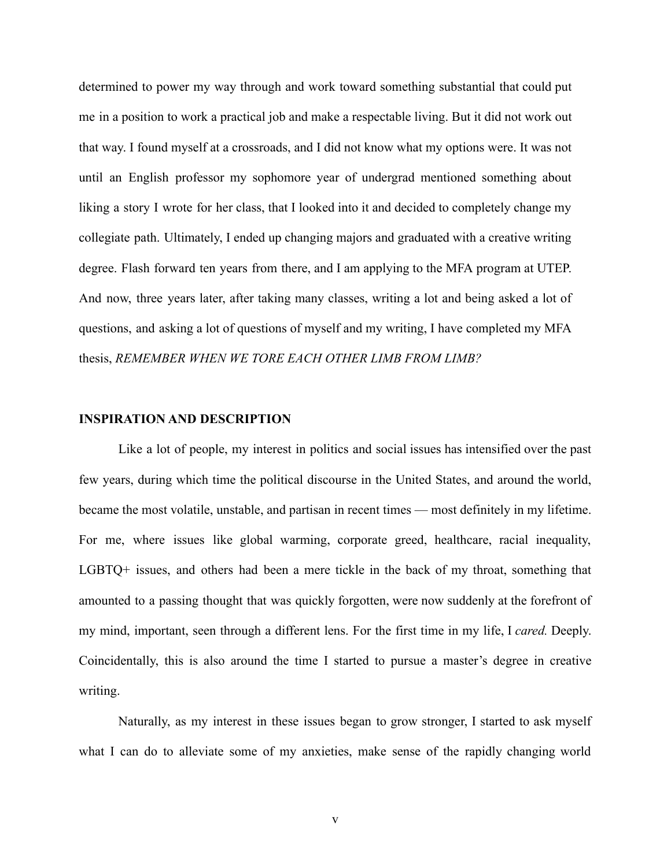determined to power my way through and work toward something substantial that could put me in a position to work a practical job and make a respectable living. But it did not work out that way. I found myself at a crossroads, and I did not know what my options were. It was not until an English professor my sophomore year of undergrad mentioned something about liking a story I wrote for her class, that I looked into it and decided to completely change my collegiate path. Ultimately, I ended up changing majors and graduated with a creative writing degree. Flash forward ten years from there, and I am applying to the MFA program at UTEP. And now, three years later, after taking many classes, writing a lot and being asked a lot of questions, and asking a lot of questions of myself and my writing, I have completed my MFA thesis, *REMEMBER WHEN WE TORE EACH OTHER LIMB FROM LIMB?*

### **INSPIRATION AND DESCRIPTION**

Like a lot of people, my interest in politics and social issues has intensified over the past few years, during which time the political discourse in the United States, and around the world, became the most volatile, unstable, and partisan in recent times — most definitely in my lifetime. For me, where issues like global warming, corporate greed, healthcare, racial inequality, LGBTQ+ issues, and others had been a mere tickle in the back of my throat, something that amounted to a passing thought that was quickly forgotten, were now suddenly at the forefront of my mind, important, seen through a different lens. For the first time in my life, I *cared.* Deeply. Coincidentally, this is also around the time I started to pursue a master's degree in creative writing.

Naturally, as my interest in these issues began to grow stronger, I started to ask myself what I can do to alleviate some of my anxieties, make sense of the rapidly changing world

v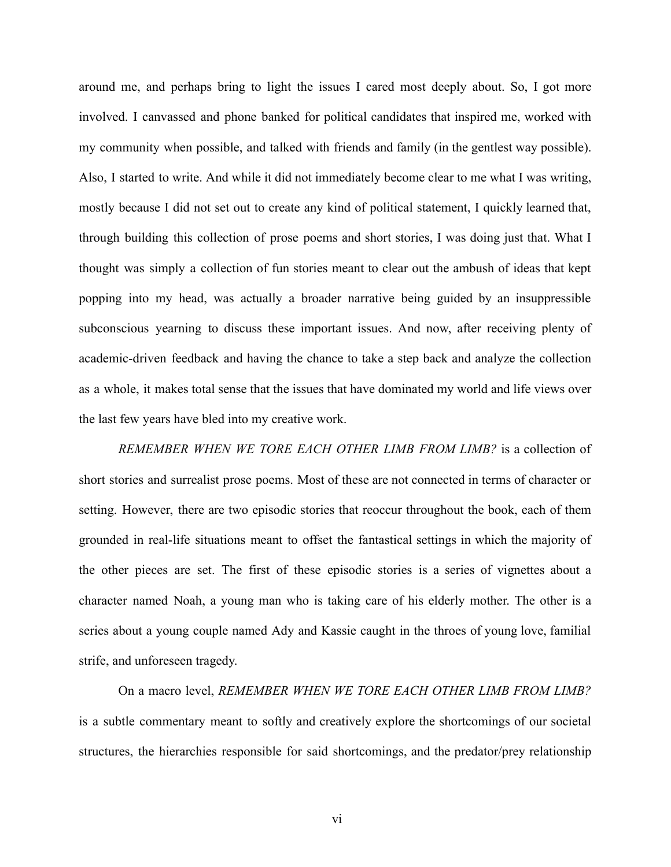around me, and perhaps bring to light the issues I cared most deeply about. So, I got more involved. I canvassed and phone banked for political candidates that inspired me, worked with my community when possible, and talked with friends and family (in the gentlest way possible). Also, I started to write. And while it did not immediately become clear to me what I was writing, mostly because I did not set out to create any kind of political statement, I quickly learned that, through building this collection of prose poems and short stories, I was doing just that. What I thought was simply a collection of fun stories meant to clear out the ambush of ideas that kept popping into my head, was actually a broader narrative being guided by an insuppressible subconscious yearning to discuss these important issues. And now, after receiving plenty of academic-driven feedback and having the chance to take a step back and analyze the collection as a whole, it makes total sense that the issues that have dominated my world and life views over the last few years have bled into my creative work.

*REMEMBER WHEN WE TORE EACH OTHER LIMB FROM LIMB?* is a collection of short stories and surrealist prose poems. Most of these are not connected in terms of character or setting. However, there are two episodic stories that reoccur throughout the book, each of them grounded in real-life situations meant to offset the fantastical settings in which the majority of the other pieces are set. The first of these episodic stories is a series of vignettes about a character named Noah, a young man who is taking care of his elderly mother. The other is a series about a young couple named Ady and Kassie caught in the throes of young love, familial strife, and unforeseen tragedy.

On a macro level, *REMEMBER WHEN WE TORE EACH OTHER LIMB FROM LIMB?* is a subtle commentary meant to softly and creatively explore the shortcomings of our societal structures, the hierarchies responsible for said shortcomings, and the predator/prey relationship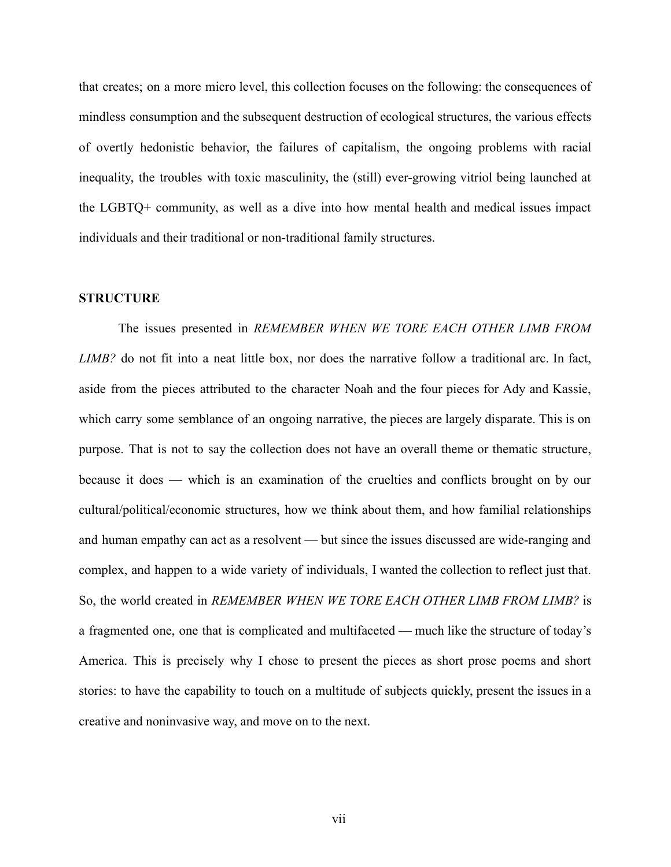that creates; on a more micro level, this collection focuses on the following: the consequences of mindless consumption and the subsequent destruction of ecological structures, the various effects of overtly hedonistic behavior, the failures of capitalism, the ongoing problems with racial inequality, the troubles with toxic masculinity, the (still) ever-growing vitriol being launched at the LGBTQ+ community, as well as a dive into how mental health and medical issues impact individuals and their traditional or non-traditional family structures.

### **STRUCTURE**

The issues presented in *REMEMBER WHEN WE TORE EACH OTHER LIMB FROM LIMB?* do not fit into a neat little box, nor does the narrative follow a traditional arc. In fact, aside from the pieces attributed to the character Noah and the four pieces for Ady and Kassie, which carry some semblance of an ongoing narrative, the pieces are largely disparate. This is on purpose. That is not to say the collection does not have an overall theme or thematic structure, because it does — which is an examination of the cruelties and conflicts brought on by our cultural/political/economic structures, how we think about them, and how familial relationships and human empathy can act as a resolvent — but since the issues discussed are wide-ranging and complex, and happen to a wide variety of individuals, I wanted the collection to reflect just that. So, the world created in *REMEMBER WHEN WE TORE EACH OTHER LIMB FROM LIMB?* is a fragmented one, one that is complicated and multifaceted — much like the structure of today's America. This is precisely why I chose to present the pieces as short prose poems and short stories: to have the capability to touch on a multitude of subjects quickly, present the issues in a creative and noninvasive way, and move on to the next.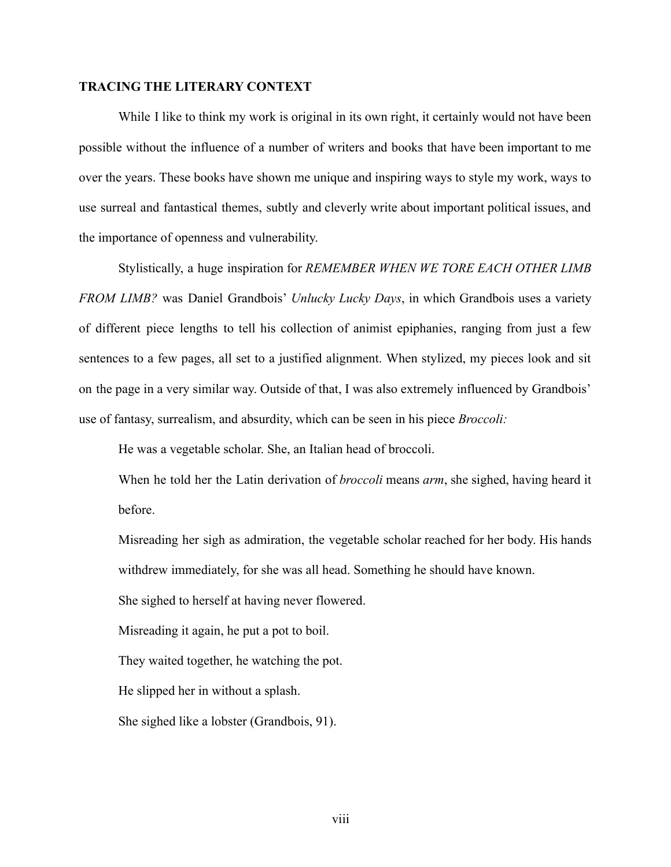# **TRACING THE LITERARY CONTEXT**

While I like to think my work is original in its own right, it certainly would not have been possible without the influence of a number of writers and books that have been important to me over the years. These books have shown me unique and inspiring ways to style my work, ways to use surreal and fantastical themes, subtly and cleverly write about important political issues, and the importance of openness and vulnerability.

Stylistically, a huge inspiration for *REMEMBER WHEN WE TORE EACH OTHER LIMB FROM LIMB?* was Daniel Grandbois' *Unlucky Lucky Days*, in which Grandbois uses a variety of different piece lengths to tell his collection of animist epiphanies, ranging from just a few sentences to a few pages, all set to a justified alignment. When stylized, my pieces look and sit on the page in a very similar way. Outside of that, I was also extremely influenced by Grandbois' use of fantasy, surrealism, and absurdity, which can be seen in his piece *Broccoli:*

He was a vegetable scholar. She, an Italian head of broccoli.

When he told her the Latin derivation of *broccoli* means *arm*, she sighed, having heard it before.

Misreading her sigh as admiration, the vegetable scholar reached for her body. His hands withdrew immediately, for she was all head. Something he should have known.

She sighed to herself at having never flowered.

Misreading it again, he put a pot to boil.

They waited together, he watching the pot.

He slipped her in without a splash.

She sighed like a lobster (Grandbois, 91).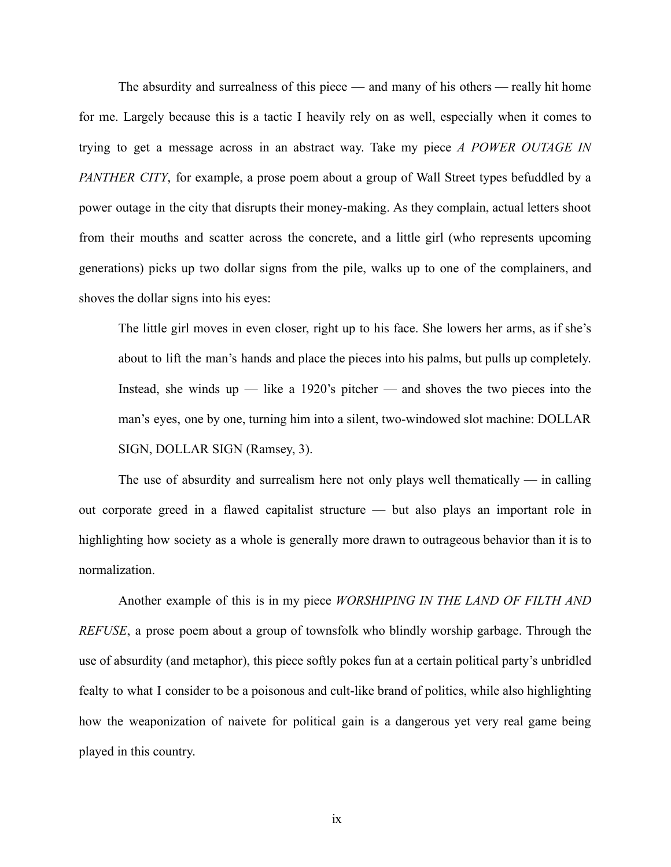The absurdity and surrealness of this piece — and many of his others — really hit home for me. Largely because this is a tactic I heavily rely on as well, especially when it comes to trying to get a message across in an abstract way. Take my piece *A POWER OUTAGE IN PANTHER CITY*, for example, a prose poem about a group of Wall Street types befuddled by a power outage in the city that disrupts their money-making. As they complain, actual letters shoot from their mouths and scatter across the concrete, and a little girl (who represents upcoming generations) picks up two dollar signs from the pile, walks up to one of the complainers, and shoves the dollar signs into his eyes:

The little girl moves in even closer, right up to his face. She lowers her arms, as if she's about to lift the man's hands and place the pieces into his palms, but pulls up completely. Instead, she winds up — like a 1920's pitcher — and shoves the two pieces into the man's eyes, one by one, turning him into a silent, two-windowed slot machine: DOLLAR SIGN, DOLLAR SIGN (Ramsey, 3).

The use of absurdity and surrealism here not only plays well thematically  $-$  in calling out corporate greed in a flawed capitalist structure — but also plays an important role in highlighting how society as a whole is generally more drawn to outrageous behavior than it is to normalization.

Another example of this is in my piece *WORSHIPING IN THE LAND OF FILTH AND REFUSE*, a prose poem about a group of townsfolk who blindly worship garbage. Through the use of absurdity (and metaphor), this piece softly pokes fun at a certain political party's unbridled fealty to what I consider to be a poisonous and cult-like brand of politics, while also highlighting how the weaponization of naivete for political gain is a dangerous yet very real game being played in this country.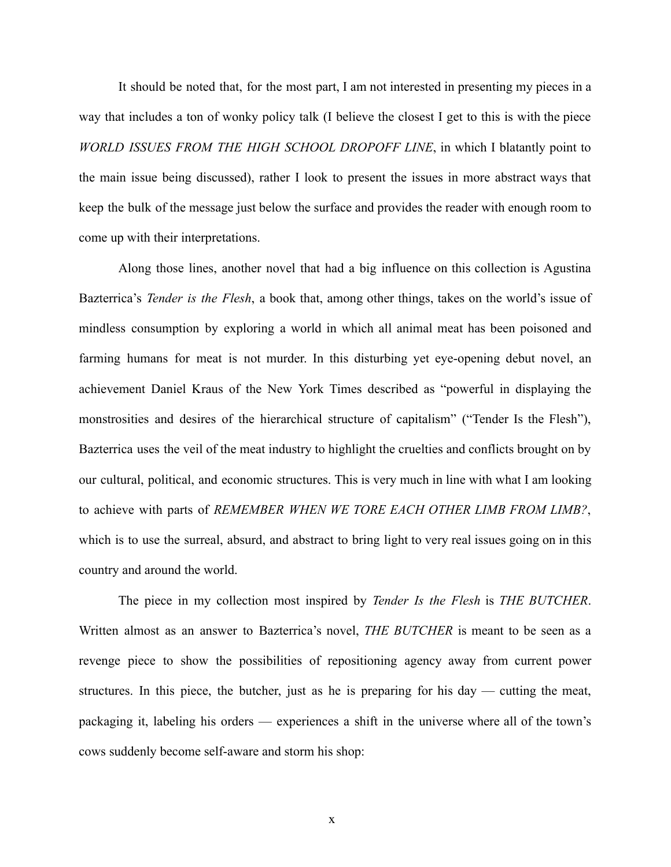It should be noted that, for the most part, I am not interested in presenting my pieces in a way that includes a ton of wonky policy talk (I believe the closest I get to this is with the piece *WORLD ISSUES FROM THE HIGH SCHOOL DROPOFF LINE*, in which I blatantly point to the main issue being discussed), rather I look to present the issues in more abstract ways that keep the bulk of the message just below the surface and provides the reader with enough room to come up with their interpretations.

Along those lines, another novel that had a big influence on this collection is Agustina Bazterrica's *Tender is the Flesh*, a book that, among other things, takes on the world's issue of mindless consumption by exploring a world in which all animal meat has been poisoned and farming humans for meat is not murder. In this disturbing yet eye-opening debut novel, an achievement Daniel Kraus of the New York Times described as "powerful in displaying the monstrosities and desires of the hierarchical structure of capitalism" ("Tender Is the Flesh"), Bazterrica uses the veil of the meat industry to highlight the cruelties and conflicts brought on by our cultural, political, and economic structures. This is very much in line with what I am looking to achieve with parts of *REMEMBER WHEN WE TORE EACH OTHER LIMB FROM LIMB?*, which is to use the surreal, absurd, and abstract to bring light to very real issues going on in this country and around the world.

The piece in my collection most inspired by *Tender Is the Flesh* is *THE BUTCHER*. Written almost as an answer to Bazterrica's novel, *THE BUTCHER* is meant to be seen as a revenge piece to show the possibilities of repositioning agency away from current power structures. In this piece, the butcher, just as he is preparing for his day — cutting the meat, packaging it, labeling his orders — experiences a shift in the universe where all of the town's cows suddenly become self-aware and storm his shop: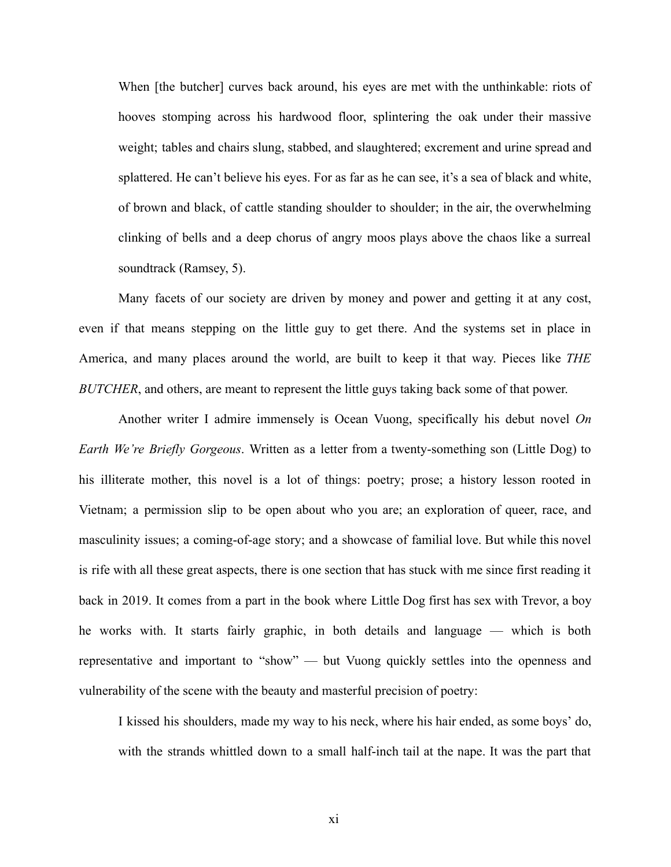When [the butcher] curves back around, his eyes are met with the unthinkable: riots of hooves stomping across his hardwood floor, splintering the oak under their massive weight; tables and chairs slung, stabbed, and slaughtered; excrement and urine spread and splattered. He can't believe his eyes. For as far as he can see, it's a sea of black and white, of brown and black, of cattle standing shoulder to shoulder; in the air, the overwhelming clinking of bells and a deep chorus of angry moos plays above the chaos like a surreal soundtrack (Ramsey, 5).

Many facets of our society are driven by money and power and getting it at any cost, even if that means stepping on the little guy to get there. And the systems set in place in America, and many places around the world, are built to keep it that way. Pieces like *THE BUTCHER*, and others, are meant to represent the little guys taking back some of that power.

Another writer I admire immensely is Ocean Vuong, specifically his debut novel *On Earth We're Briefly Gorgeous*. Written as a letter from a twenty-something son (Little Dog) to his illiterate mother, this novel is a lot of things: poetry; prose; a history lesson rooted in Vietnam; a permission slip to be open about who you are; an exploration of queer, race, and masculinity issues; a coming-of-age story; and a showcase of familial love. But while this novel is rife with all these great aspects, there is one section that has stuck with me since first reading it back in 2019. It comes from a part in the book where Little Dog first has sex with Trevor, a boy he works with. It starts fairly graphic, in both details and language — which is both representative and important to "show" — but Vuong quickly settles into the openness and vulnerability of the scene with the beauty and masterful precision of poetry:

I kissed his shoulders, made my way to his neck, where his hair ended, as some boys' do, with the strands whittled down to a small half-inch tail at the nape. It was the part that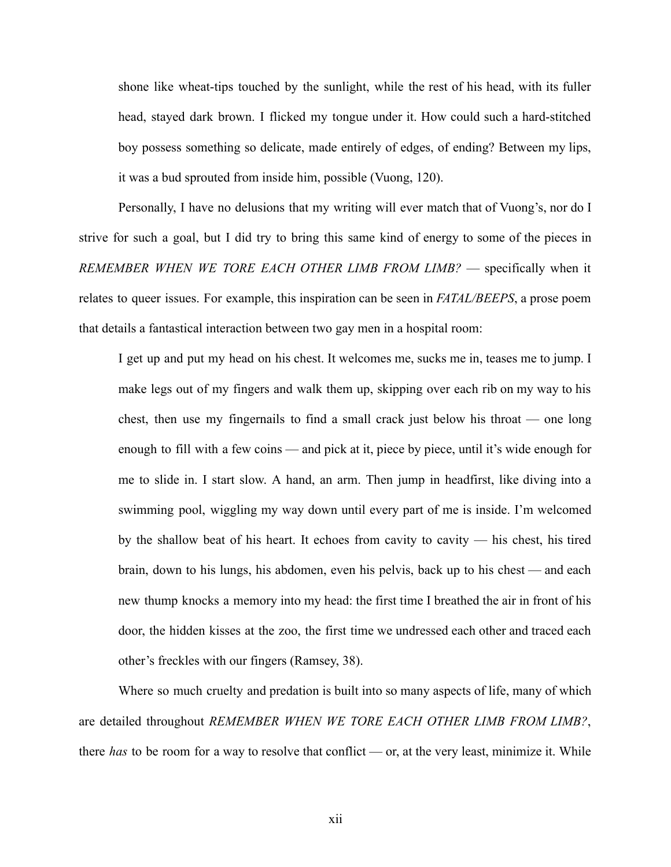shone like wheat-tips touched by the sunlight, while the rest of his head, with its fuller head, stayed dark brown. I flicked my tongue under it. How could such a hard-stitched boy possess something so delicate, made entirely of edges, of ending? Between my lips, it was a bud sprouted from inside him, possible (Vuong, 120).

Personally, I have no delusions that my writing will ever match that of Vuong's, nor do I strive for such a goal, but I did try to bring this same kind of energy to some of the pieces in *REMEMBER WHEN WE TORE EACH OTHER LIMB FROM LIMB?* — specifically when it relates to queer issues. For example, this inspiration can be seen in *FATAL/BEEPS*, a prose poem that details a fantastical interaction between two gay men in a hospital room:

I get up and put my head on his chest. It welcomes me, sucks me in, teases me to jump. I make legs out of my fingers and walk them up, skipping over each rib on my way to his chest, then use my fingernails to find a small crack just below his throat — one long enough to fill with a few coins — and pick at it, piece by piece, until it's wide enough for me to slide in. I start slow. A hand, an arm. Then jump in headfirst, like diving into a swimming pool, wiggling my way down until every part of me is inside. I'm welcomed by the shallow beat of his heart. It echoes from cavity to cavity — his chest, his tired brain, down to his lungs, his abdomen, even his pelvis, back up to his chest — and each new thump knocks a memory into my head: the first time I breathed the air in front of his door, the hidden kisses at the zoo, the first time we undressed each other and traced each other's freckles with our fingers (Ramsey, 38).

Where so much cruelty and predation is built into so many aspects of life, many of which are detailed throughout *REMEMBER WHEN WE TORE EACH OTHER LIMB FROM LIMB?*, there *has* to be room for a way to resolve that conflict — or, at the very least, minimize it. While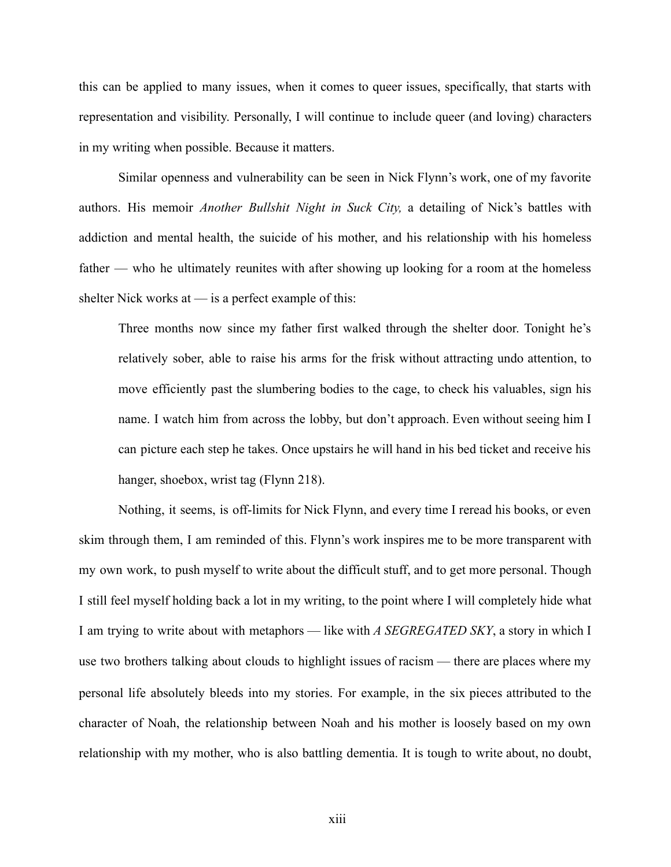this can be applied to many issues, when it comes to queer issues, specifically, that starts with representation and visibility. Personally, I will continue to include queer (and loving) characters in my writing when possible. Because it matters.

Similar openness and vulnerability can be seen in Nick Flynn's work, one of my favorite authors. His memoir *Another Bullshit Night in Suck City,* a detailing of Nick's battles with addiction and mental health, the suicide of his mother, and his relationship with his homeless father — who he ultimately reunites with after showing up looking for a room at the homeless shelter Nick works at  $-$  is a perfect example of this:

Three months now since my father first walked through the shelter door. Tonight he's relatively sober, able to raise his arms for the frisk without attracting undo attention, to move efficiently past the slumbering bodies to the cage, to check his valuables, sign his name. I watch him from across the lobby, but don't approach. Even without seeing him I can picture each step he takes. Once upstairs he will hand in his bed ticket and receive his hanger, shoebox, wrist tag (Flynn 218).

Nothing, it seems, is off-limits for Nick Flynn, and every time I reread his books, or even skim through them, I am reminded of this. Flynn's work inspires me to be more transparent with my own work, to push myself to write about the difficult stuff, and to get more personal. Though I still feel myself holding back a lot in my writing, to the point where I will completely hide what I am trying to write about with metaphors — like with *A SEGREGATED SKY*, a story in which I use two brothers talking about clouds to highlight issues of racism — there are places where my personal life absolutely bleeds into my stories. For example, in the six pieces attributed to the character of Noah, the relationship between Noah and his mother is loosely based on my own relationship with my mother, who is also battling dementia. It is tough to write about, no doubt,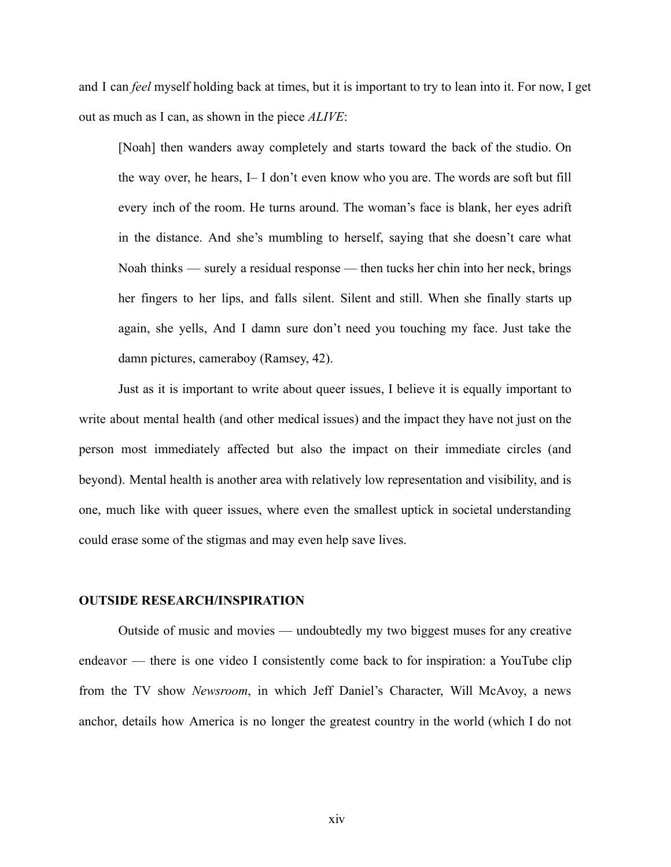and I can *feel* myself holding back at times, but it is important to try to lean into it. For now, I get out as much as I can, as shown in the piece *ALIVE*:

[Noah] then wanders away completely and starts toward the back of the studio. On the way over, he hears, I– I don't even know who you are. The words are soft but fill every inch of the room. He turns around. The woman's face is blank, her eyes adrift in the distance. And she's mumbling to herself, saying that she doesn't care what Noah thinks — surely a residual response — then tucks her chin into her neck, brings her fingers to her lips, and falls silent. Silent and still. When she finally starts up again, she yells, And I damn sure don't need you touching my face. Just take the damn pictures, cameraboy (Ramsey, 42).

Just as it is important to write about queer issues, I believe it is equally important to write about mental health (and other medical issues) and the impact they have not just on the person most immediately affected but also the impact on their immediate circles (and beyond). Mental health is another area with relatively low representation and visibility, and is one, much like with queer issues, where even the smallest uptick in societal understanding could erase some of the stigmas and may even help save lives.

### **OUTSIDE RESEARCH/INSPIRATION**

Outside of music and movies — undoubtedly my two biggest muses for any creative endeavor — there is one video I consistently come back to for inspiration: a YouTube clip from the TV show *Newsroom*, in which Jeff Daniel's Character, Will McAvoy, a news anchor, details how America is no longer the greatest country in the world (which I do not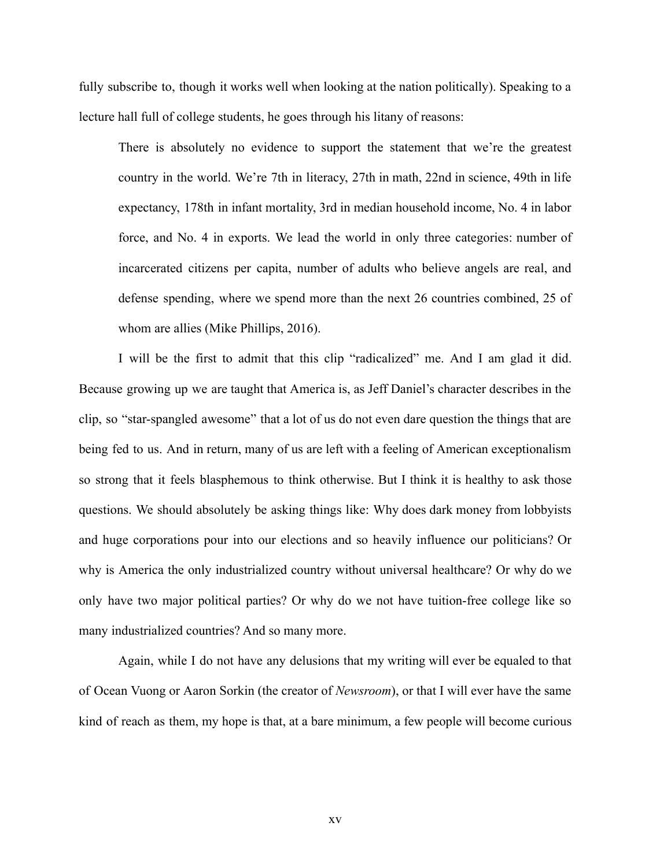fully subscribe to, though it works well when looking at the nation politically). Speaking to a lecture hall full of college students, he goes through his litany of reasons:

There is absolutely no evidence to support the statement that we're the greatest country in the world. We're 7th in literacy, 27th in math, 22nd in science, 49th in life expectancy, 178th in infant mortality, 3rd in median household income, No. 4 in labor force, and No. 4 in exports. We lead the world in only three categories: number of incarcerated citizens per capita, number of adults who believe angels are real, and defense spending, where we spend more than the next 26 countries combined, 25 of whom are allies (Mike Phillips, 2016).

I will be the first to admit that this clip "radicalized" me. And I am glad it did. Because growing up we are taught that America is, as Jeff Daniel's character describes in the clip, so "star-spangled awesome" that a lot of us do not even dare question the things that are being fed to us. And in return, many of us are left with a feeling of American exceptionalism so strong that it feels blasphemous to think otherwise. But I think it is healthy to ask those questions. We should absolutely be asking things like: Why does dark money from lobbyists and huge corporations pour into our elections and so heavily influence our politicians? Or why is America the only industrialized country without universal healthcare? Or why do we only have two major political parties? Or why do we not have tuition-free college like so many industrialized countries? And so many more.

Again, while I do not have any delusions that my writing will ever be equaled to that of Ocean Vuong or Aaron Sorkin (the creator of *Newsroom*), or that I will ever have the same kind of reach as them, my hope is that, at a bare minimum, a few people will become curious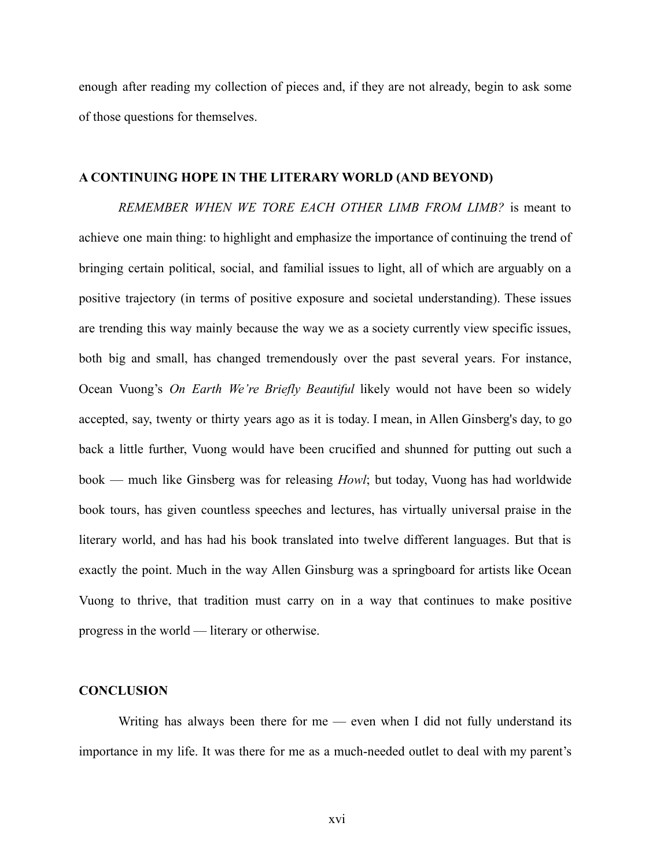enough after reading my collection of pieces and, if they are not already, begin to ask some of those questions for themselves.

# **A CONTINUING HOPE IN THE LITERARY WORLD (AND BEYOND)**

*REMEMBER WHEN WE TORE EACH OTHER LIMB FROM LIMB?* is meant to achieve one main thing: to highlight and emphasize the importance of continuing the trend of bringing certain political, social, and familial issues to light, all of which are arguably on a positive trajectory (in terms of positive exposure and societal understanding). These issues are trending this way mainly because the way we as a society currently view specific issues, both big and small, has changed tremendously over the past several years. For instance, Ocean Vuong's *On Earth We're Briefly Beautiful* likely would not have been so widely accepted, say, twenty or thirty years ago as it is today. I mean, in Allen Ginsberg's day, to go back a little further, Vuong would have been crucified and shunned for putting out such a book — much like Ginsberg was for releasing *Howl*; but today, Vuong has had worldwide book tours, has given countless speeches and lectures, has virtually universal praise in the literary world, and has had his book translated into twelve different languages. But that is exactly the point. Much in the way Allen Ginsburg was a springboard for artists like Ocean Vuong to thrive, that tradition must carry on in a way that continues to make positive progress in the world — literary or otherwise.

#### **CONCLUSION**

Writing has always been there for me — even when I did not fully understand its importance in my life. It was there for me as a much-needed outlet to deal with my parent's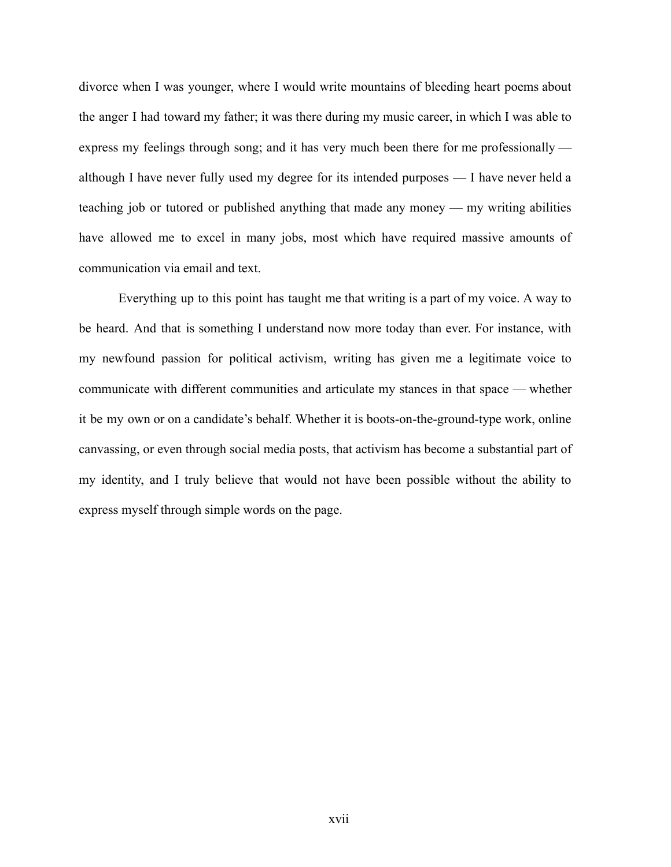divorce when I was younger, where I would write mountains of bleeding heart poems about the anger I had toward my father; it was there during my music career, in which I was able to express my feelings through song; and it has very much been there for me professionally although I have never fully used my degree for its intended purposes — I have never held a teaching job or tutored or published anything that made any money — my writing abilities have allowed me to excel in many jobs, most which have required massive amounts of communication via email and text.

Everything up to this point has taught me that writing is a part of my voice. A way to be heard. And that is something I understand now more today than ever. For instance, with my newfound passion for political activism, writing has given me a legitimate voice to communicate with different communities and articulate my stances in that space — whether it be my own or on a candidate's behalf. Whether it is boots-on-the-ground-type work, online canvassing, or even through social media posts, that activism has become a substantial part of my identity, and I truly believe that would not have been possible without the ability to express myself through simple words on the page.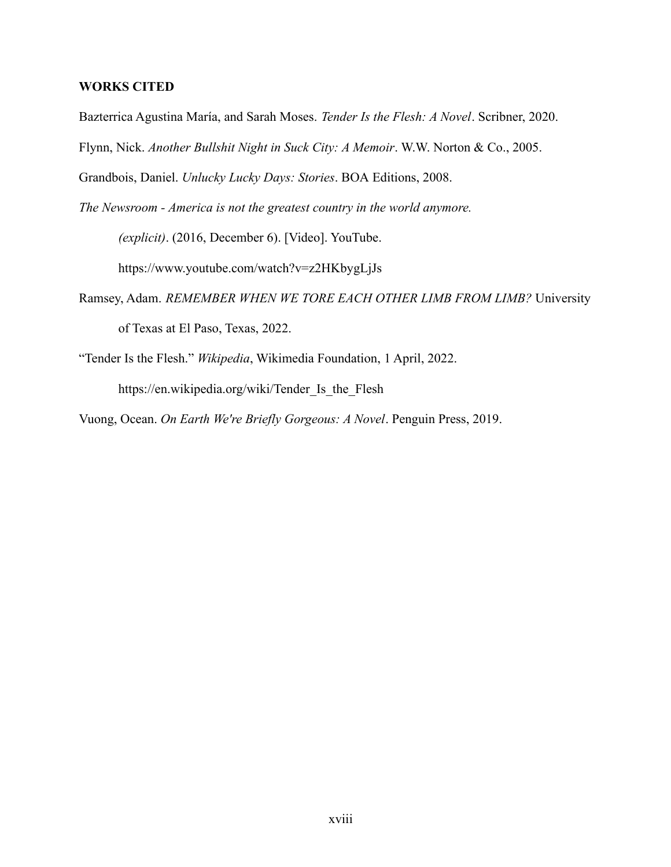# **WORKS CITED**

Bazterrica Agustina María, and Sarah Moses. *Tender Is the Flesh: A Novel*. Scribner, 2020.

Flynn, Nick. *Another Bullshit Night in Suck City: A Memoir*. W.W. Norton & Co., 2005.

Grandbois, Daniel. *Unlucky Lucky Days: Stories*. BOA Editions, 2008.

*The Newsroom - America is not the greatest country in the world anymore.*

*(explicit)*. (2016, December 6). [Video]. YouTube.

https://www.youtube.com/watch?v=z2HKbygLjJs

- Ramsey, Adam. *REMEMBER WHEN WE TORE EACH OTHER LIMB FROM LIMB?* University of Texas at El Paso, Texas, 2022.
- "Tender Is the Flesh." *Wikipedia*, Wikimedia Foundation, 1 April, 2022. https://en.wikipedia.org/wiki/Tender\_Is\_the\_Flesh

Vuong, Ocean. *On Earth We're Briefly Gorgeous: A Novel*. Penguin Press, 2019.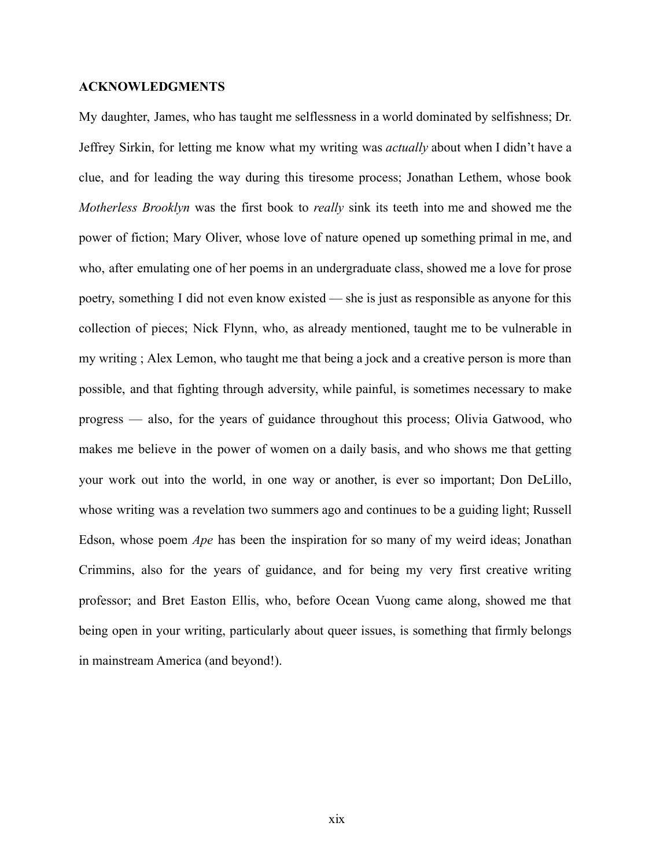# **ACKNOWLEDGMENTS**

My daughter, James, who has taught me selflessness in a world dominated by selfishness; Dr. Jeffrey Sirkin, for letting me know what my writing was *actually* about when I didn't have a clue, and for leading the way during this tiresome process; Jonathan Lethem, whose book *Motherless Brooklyn* was the first book to *really* sink its teeth into me and showed me the power of fiction; Mary Oliver, whose love of nature opened up something primal in me, and who, after emulating one of her poems in an undergraduate class, showed me a love for prose poetry, something I did not even know existed — she is just as responsible as anyone for this collection of pieces; Nick Flynn, who, as already mentioned, taught me to be vulnerable in my writing ; Alex Lemon, who taught me that being a jock and a creative person is more than possible, and that fighting through adversity, while painful, is sometimes necessary to make progress — also, for the years of guidance throughout this process; Olivia Gatwood, who makes me believe in the power of women on a daily basis, and who shows me that getting your work out into the world, in one way or another, is ever so important; Don DeLillo, whose writing was a revelation two summers ago and continues to be a guiding light; Russell Edson, whose poem *Ape* has been the inspiration for so many of my weird ideas; Jonathan Crimmins, also for the years of guidance, and for being my very first creative writing professor; and Bret Easton Ellis, who, before Ocean Vuong came along, showed me that being open in your writing, particularly about queer issues, is something that firmly belongs in mainstream America (and beyond!).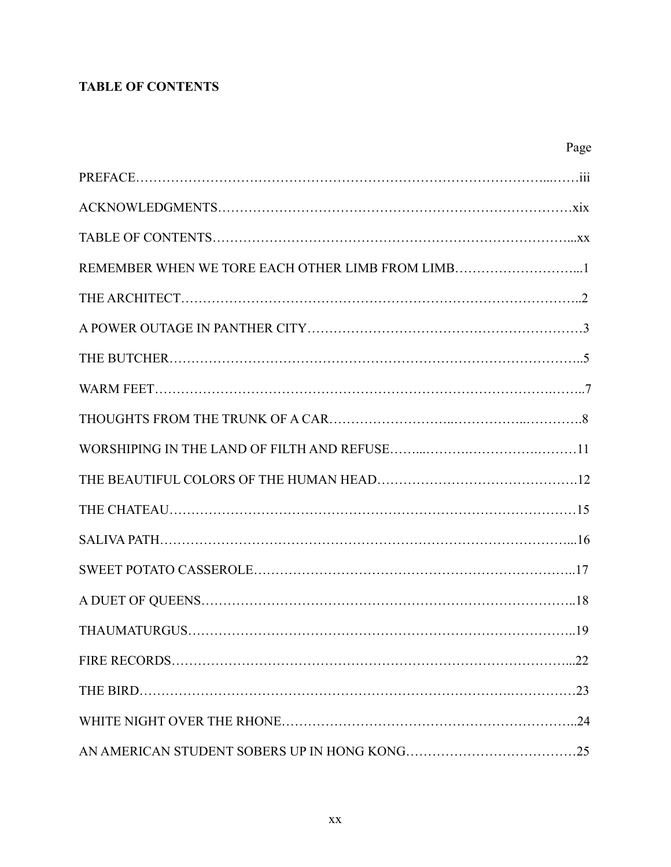# **TABLE OF CONTENTS**

|                                                  | Page |
|--------------------------------------------------|------|
|                                                  |      |
|                                                  |      |
|                                                  |      |
| REMEMBER WHEN WE TORE EACH OTHER LIMB FROM LIMB1 |      |
|                                                  |      |
|                                                  |      |
|                                                  |      |
|                                                  |      |
|                                                  |      |
|                                                  |      |
|                                                  |      |
|                                                  |      |
|                                                  |      |
|                                                  |      |
|                                                  |      |
| <b>THAUMATURGUS.</b>                             | .19  |
|                                                  |      |
|                                                  |      |
|                                                  |      |
|                                                  |      |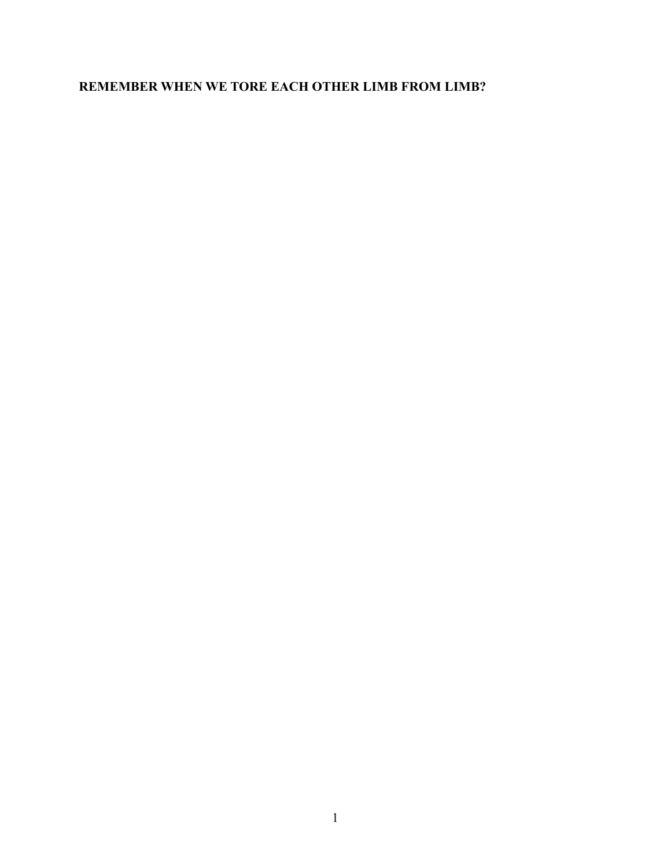# **REMEMBER WHEN WE TORE EACH OTHER LIMB FROM LIMB?**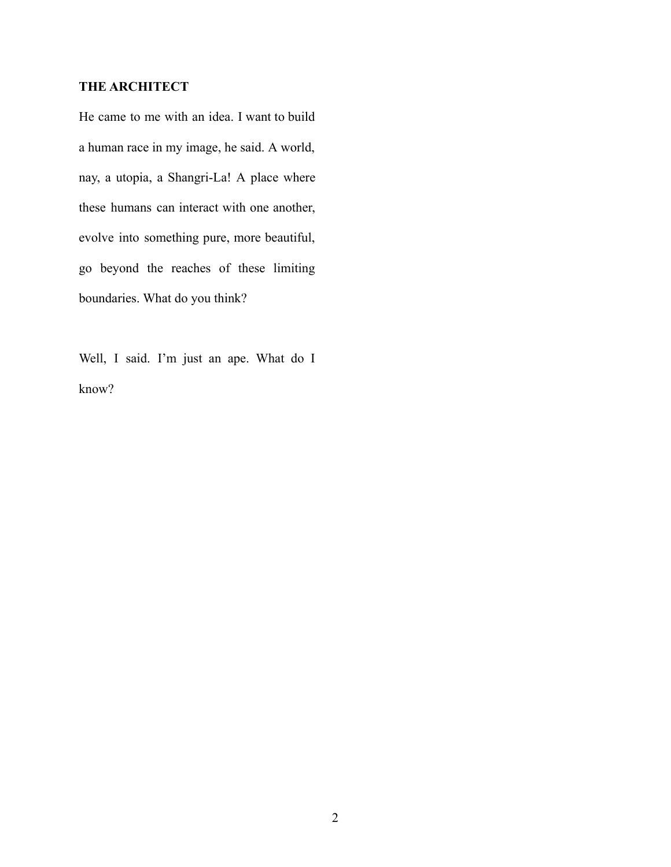# **THE ARCHITECT**

He came to me with an idea. I want to build a human race in my image, he said. A world, nay, a utopia, a Shangri-La! A place where these humans can interact with one another, evolve into something pure, more beautiful, go beyond the reaches of these limiting boundaries. What do you think?

Well, I said. I'm just an ape. What do I know?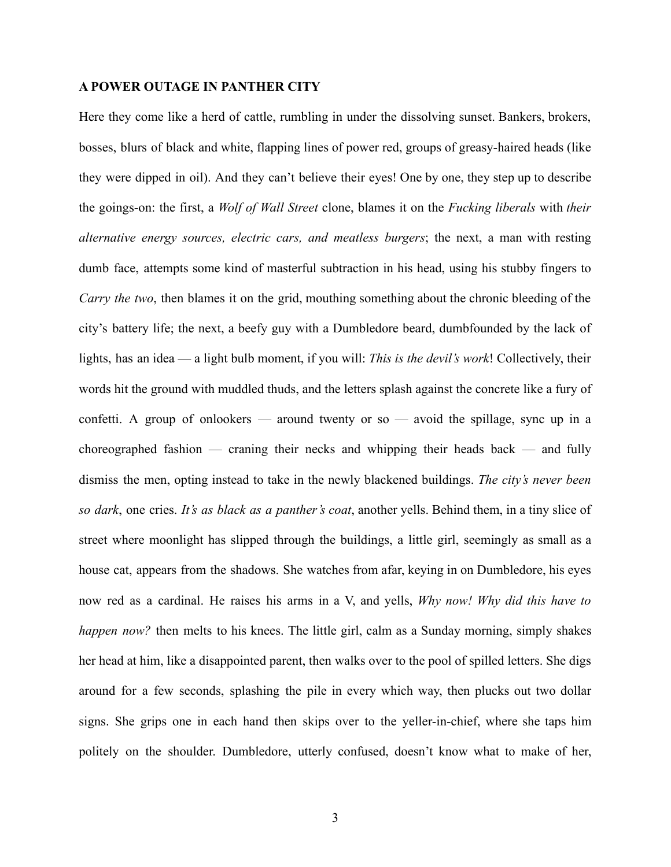# **A POWER OUTAGE IN PANTHER CITY**

Here they come like a herd of cattle, rumbling in under the dissolving sunset. Bankers, brokers, bosses, blurs of black and white, flapping lines of power red, groups of greasy-haired heads (like they were dipped in oil). And they can't believe their eyes! One by one, they step up to describe the goings-on: the first, a *Wolf of Wall Street* clone, blames it on the *Fucking liberals* with *their alternative energy sources, electric cars, and meatless burgers*; the next, a man with resting dumb face, attempts some kind of masterful subtraction in his head, using his stubby fingers to *Carry the two*, then blames it on the grid, mouthing something about the chronic bleeding of the city's battery life; the next, a beefy guy with a Dumbledore beard, dumbfounded by the lack of lights, has an idea — a light bulb moment, if you will: *This is the devil's work*! Collectively, their words hit the ground with muddled thuds, and the letters splash against the concrete like a fury of confetti. A group of onlookers — around twenty or so — avoid the spillage, sync up in a choreographed fashion — craning their necks and whipping their heads back — and fully dismiss the men, opting instead to take in the newly blackened buildings. *The city's never been so dark*, one cries. *It's as black as a panther's coat*, another yells. Behind them, in a tiny slice of street where moonlight has slipped through the buildings, a little girl, seemingly as small as a house cat, appears from the shadows. She watches from afar, keying in on Dumbledore, his eyes now red as a cardinal. He raises his arms in a V, and yells, *Why now! Why did this have to happen now?* then melts to his knees. The little girl, calm as a Sunday morning, simply shakes her head at him, like a disappointed parent, then walks over to the pool of spilled letters. She digs around for a few seconds, splashing the pile in every which way, then plucks out two dollar signs. She grips one in each hand then skips over to the yeller-in-chief, where she taps him politely on the shoulder. Dumbledore, utterly confused, doesn't know what to make of her,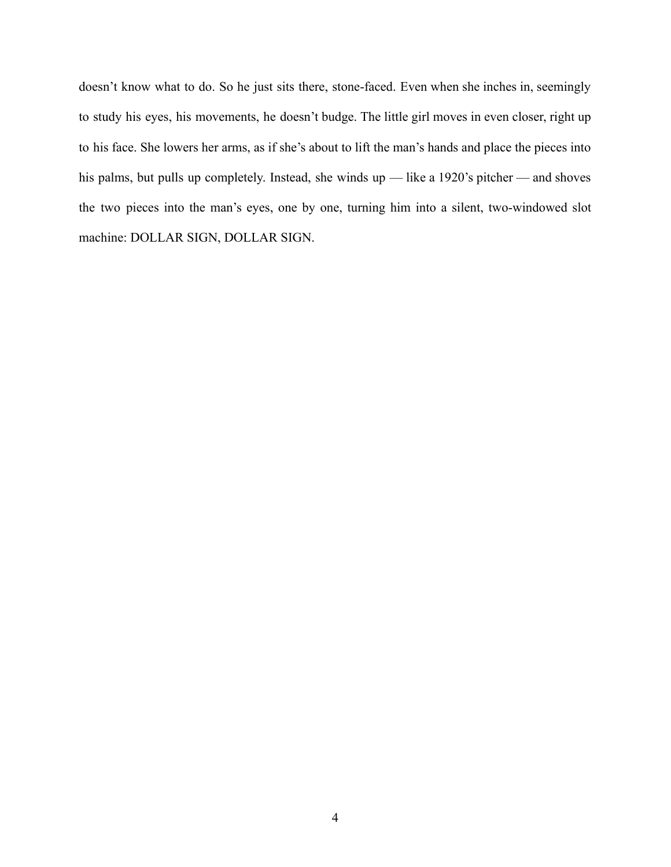doesn't know what to do. So he just sits there, stone-faced. Even when she inches in, seemingly to study his eyes, his movements, he doesn't budge. The little girl moves in even closer, right up to his face. She lowers her arms, as if she's about to lift the man's hands and place the pieces into his palms, but pulls up completely. Instead, she winds up — like a 1920's pitcher — and shoves the two pieces into the man's eyes, one by one, turning him into a silent, two-windowed slot machine: DOLLAR SIGN, DOLLAR SIGN.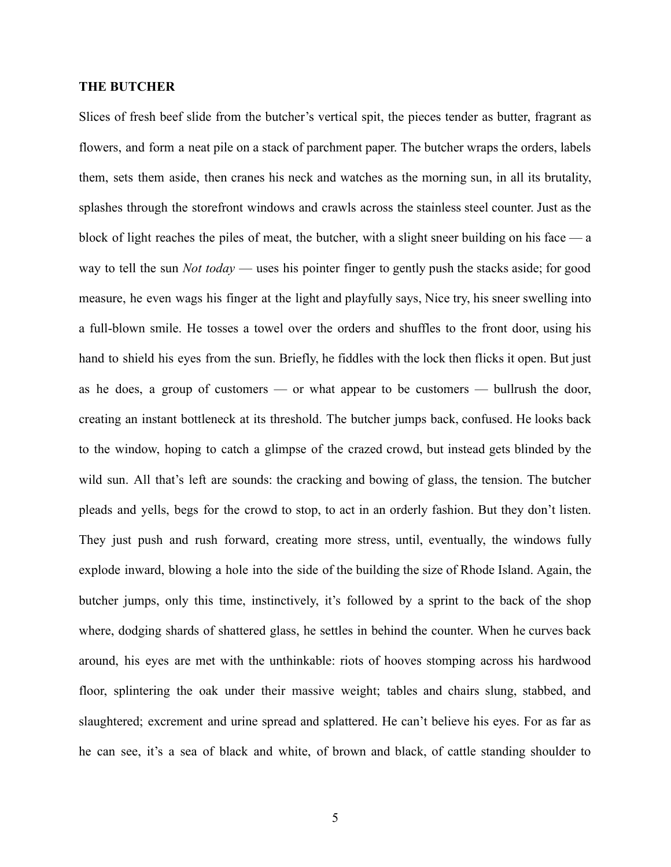# **THE BUTCHER**

Slices of fresh beef slide from the butcher's vertical spit, the pieces tender as butter, fragrant as flowers, and form a neat pile on a stack of parchment paper. The butcher wraps the orders, labels them, sets them aside, then cranes his neck and watches as the morning sun, in all its brutality, splashes through the storefront windows and crawls across the stainless steel counter. Just as the block of light reaches the piles of meat, the butcher, with a slight sneer building on his face  $-\alpha$ way to tell the sun *Not today* — uses his pointer finger to gently push the stacks aside; for good measure, he even wags his finger at the light and playfully says, Nice try, his sneer swelling into a full-blown smile. He tosses a towel over the orders and shuffles to the front door, using his hand to shield his eyes from the sun. Briefly, he fiddles with the lock then flicks it open. But just as he does, a group of customers — or what appear to be customers — bullrush the door, creating an instant bottleneck at its threshold. The butcher jumps back, confused. He looks back to the window, hoping to catch a glimpse of the crazed crowd, but instead gets blinded by the wild sun. All that's left are sounds: the cracking and bowing of glass, the tension. The butcher pleads and yells, begs for the crowd to stop, to act in an orderly fashion. But they don't listen. They just push and rush forward, creating more stress, until, eventually, the windows fully explode inward, blowing a hole into the side of the building the size of Rhode Island. Again, the butcher jumps, only this time, instinctively, it's followed by a sprint to the back of the shop where, dodging shards of shattered glass, he settles in behind the counter. When he curves back around, his eyes are met with the unthinkable: riots of hooves stomping across his hardwood floor, splintering the oak under their massive weight; tables and chairs slung, stabbed, and slaughtered; excrement and urine spread and splattered. He can't believe his eyes. For as far as he can see, it's a sea of black and white, of brown and black, of cattle standing shoulder to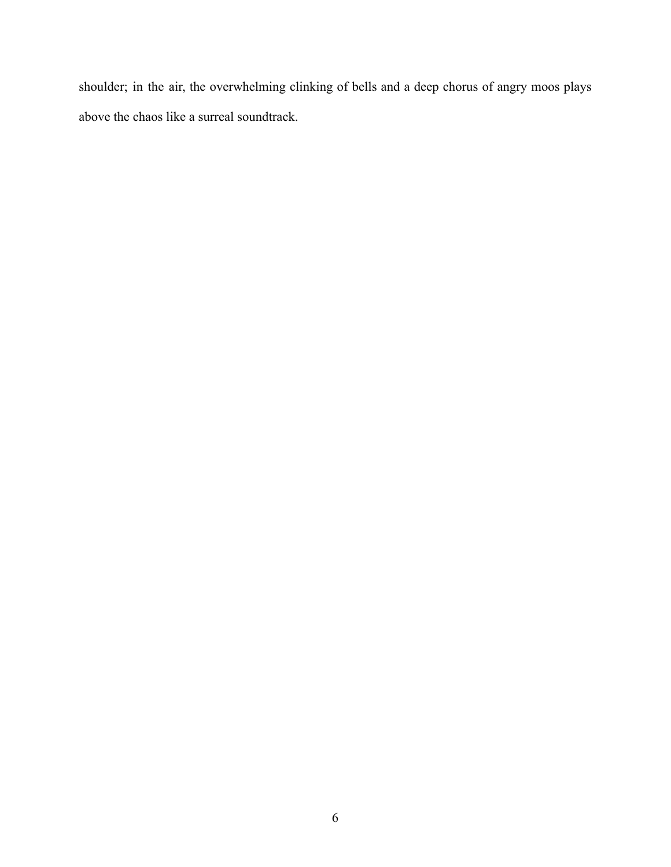shoulder; in the air, the overwhelming clinking of bells and a deep chorus of angry moos plays above the chaos like a surreal soundtrack.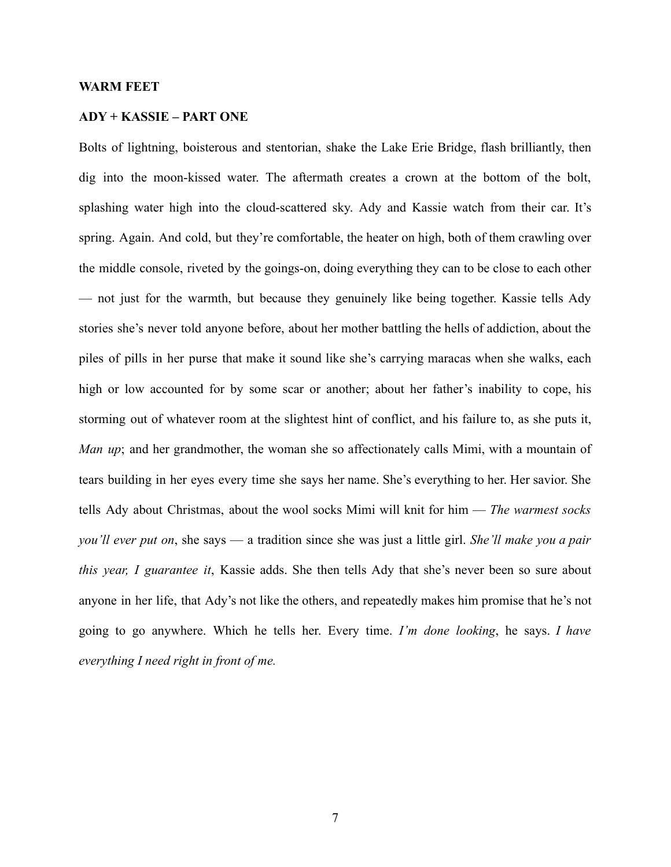#### **WARM FEET**

# **ADY + KASSIE – PART ONE**

Bolts of lightning, boisterous and stentorian, shake the Lake Erie Bridge, flash brilliantly, then dig into the moon-kissed water. The aftermath creates a crown at the bottom of the bolt, splashing water high into the cloud-scattered sky. Ady and Kassie watch from their car. It's spring. Again. And cold, but they're comfortable, the heater on high, both of them crawling over the middle console, riveted by the goings-on, doing everything they can to be close to each other — not just for the warmth, but because they genuinely like being together. Kassie tells Ady stories she's never told anyone before, about her mother battling the hells of addiction, about the piles of pills in her purse that make it sound like she's carrying maracas when she walks, each high or low accounted for by some scar or another; about her father's inability to cope, his storming out of whatever room at the slightest hint of conflict, and his failure to, as she puts it, *Man up*; and her grandmother, the woman she so affectionately calls Mimi, with a mountain of tears building in her eyes every time she says her name. She's everything to her. Her savior. She tells Ady about Christmas, about the wool socks Mimi will knit for him — *The warmest socks you'll ever put on*, she says — a tradition since she was just a little girl. *She'll make you a pair this year, I guarantee it*, Kassie adds. She then tells Ady that she's never been so sure about anyone in her life, that Ady's not like the others, and repeatedly makes him promise that he's not going to go anywhere. Which he tells her. Every time. *I'm done looking*, he says. *I have everything I need right in front of me.*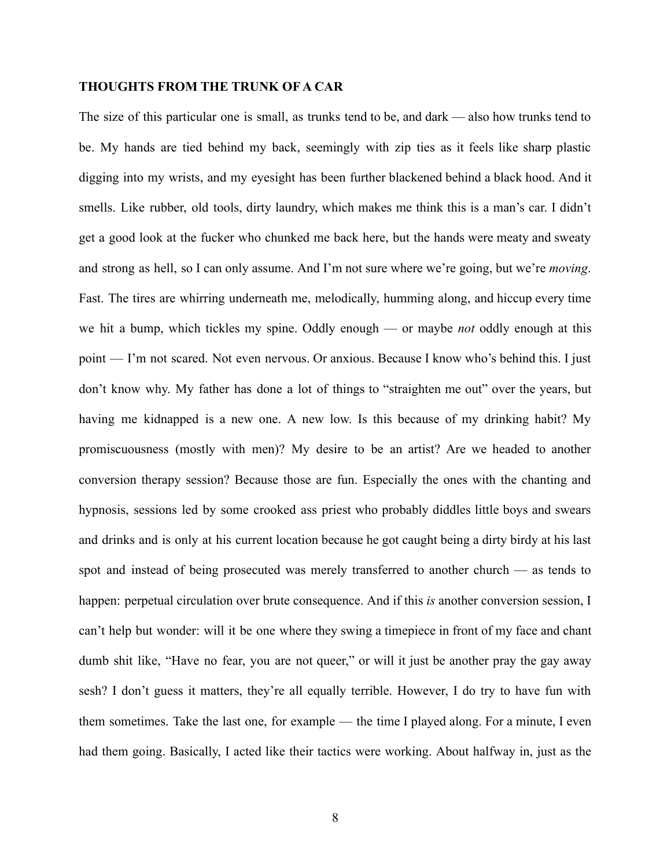# **THOUGHTS FROM THE TRUNK OF A CAR**

The size of this particular one is small, as trunks tend to be, and dark — also how trunks tend to be. My hands are tied behind my back, seemingly with zip ties as it feels like sharp plastic digging into my wrists, and my eyesight has been further blackened behind a black hood. And it smells. Like rubber, old tools, dirty laundry, which makes me think this is a man's car. I didn't get a good look at the fucker who chunked me back here, but the hands were meaty and sweaty and strong as hell, so I can only assume. And I'm not sure where we're going, but we're *moving*. Fast. The tires are whirring underneath me, melodically, humming along, and hiccup every time we hit a bump, which tickles my spine. Oddly enough — or maybe *not* oddly enough at this point — I'm not scared. Not even nervous. Or anxious. Because I know who's behind this. I just don't know why. My father has done a lot of things to "straighten me out" over the years, but having me kidnapped is a new one. A new low. Is this because of my drinking habit? My promiscuousness (mostly with men)? My desire to be an artist? Are we headed to another conversion therapy session? Because those are fun. Especially the ones with the chanting and hypnosis, sessions led by some crooked ass priest who probably diddles little boys and swears and drinks and is only at his current location because he got caught being a dirty birdy at his last spot and instead of being prosecuted was merely transferred to another church — as tends to happen: perpetual circulation over brute consequence. And if this *is* another conversion session, I can't help but wonder: will it be one where they swing a timepiece in front of my face and chant dumb shit like, "Have no fear, you are not queer," or will it just be another pray the gay away sesh? I don't guess it matters, they're all equally terrible. However, I do try to have fun with them sometimes. Take the last one, for example — the time I played along. For a minute, I even had them going. Basically, I acted like their tactics were working. About halfway in, just as the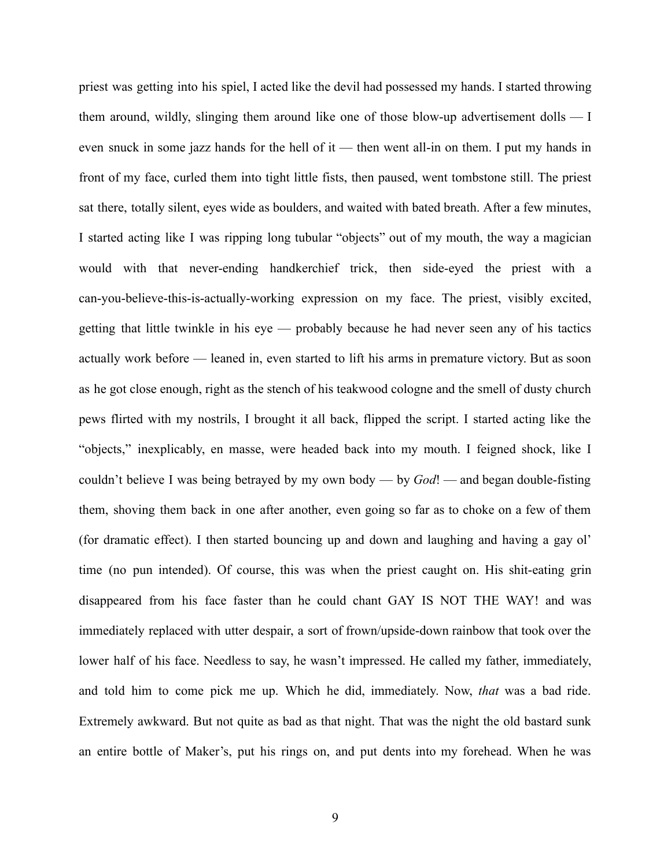priest was getting into his spiel, I acted like the devil had possessed my hands. I started throwing them around, wildly, slinging them around like one of those blow-up advertisement dolls — I even snuck in some jazz hands for the hell of it — then went all-in on them. I put my hands in front of my face, curled them into tight little fists, then paused, went tombstone still. The priest sat there, totally silent, eyes wide as boulders, and waited with bated breath. After a few minutes, I started acting like I was ripping long tubular "objects" out of my mouth, the way a magician would with that never-ending handkerchief trick, then side-eyed the priest with a can-you-believe-this-is-actually-working expression on my face. The priest, visibly excited, getting that little twinkle in his eye — probably because he had never seen any of his tactics actually work before — leaned in, even started to lift his arms in premature victory. But as soon as he got close enough, right as the stench of his teakwood cologne and the smell of dusty church pews flirted with my nostrils, I brought it all back, flipped the script. I started acting like the "objects," inexplicably, en masse, were headed back into my mouth. I feigned shock, like I couldn't believe I was being betrayed by my own body — by *God*! — and began double-fisting them, shoving them back in one after another, even going so far as to choke on a few of them (for dramatic effect). I then started bouncing up and down and laughing and having a gay ol' time (no pun intended). Of course, this was when the priest caught on. His shit-eating grin disappeared from his face faster than he could chant GAY IS NOT THE WAY! and was immediately replaced with utter despair, a sort of frown/upside-down rainbow that took over the lower half of his face. Needless to say, he wasn't impressed. He called my father, immediately, and told him to come pick me up. Which he did, immediately. Now, *that* was a bad ride. Extremely awkward. But not quite as bad as that night. That was the night the old bastard sunk an entire bottle of Maker's, put his rings on, and put dents into my forehead. When he was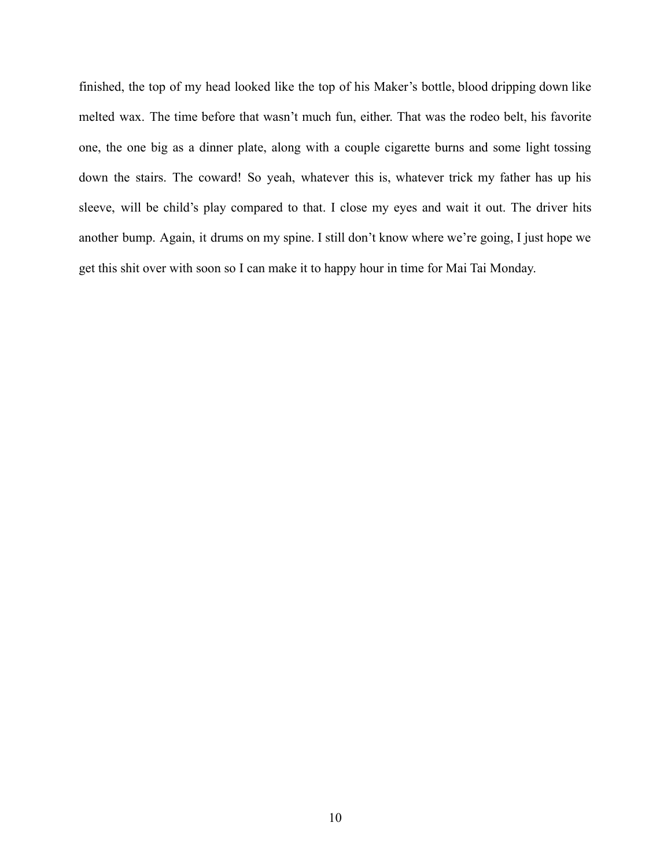finished, the top of my head looked like the top of his Maker's bottle, blood dripping down like melted wax. The time before that wasn't much fun, either. That was the rodeo belt, his favorite one, the one big as a dinner plate, along with a couple cigarette burns and some light tossing down the stairs. The coward! So yeah, whatever this is, whatever trick my father has up his sleeve, will be child's play compared to that. I close my eyes and wait it out. The driver hits another bump. Again, it drums on my spine. I still don't know where we're going, I just hope we get this shit over with soon so I can make it to happy hour in time for Mai Tai Monday.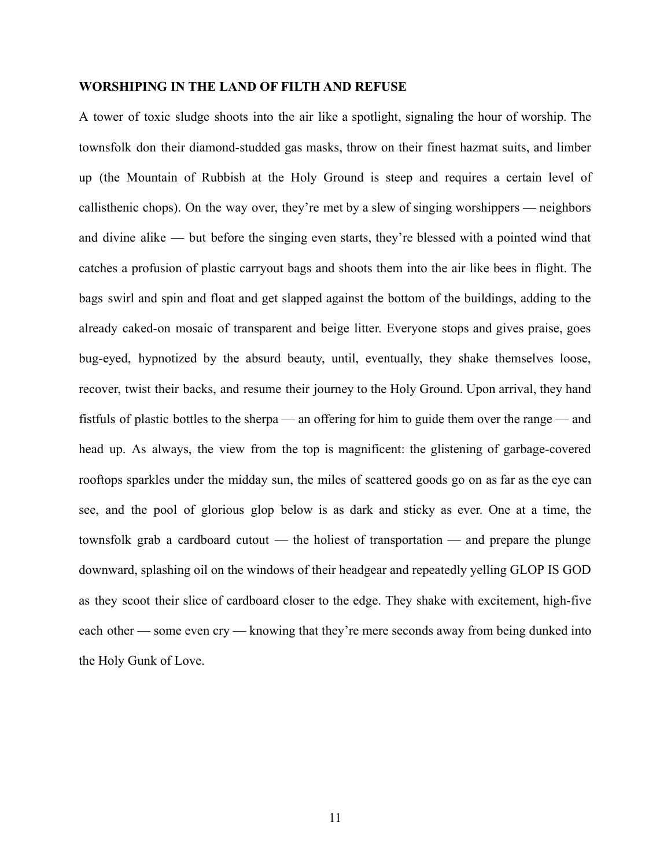## **WORSHIPING IN THE LAND OF FILTH AND REFUSE**

A tower of toxic sludge shoots into the air like a spotlight, signaling the hour of worship. The townsfolk don their diamond-studded gas masks, throw on their finest hazmat suits, and limber up (the Mountain of Rubbish at the Holy Ground is steep and requires a certain level of callisthenic chops). On the way over, they're met by a slew of singing worshippers — neighbors and divine alike — but before the singing even starts, they're blessed with a pointed wind that catches a profusion of plastic carryout bags and shoots them into the air like bees in flight. The bags swirl and spin and float and get slapped against the bottom of the buildings, adding to the already caked-on mosaic of transparent and beige litter. Everyone stops and gives praise, goes bug-eyed, hypnotized by the absurd beauty, until, eventually, they shake themselves loose, recover, twist their backs, and resume their journey to the Holy Ground. Upon arrival, they hand fistfuls of plastic bottles to the sherpa — an offering for him to guide them over the range — and head up. As always, the view from the top is magnificent: the glistening of garbage-covered rooftops sparkles under the midday sun, the miles of scattered goods go on as far as the eye can see, and the pool of glorious glop below is as dark and sticky as ever. One at a time, the townsfolk grab a cardboard cutout — the holiest of transportation — and prepare the plunge downward, splashing oil on the windows of their headgear and repeatedly yelling GLOP IS GOD as they scoot their slice of cardboard closer to the edge. They shake with excitement, high-five each other — some even cry — knowing that they're mere seconds away from being dunked into the Holy Gunk of Love.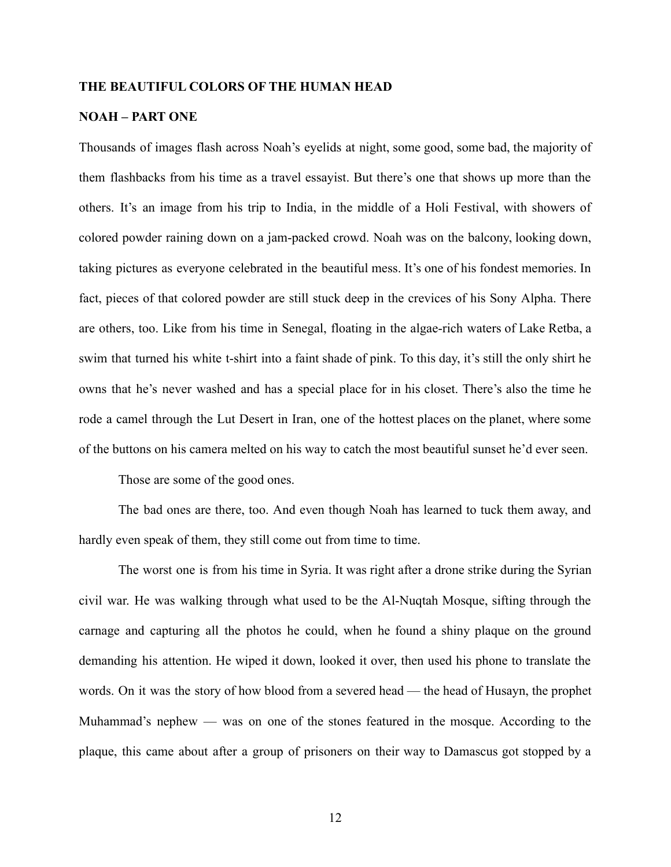## **THE BEAUTIFUL COLORS OF THE HUMAN HEAD**

### **NOAH – PART ONE**

Thousands of images flash across Noah's eyelids at night, some good, some bad, the majority of them flashbacks from his time as a travel essayist. But there's one that shows up more than the others. It's an image from his trip to India, in the middle of a Holi Festival, with showers of colored powder raining down on a jam-packed crowd. Noah was on the balcony, looking down, taking pictures as everyone celebrated in the beautiful mess. It's one of his fondest memories. In fact, pieces of that colored powder are still stuck deep in the crevices of his Sony Alpha. There are others, too. Like from his time in Senegal, floating in the algae-rich waters of Lake Retba, a swim that turned his white t-shirt into a faint shade of pink. To this day, it's still the only shirt he owns that he's never washed and has a special place for in his closet. There's also the time he rode a camel through the Lut Desert in Iran, one of the hottest places on the planet, where some of the buttons on his camera melted on his way to catch the most beautiful sunset he'd ever seen.

Those are some of the good ones.

The bad ones are there, too. And even though Noah has learned to tuck them away, and hardly even speak of them, they still come out from time to time.

The worst one is from his time in Syria. It was right after a drone strike during the Syrian civil war. He was walking through what used to be the Al-Nuqtah Mosque, sifting through the carnage and capturing all the photos he could, when he found a shiny plaque on the ground demanding his attention. He wiped it down, looked it over, then used his phone to translate the words. On it was the story of how blood from a severed head — the head of Husayn, the prophet Muhammad's nephew — was on one of the stones featured in the mosque. According to the plaque, this came about after a group of prisoners on their way to Damascus got stopped by a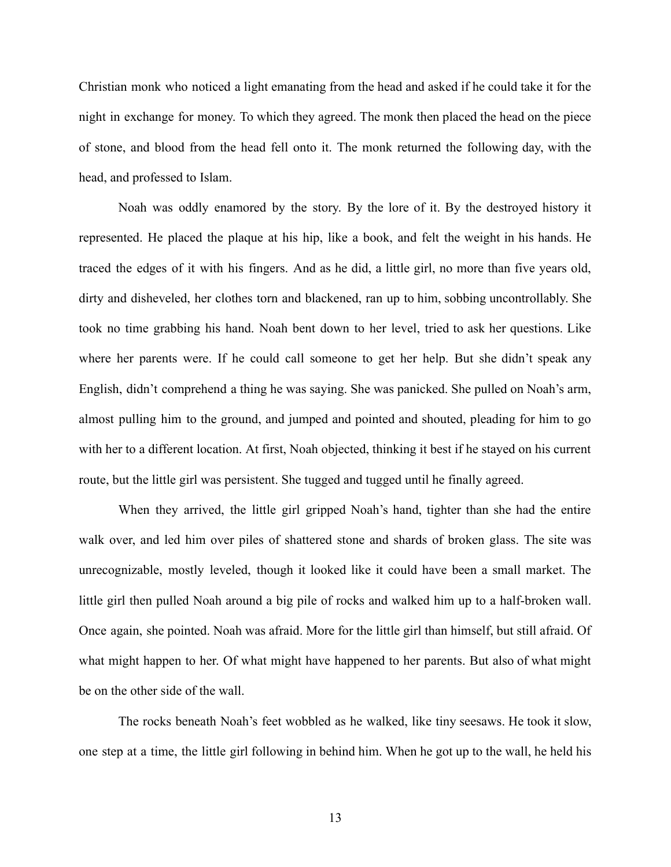Christian monk who noticed a light emanating from the head and asked if he could take it for the night in exchange for money. To which they agreed. The monk then placed the head on the piece of stone, and blood from the head fell onto it. The monk returned the following day, with the head, and professed to Islam.

Noah was oddly enamored by the story. By the lore of it. By the destroyed history it represented. He placed the plaque at his hip, like a book, and felt the weight in his hands. He traced the edges of it with his fingers. And as he did, a little girl, no more than five years old, dirty and disheveled, her clothes torn and blackened, ran up to him, sobbing uncontrollably. She took no time grabbing his hand. Noah bent down to her level, tried to ask her questions. Like where her parents were. If he could call someone to get her help. But she didn't speak any English, didn't comprehend a thing he was saying. She was panicked. She pulled on Noah's arm, almost pulling him to the ground, and jumped and pointed and shouted, pleading for him to go with her to a different location. At first, Noah objected, thinking it best if he stayed on his current route, but the little girl was persistent. She tugged and tugged until he finally agreed.

When they arrived, the little girl gripped Noah's hand, tighter than she had the entire walk over, and led him over piles of shattered stone and shards of broken glass. The site was unrecognizable, mostly leveled, though it looked like it could have been a small market. The little girl then pulled Noah around a big pile of rocks and walked him up to a half-broken wall. Once again, she pointed. Noah was afraid. More for the little girl than himself, but still afraid. Of what might happen to her. Of what might have happened to her parents. But also of what might be on the other side of the wall.

The rocks beneath Noah's feet wobbled as he walked, like tiny seesaws. He took it slow, one step at a time, the little girl following in behind him. When he got up to the wall, he held his

13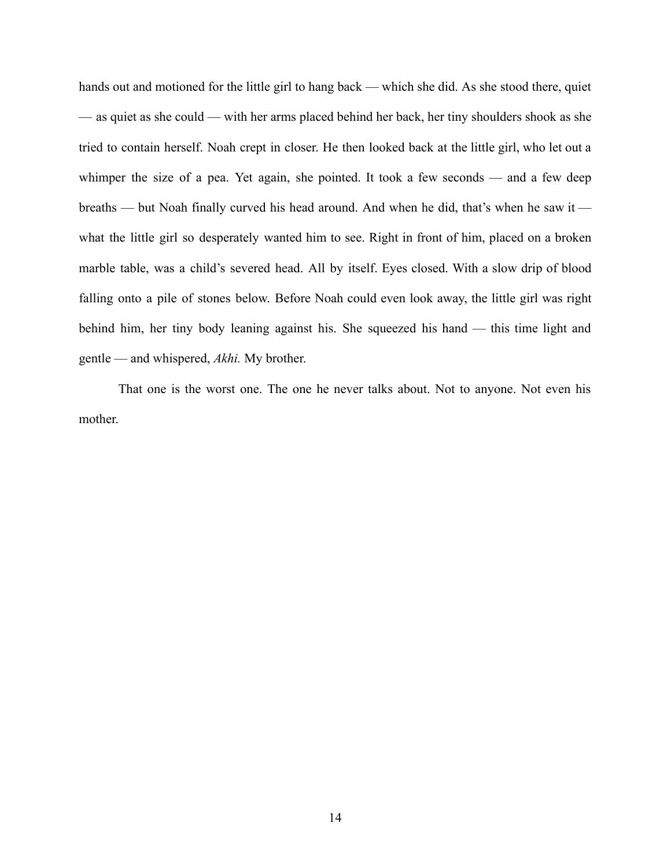hands out and motioned for the little girl to hang back — which she did. As she stood there, quiet — as quiet as she could — with her arms placed behind her back, her tiny shoulders shook as she tried to contain herself. Noah crept in closer. He then looked back at the little girl, who let out a whimper the size of a pea. Yet again, she pointed. It took a few seconds — and a few deep breaths — but Noah finally curved his head around. And when he did, that's when he saw it what the little girl so desperately wanted him to see. Right in front of him, placed on a broken marble table, was a child's severed head. All by itself. Eyes closed. With a slow drip of blood falling onto a pile of stones below. Before Noah could even look away, the little girl was right behind him, her tiny body leaning against his. She squeezed his hand — this time light and gentle — and whispered, *Akhi.* My brother.

That one is the worst one. The one he never talks about. Not to anyone. Not even his mother.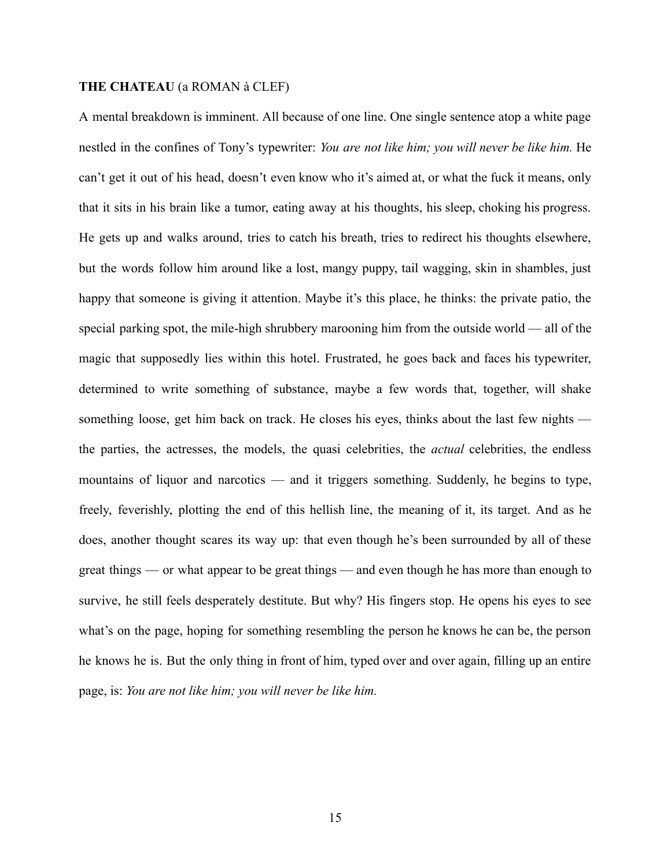# **THE CHATEAU** (a ROMAN à CLEF)

A mental breakdown is imminent. All because of one line. One single sentence atop a white page nestled in the confines of Tony's typewriter: *You are not like him; you will never be like him.* He can't get it out of his head, doesn't even know who it's aimed at, or what the fuck it means, only that it sits in his brain like a tumor, eating away at his thoughts, his sleep, choking his progress. He gets up and walks around, tries to catch his breath, tries to redirect his thoughts elsewhere, but the words follow him around like a lost, mangy puppy, tail wagging, skin in shambles, just happy that someone is giving it attention. Maybe it's this place, he thinks: the private patio, the special parking spot, the mile-high shrubbery marooning him from the outside world — all of the magic that supposedly lies within this hotel. Frustrated, he goes back and faces his typewriter, determined to write something of substance, maybe a few words that, together, will shake something loose, get him back on track. He closes his eyes, thinks about the last few nights the parties, the actresses, the models, the quasi celebrities, the *actual* celebrities, the endless mountains of liquor and narcotics — and it triggers something. Suddenly, he begins to type, freely, feverishly, plotting the end of this hellish line, the meaning of it, its target. And as he does, another thought scares its way up: that even though he's been surrounded by all of these great things — or what appear to be great things — and even though he has more than enough to survive, he still feels desperately destitute. But why? His fingers stop. He opens his eyes to see what's on the page, hoping for something resembling the person he knows he can be, the person he knows he is. But the only thing in front of him, typed over and over again, filling up an entire page, is: *You are not like him; you will never be like him.*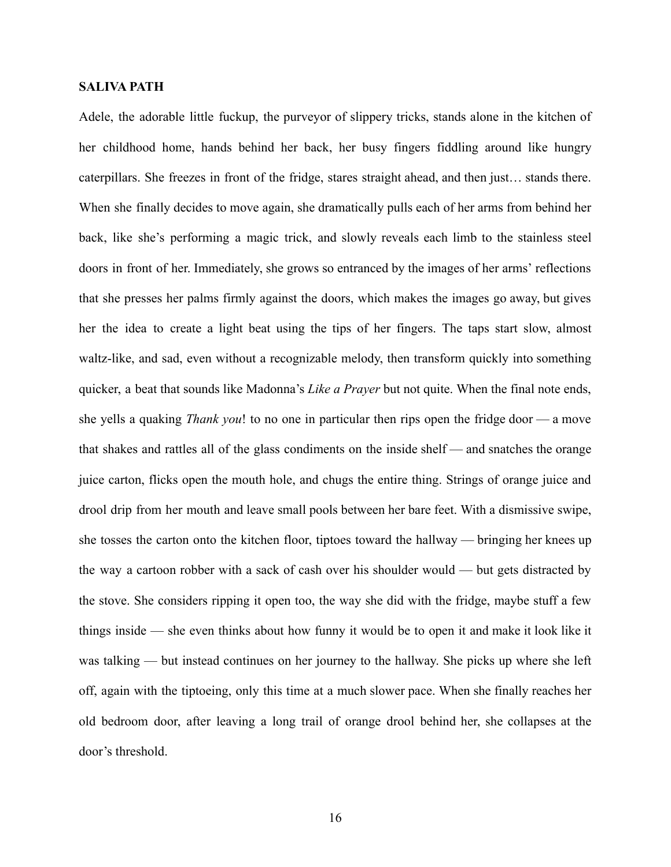# **SALIVA PATH**

Adele, the adorable little fuckup, the purveyor of slippery tricks, stands alone in the kitchen of her childhood home, hands behind her back, her busy fingers fiddling around like hungry caterpillars. She freezes in front of the fridge, stares straight ahead, and then just… stands there. When she finally decides to move again, she dramatically pulls each of her arms from behind her back, like she's performing a magic trick, and slowly reveals each limb to the stainless steel doors in front of her. Immediately, she grows so entranced by the images of her arms' reflections that she presses her palms firmly against the doors, which makes the images go away, but gives her the idea to create a light beat using the tips of her fingers. The taps start slow, almost waltz-like, and sad, even without a recognizable melody, then transform quickly into something quicker, a beat that sounds like Madonna's *Like a Prayer* but not quite. When the final note ends, she yells a quaking *Thank you*! to no one in particular then rips open the fridge door — a move that shakes and rattles all of the glass condiments on the inside shelf — and snatches the orange juice carton, flicks open the mouth hole, and chugs the entire thing. Strings of orange juice and drool drip from her mouth and leave small pools between her bare feet. With a dismissive swipe, she tosses the carton onto the kitchen floor, tiptoes toward the hallway — bringing her knees up the way a cartoon robber with a sack of cash over his shoulder would — but gets distracted by the stove. She considers ripping it open too, the way she did with the fridge, maybe stuff a few things inside — she even thinks about how funny it would be to open it and make it look like it was talking — but instead continues on her journey to the hallway. She picks up where she left off, again with the tiptoeing, only this time at a much slower pace. When she finally reaches her old bedroom door, after leaving a long trail of orange drool behind her, she collapses at the door's threshold.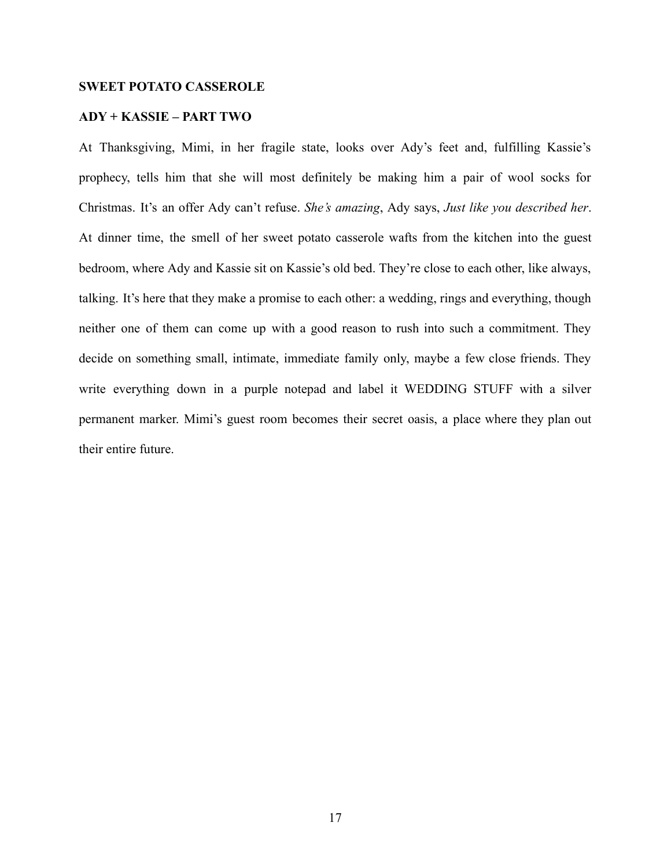# **SWEET POTATO CASSEROLE**

# **ADY + KASSIE – PART TWO**

At Thanksgiving, Mimi, in her fragile state, looks over Ady's feet and, fulfilling Kassie's prophecy, tells him that she will most definitely be making him a pair of wool socks for Christmas. It's an offer Ady can't refuse. *She's amazing*, Ady says, *Just like you described her*. At dinner time, the smell of her sweet potato casserole wafts from the kitchen into the guest bedroom, where Ady and Kassie sit on Kassie's old bed. They're close to each other, like always, talking. It's here that they make a promise to each other: a wedding, rings and everything, though neither one of them can come up with a good reason to rush into such a commitment. They decide on something small, intimate, immediate family only, maybe a few close friends. They write everything down in a purple notepad and label it WEDDING STUFF with a silver permanent marker. Mimi's guest room becomes their secret oasis, a place where they plan out their entire future.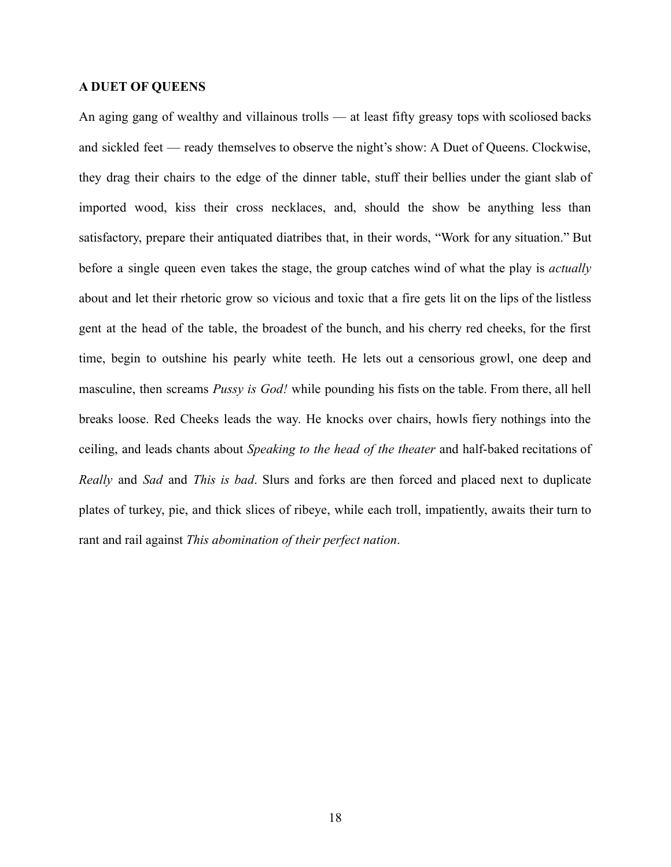## **A DUET OF QUEENS**

An aging gang of wealthy and villainous trolls — at least fifty greasy tops with scoliosed backs and sickled feet — ready themselves to observe the night's show: A Duet of Queens. Clockwise, they drag their chairs to the edge of the dinner table, stuff their bellies under the giant slab of imported wood, kiss their cross necklaces, and, should the show be anything less than satisfactory, prepare their antiquated diatribes that, in their words, "Work for any situation." But before a single queen even takes the stage, the group catches wind of what the play is *actually* about and let their rhetoric grow so vicious and toxic that a fire gets lit on the lips of the listless gent at the head of the table, the broadest of the bunch, and his cherry red cheeks, for the first time, begin to outshine his pearly white teeth. He lets out a censorious growl, one deep and masculine, then screams *Pussy is God!* while pounding his fists on the table. From there, all hell breaks loose. Red Cheeks leads the way. He knocks over chairs, howls fiery nothings into the ceiling, and leads chants about *Speaking to the head of the theater* and half-baked recitations of *Really* and *Sad* and *This is bad*. Slurs and forks are then forced and placed next to duplicate plates of turkey, pie, and thick slices of ribeye, while each troll, impatiently, awaits their turn to rant and rail against *This abomination of their perfect nation*.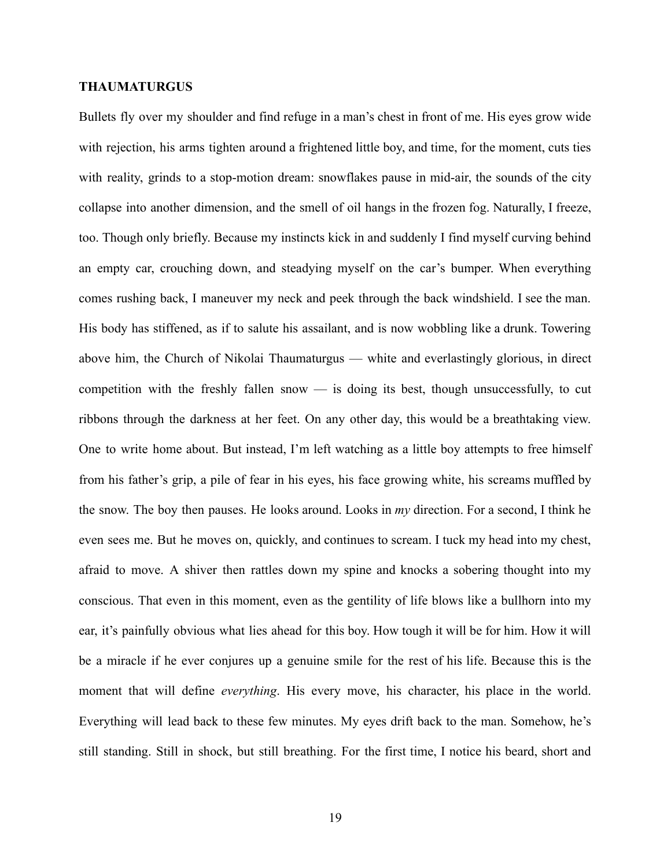## **THAUMATURGUS**

Bullets fly over my shoulder and find refuge in a man's chest in front of me. His eyes grow wide with rejection, his arms tighten around a frightened little boy, and time, for the moment, cuts ties with reality, grinds to a stop-motion dream: snowflakes pause in mid-air, the sounds of the city collapse into another dimension, and the smell of oil hangs in the frozen fog. Naturally, I freeze, too. Though only briefly. Because my instincts kick in and suddenly I find myself curving behind an empty car, crouching down, and steadying myself on the car's bumper. When everything comes rushing back, I maneuver my neck and peek through the back windshield. I see the man. His body has stiffened, as if to salute his assailant, and is now wobbling like a drunk. Towering above him, the Church of Nikolai Thaumaturgus — white and everlastingly glorious, in direct competition with the freshly fallen snow — is doing its best, though unsuccessfully, to cut ribbons through the darkness at her feet. On any other day, this would be a breathtaking view. One to write home about. But instead, I'm left watching as a little boy attempts to free himself from his father's grip, a pile of fear in his eyes, his face growing white, his screams muffled by the snow. The boy then pauses. He looks around. Looks in *my* direction. For a second, I think he even sees me. But he moves on, quickly, and continues to scream. I tuck my head into my chest, afraid to move. A shiver then rattles down my spine and knocks a sobering thought into my conscious. That even in this moment, even as the gentility of life blows like a bullhorn into my ear, it's painfully obvious what lies ahead for this boy. How tough it will be for him. How it will be a miracle if he ever conjures up a genuine smile for the rest of his life. Because this is the moment that will define *everything*. His every move, his character, his place in the world. Everything will lead back to these few minutes. My eyes drift back to the man. Somehow, he's still standing. Still in shock, but still breathing. For the first time, I notice his beard, short and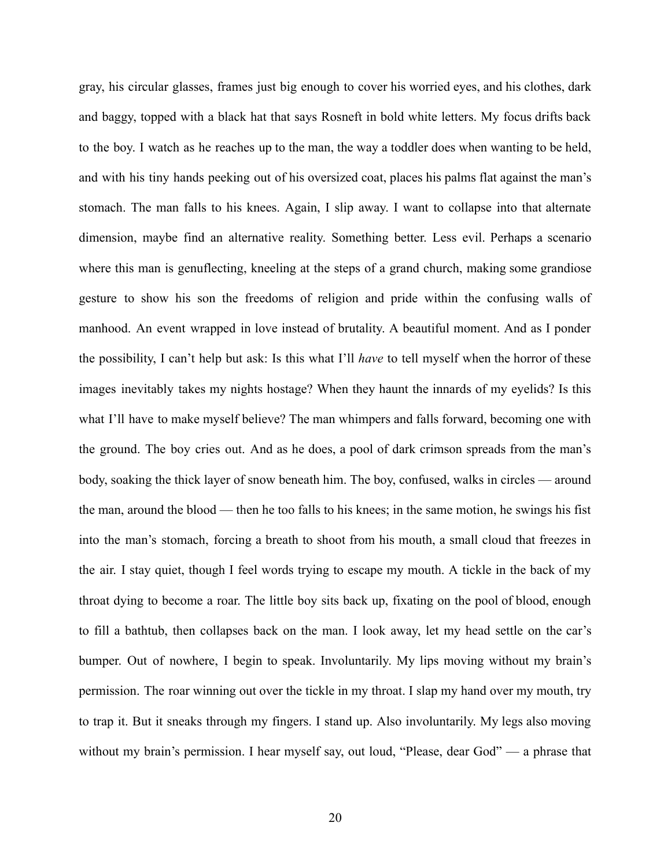gray, his circular glasses, frames just big enough to cover his worried eyes, and his clothes, dark and baggy, topped with a black hat that says Rosneft in bold white letters. My focus drifts back to the boy. I watch as he reaches up to the man, the way a toddler does when wanting to be held, and with his tiny hands peeking out of his oversized coat, places his palms flat against the man's stomach. The man falls to his knees. Again, I slip away. I want to collapse into that alternate dimension, maybe find an alternative reality. Something better. Less evil. Perhaps a scenario where this man is genuflecting, kneeling at the steps of a grand church, making some grandiose gesture to show his son the freedoms of religion and pride within the confusing walls of manhood. An event wrapped in love instead of brutality. A beautiful moment. And as I ponder the possibility, I can't help but ask: Is this what I'll *have* to tell myself when the horror of these images inevitably takes my nights hostage? When they haunt the innards of my eyelids? Is this what I'll have to make myself believe? The man whimpers and falls forward, becoming one with the ground. The boy cries out. And as he does, a pool of dark crimson spreads from the man's body, soaking the thick layer of snow beneath him. The boy, confused, walks in circles — around the man, around the blood — then he too falls to his knees; in the same motion, he swings his fist into the man's stomach, forcing a breath to shoot from his mouth, a small cloud that freezes in the air. I stay quiet, though I feel words trying to escape my mouth. A tickle in the back of my throat dying to become a roar. The little boy sits back up, fixating on the pool of blood, enough to fill a bathtub, then collapses back on the man. I look away, let my head settle on the car's bumper. Out of nowhere, I begin to speak. Involuntarily. My lips moving without my brain's permission. The roar winning out over the tickle in my throat. I slap my hand over my mouth, try to trap it. But it sneaks through my fingers. I stand up. Also involuntarily. My legs also moving without my brain's permission. I hear myself say, out loud, "Please, dear God" — a phrase that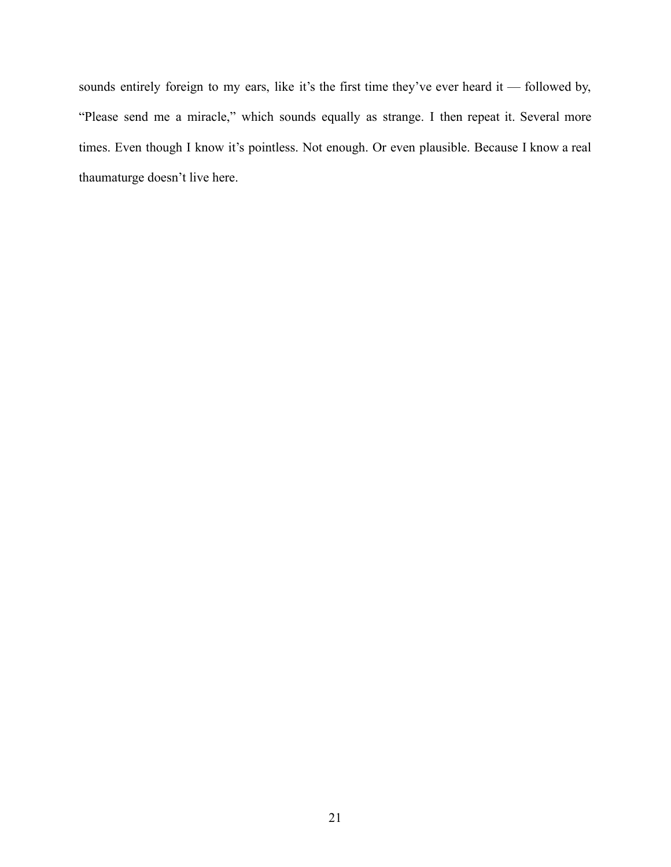sounds entirely foreign to my ears, like it's the first time they've ever heard it — followed by, "Please send me a miracle," which sounds equally as strange. I then repeat it. Several more times. Even though I know it's pointless. Not enough. Or even plausible. Because I know a real thaumaturge doesn't live here.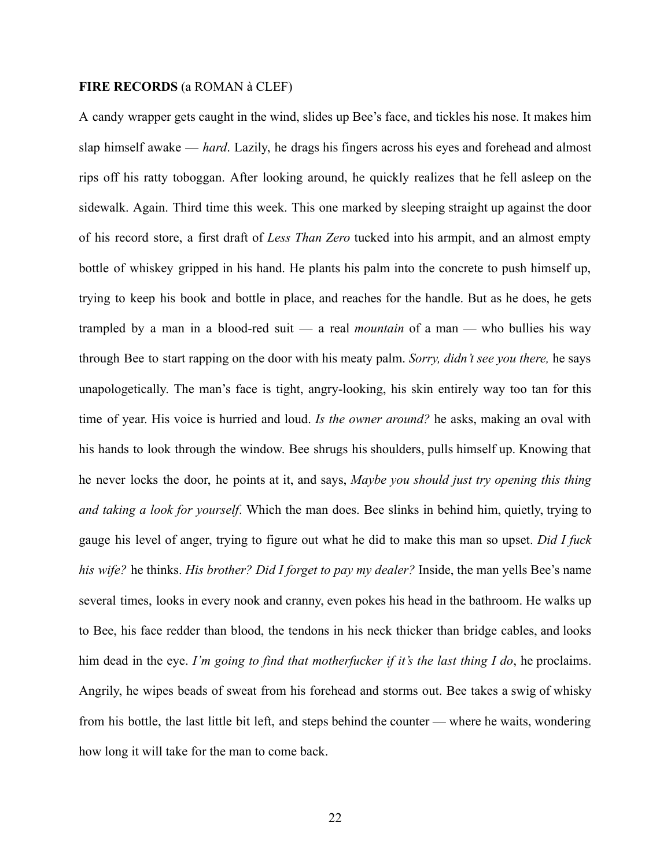# **FIRE RECORDS** (a ROMAN à CLEF)

A candy wrapper gets caught in the wind, slides up Bee's face, and tickles his nose. It makes him slap himself awake — *hard*. Lazily, he drags his fingers across his eyes and forehead and almost rips off his ratty toboggan. After looking around, he quickly realizes that he fell asleep on the sidewalk. Again. Third time this week. This one marked by sleeping straight up against the door of his record store, a first draft of *Less Than Zero* tucked into his armpit, and an almost empty bottle of whiskey gripped in his hand. He plants his palm into the concrete to push himself up, trying to keep his book and bottle in place, and reaches for the handle. But as he does, he gets trampled by a man in a blood-red suit — a real *mountain* of a man — who bullies his way through Bee to start rapping on the door with his meaty palm. *Sorry, didn't see you there,* he says unapologetically. The man's face is tight, angry-looking, his skin entirely way too tan for this time of year. His voice is hurried and loud. *Is the owner around?* he asks, making an oval with his hands to look through the window. Bee shrugs his shoulders, pulls himself up. Knowing that he never locks the door, he points at it, and says, *Maybe you should just try opening this thing and taking a look for yourself*. Which the man does. Bee slinks in behind him, quietly, trying to gauge his level of anger, trying to figure out what he did to make this man so upset. *Did I fuck his wife?* he thinks. *His brother? Did I forget to pay my dealer?* Inside, the man yells Bee's name several times, looks in every nook and cranny, even pokes his head in the bathroom. He walks up to Bee, his face redder than blood, the tendons in his neck thicker than bridge cables, and looks him dead in the eye. *I'm going to find that motherfucker if it's the last thing I do*, he proclaims. Angrily, he wipes beads of sweat from his forehead and storms out. Bee takes a swig of whisky from his bottle, the last little bit left, and steps behind the counter — where he waits, wondering how long it will take for the man to come back.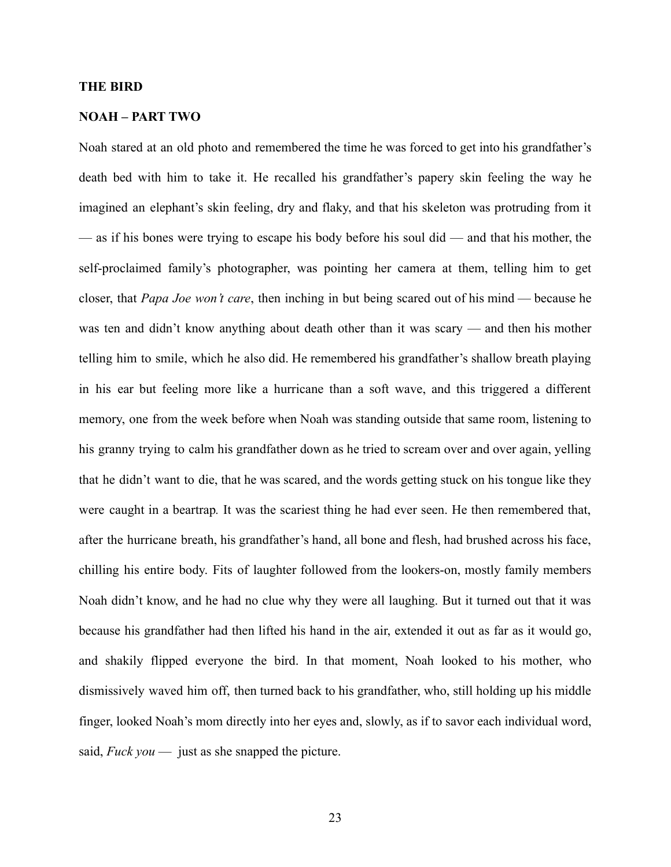#### **THE BIRD**

# **NOAH – PART TWO**

Noah stared at an old photo and remembered the time he was forced to get into his grandfather's death bed with him to take it. He recalled his grandfather's papery skin feeling the way he imagined an elephant's skin feeling, dry and flaky, and that his skeleton was protruding from it — as if his bones were trying to escape his body before his soul did — and that his mother, the self-proclaimed family's photographer, was pointing her camera at them, telling him to get closer, that *Papa Joe won't care*, then inching in but being scared out of his mind — because he was ten and didn't know anything about death other than it was scary — and then his mother telling him to smile, which he also did. He remembered his grandfather's shallow breath playing in his ear but feeling more like a hurricane than a soft wave, and this triggered a different memory, one from the week before when Noah was standing outside that same room, listening to his granny trying to calm his grandfather down as he tried to scream over and over again, yelling that he didn't want to die, that he was scared, and the words getting stuck on his tongue like they were caught in a beartrap*.* It was the scariest thing he had ever seen. He then remembered that, after the hurricane breath, his grandfather's hand, all bone and flesh, had brushed across his face, chilling his entire body. Fits of laughter followed from the lookers-on, mostly family members Noah didn't know, and he had no clue why they were all laughing. But it turned out that it was because his grandfather had then lifted his hand in the air, extended it out as far as it would go, and shakily flipped everyone the bird. In that moment, Noah looked to his mother, who dismissively waved him off, then turned back to his grandfather, who, still holding up his middle finger, looked Noah's mom directly into her eyes and, slowly, as if to savor each individual word, said, *Fuck you* — just as she snapped the picture.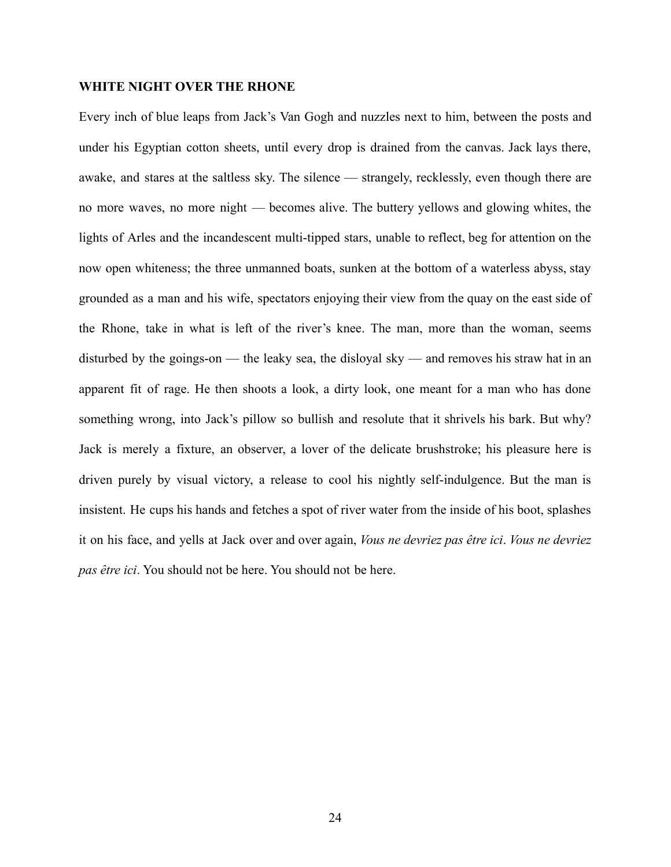#### **WHITE NIGHT OVER THE RHONE**

Every inch of blue leaps from Jack's Van Gogh and nuzzles next to him, between the posts and under his Egyptian cotton sheets, until every drop is drained from the canvas. Jack lays there, awake, and stares at the saltless sky. The silence — strangely, recklessly, even though there are no more waves, no more night — becomes alive. The buttery yellows and glowing whites, the lights of Arles and the incandescent multi-tipped stars, unable to reflect, beg for attention on the now open whiteness; the three unmanned boats, sunken at the bottom of a waterless abyss, stay grounded as a man and his wife, spectators enjoying their view from the quay on the east side of the Rhone, take in what is left of the river's knee. The man, more than the woman, seems disturbed by the goings-on — the leaky sea, the disloyal sky — and removes his straw hat in an apparent fit of rage. He then shoots a look, a dirty look, one meant for a man who has done something wrong, into Jack's pillow so bullish and resolute that it shrivels his bark. But why? Jack is merely a fixture, an observer, a lover of the delicate brushstroke; his pleasure here is driven purely by visual victory, a release to cool his nightly self-indulgence. But the man is insistent. He cups his hands and fetches a spot of river water from the inside of his boot, splashes it on his face, and yells at Jack over and over again, *Vous ne devriez pas être ici*. *Vous ne devriez pas être ici*. You should not be here. You should not be here.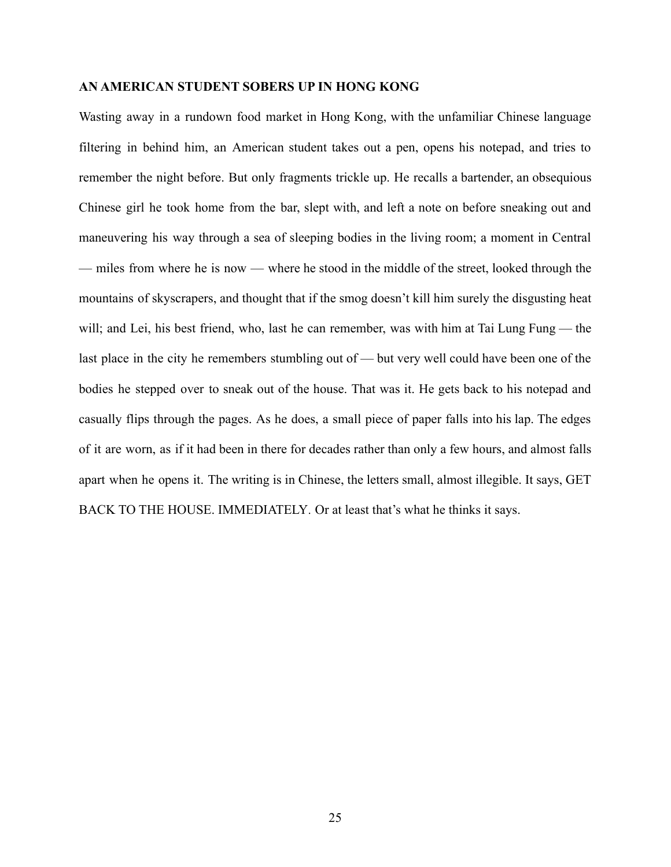#### **AN AMERICAN STUDENT SOBERS UP IN HONG KONG**

Wasting away in a rundown food market in Hong Kong, with the unfamiliar Chinese language filtering in behind him, an American student takes out a pen, opens his notepad, and tries to remember the night before. But only fragments trickle up. He recalls a bartender, an obsequious Chinese girl he took home from the bar, slept with, and left a note on before sneaking out and maneuvering his way through a sea of sleeping bodies in the living room; a moment in Central — miles from where he is now — where he stood in the middle of the street, looked through the mountains of skyscrapers, and thought that if the smog doesn't kill him surely the disgusting heat will; and Lei, his best friend, who, last he can remember, was with him at Tai Lung Fung — the last place in the city he remembers stumbling out of — but very well could have been one of the bodies he stepped over to sneak out of the house. That was it. He gets back to his notepad and casually flips through the pages. As he does, a small piece of paper falls into his lap. The edges of it are worn, as if it had been in there for decades rather than only a few hours, and almost falls apart when he opens it. The writing is in Chinese, the letters small, almost illegible. It says, GET BACK TO THE HOUSE. IMMEDIATELY*.* Or at least that's what he thinks it says.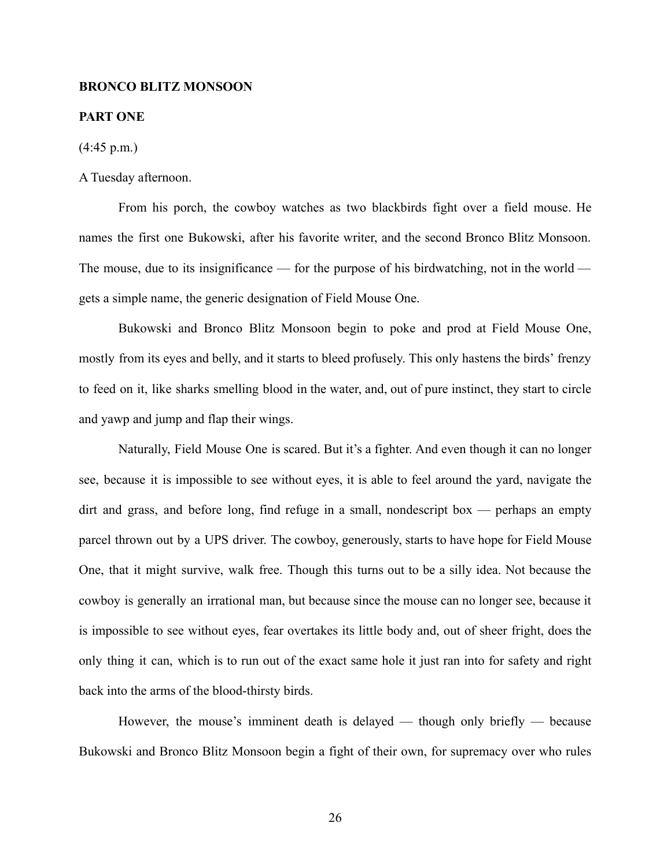## **BRONCO BLITZ MONSOON**

#### **PART ONE**

 $(4:45 \text{ p.m.})$ 

## A Tuesday afternoon.

From his porch, the cowboy watches as two blackbirds fight over a field mouse. He names the first one Bukowski, after his favorite writer, and the second Bronco Blitz Monsoon. The mouse, due to its insignificance — for the purpose of his birdwatching, not in the world gets a simple name, the generic designation of Field Mouse One.

Bukowski and Bronco Blitz Monsoon begin to poke and prod at Field Mouse One, mostly from its eyes and belly, and it starts to bleed profusely. This only hastens the birds' frenzy to feed on it, like sharks smelling blood in the water, and, out of pure instinct, they start to circle and yawp and jump and flap their wings.

Naturally, Field Mouse One is scared. But it's a fighter. And even though it can no longer see, because it is impossible to see without eyes, it is able to feel around the yard, navigate the dirt and grass, and before long, find refuge in a small, nondescript box — perhaps an empty parcel thrown out by a UPS driver. The cowboy, generously, starts to have hope for Field Mouse One, that it might survive, walk free. Though this turns out to be a silly idea. Not because the cowboy is generally an irrational man, but because since the mouse can no longer see, because it is impossible to see without eyes, fear overtakes its little body and, out of sheer fright, does the only thing it can, which is to run out of the exact same hole it just ran into for safety and right back into the arms of the blood-thirsty birds.

However, the mouse's imminent death is delayed — though only briefly — because Bukowski and Bronco Blitz Monsoon begin a fight of their own, for supremacy over who rules

26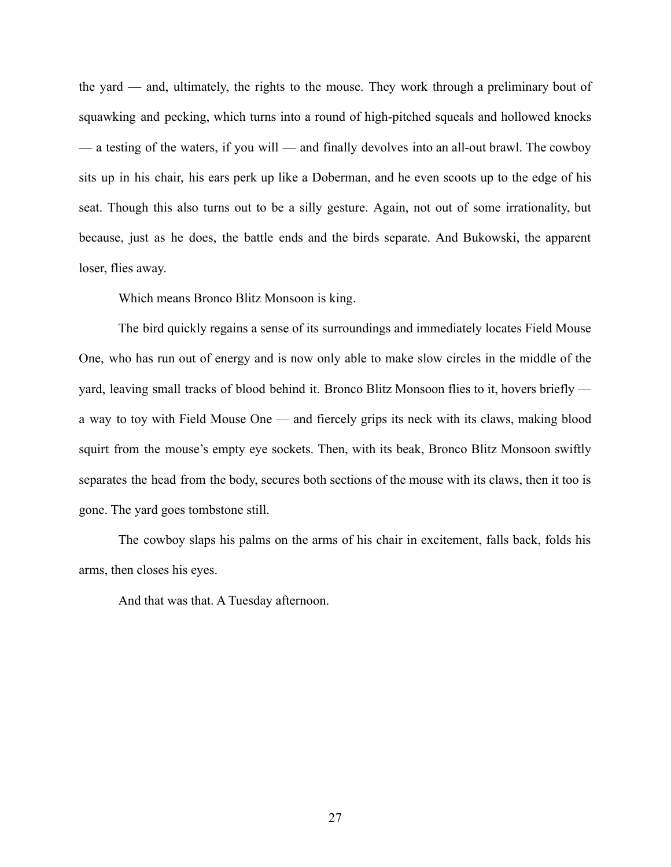the yard — and, ultimately, the rights to the mouse. They work through a preliminary bout of squawking and pecking, which turns into a round of high-pitched squeals and hollowed knocks — a testing of the waters, if you will — and finally devolves into an all-out brawl. The cowboy sits up in his chair, his ears perk up like a Doberman, and he even scoots up to the edge of his seat. Though this also turns out to be a silly gesture. Again, not out of some irrationality, but because, just as he does, the battle ends and the birds separate. And Bukowski, the apparent loser, flies away.

Which means Bronco Blitz Monsoon is king.

The bird quickly regains a sense of its surroundings and immediately locates Field Mouse One, who has run out of energy and is now only able to make slow circles in the middle of the yard, leaving small tracks of blood behind it. Bronco Blitz Monsoon flies to it, hovers briefly a way to toy with Field Mouse One — and fiercely grips its neck with its claws, making blood squirt from the mouse's empty eye sockets. Then, with its beak, Bronco Blitz Monsoon swiftly separates the head from the body, secures both sections of the mouse with its claws, then it too is gone. The yard goes tombstone still.

The cowboy slaps his palms on the arms of his chair in excitement, falls back, folds his arms, then closes his eyes.

And that was that. A Tuesday afternoon.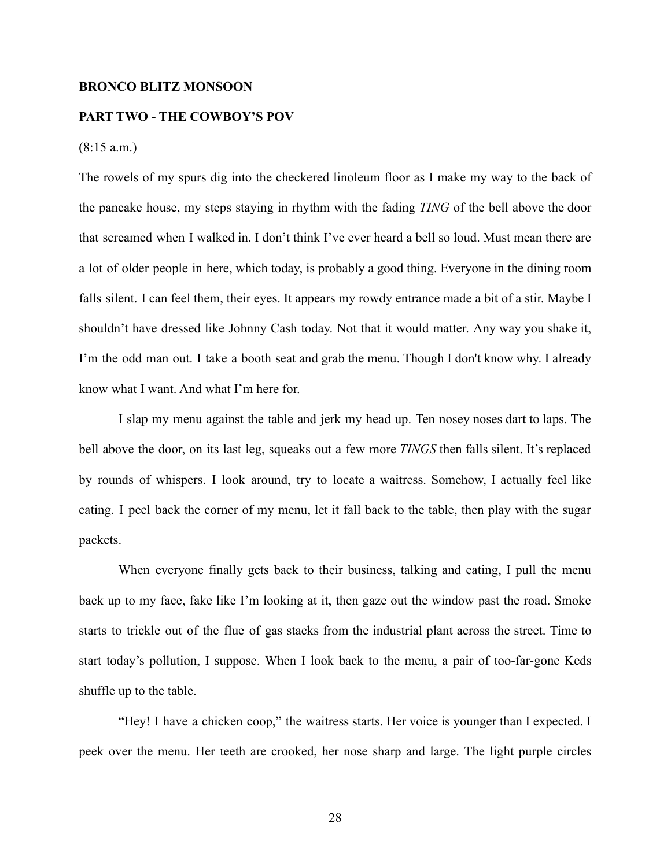#### **BRONCO BLITZ MONSOON**

# **PART TWO - THE COWBOY'S POV**

# $(8:15 a.m.)$

The rowels of my spurs dig into the checkered linoleum floor as I make my way to the back of the pancake house, my steps staying in rhythm with the fading *TING* of the bell above the door that screamed when I walked in. I don't think I've ever heard a bell so loud. Must mean there are a lot of older people in here, which today, is probably a good thing. Everyone in the dining room falls silent. I can feel them, their eyes. It appears my rowdy entrance made a bit of a stir. Maybe I shouldn't have dressed like Johnny Cash today. Not that it would matter. Any way you shake it, I'm the odd man out. I take a booth seat and grab the menu. Though I don't know why. I already know what I want. And what I'm here for.

I slap my menu against the table and jerk my head up. Ten nosey noses dart to laps. The bell above the door, on its last leg, squeaks out a few more *TINGS* then falls silent. It's replaced by rounds of whispers. I look around, try to locate a waitress. Somehow, I actually feel like eating. I peel back the corner of my menu, let it fall back to the table, then play with the sugar packets.

When everyone finally gets back to their business, talking and eating, I pull the menu back up to my face, fake like I'm looking at it, then gaze out the window past the road. Smoke starts to trickle out of the flue of gas stacks from the industrial plant across the street. Time to start today's pollution, I suppose. When I look back to the menu, a pair of too-far-gone Keds shuffle up to the table.

"Hey! I have a chicken coop," the waitress starts. Her voice is younger than I expected. I peek over the menu. Her teeth are crooked, her nose sharp and large. The light purple circles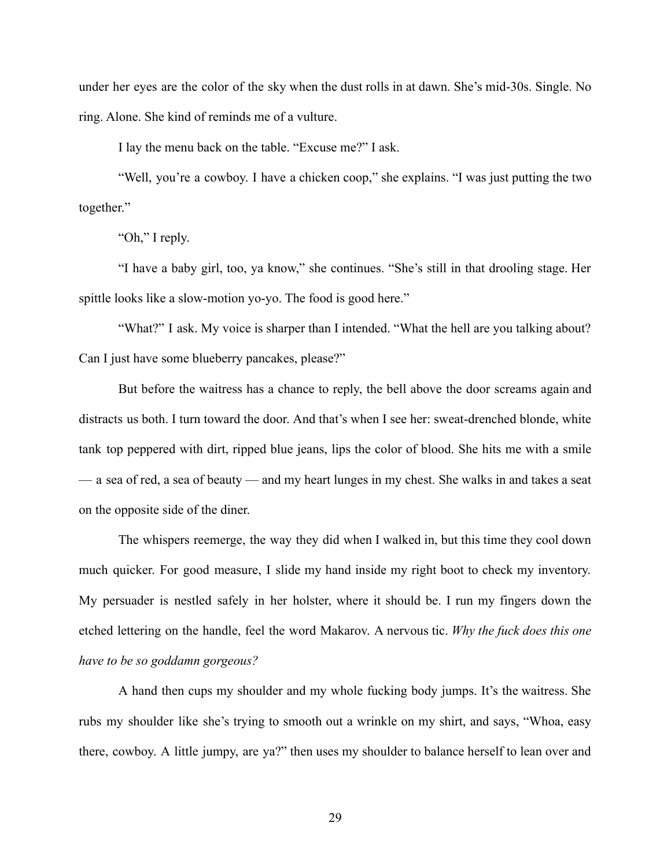under her eyes are the color of the sky when the dust rolls in at dawn. She's mid-30s. Single. No ring. Alone. She kind of reminds me of a vulture.

I lay the menu back on the table. "Excuse me?" I ask.

"Well, you're a cowboy. I have a chicken coop," she explains. "I was just putting the two together."

"Oh," I reply.

"I have a baby girl, too, ya know," she continues. "She's still in that drooling stage. Her spittle looks like a slow-motion yo-yo. The food is good here."

"What?" I ask. My voice is sharper than I intended. "What the hell are you talking about? Can I just have some blueberry pancakes, please?"

But before the waitress has a chance to reply, the bell above the door screams again and distracts us both. I turn toward the door. And that's when I see her: sweat-drenched blonde, white tank top peppered with dirt, ripped blue jeans, lips the color of blood. She hits me with a smile — a sea of red, a sea of beauty — and my heart lunges in my chest. She walks in and takes a seat on the opposite side of the diner.

The whispers reemerge, the way they did when I walked in, but this time they cool down much quicker. For good measure, I slide my hand inside my right boot to check my inventory. My persuader is nestled safely in her holster, where it should be. I run my fingers down the etched lettering on the handle, feel the word Makarov. A nervous tic. *Why the fuck does this one have to be so goddamn gorgeous?*

A hand then cups my shoulder and my whole fucking body jumps. It's the waitress. She rubs my shoulder like she's trying to smooth out a wrinkle on my shirt, and says, "Whoa, easy there, cowboy. A little jumpy, are ya?" then uses my shoulder to balance herself to lean over and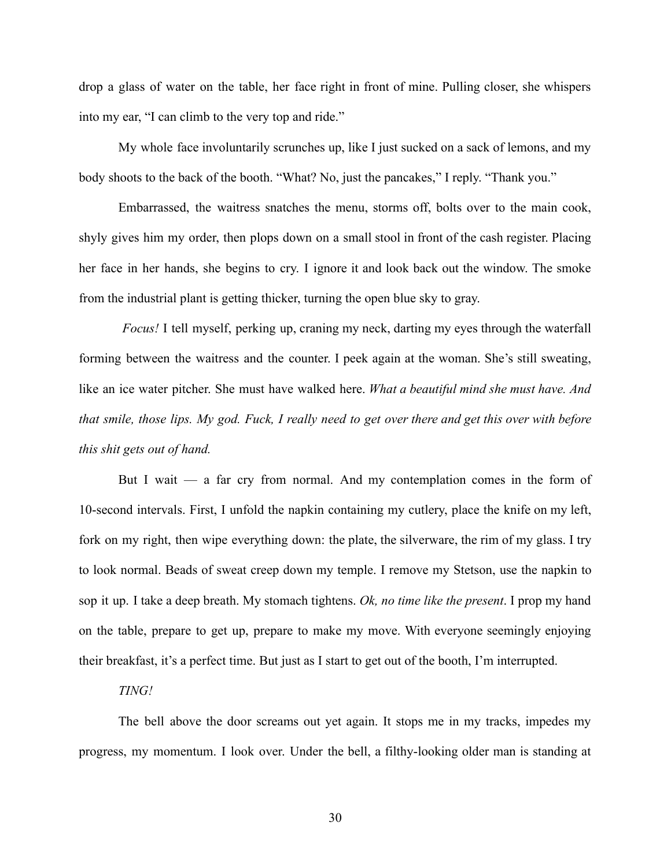drop a glass of water on the table, her face right in front of mine. Pulling closer, she whispers into my ear, "I can climb to the very top and ride."

My whole face involuntarily scrunches up, like I just sucked on a sack of lemons, and my body shoots to the back of the booth. "What? No, just the pancakes," I reply. "Thank you."

Embarrassed, the waitress snatches the menu, storms off, bolts over to the main cook, shyly gives him my order, then plops down on a small stool in front of the cash register. Placing her face in her hands, she begins to cry. I ignore it and look back out the window. The smoke from the industrial plant is getting thicker, turning the open blue sky to gray.

*Focus!* I tell myself, perking up, craning my neck, darting my eyes through the waterfall forming between the waitress and the counter. I peek again at the woman. She's still sweating, like an ice water pitcher. She must have walked here. *What a beautiful mind she must have. And* that smile, those lips. My god. Fuck, I really need to get over there and get this over with before *this shit gets out of hand.*

But I wait  $-$  a far cry from normal. And my contemplation comes in the form of 10-second intervals. First, I unfold the napkin containing my cutlery, place the knife on my left, fork on my right, then wipe everything down: the plate, the silverware, the rim of my glass. I try to look normal. Beads of sweat creep down my temple. I remove my Stetson, use the napkin to sop it up. I take a deep breath. My stomach tightens. *Ok, no time like the present*. I prop my hand on the table, prepare to get up, prepare to make my move. With everyone seemingly enjoying their breakfast, it's a perfect time. But just as I start to get out of the booth, I'm interrupted.

#### *TING!*

The bell above the door screams out yet again. It stops me in my tracks, impedes my progress, my momentum. I look over. Under the bell, a filthy-looking older man is standing at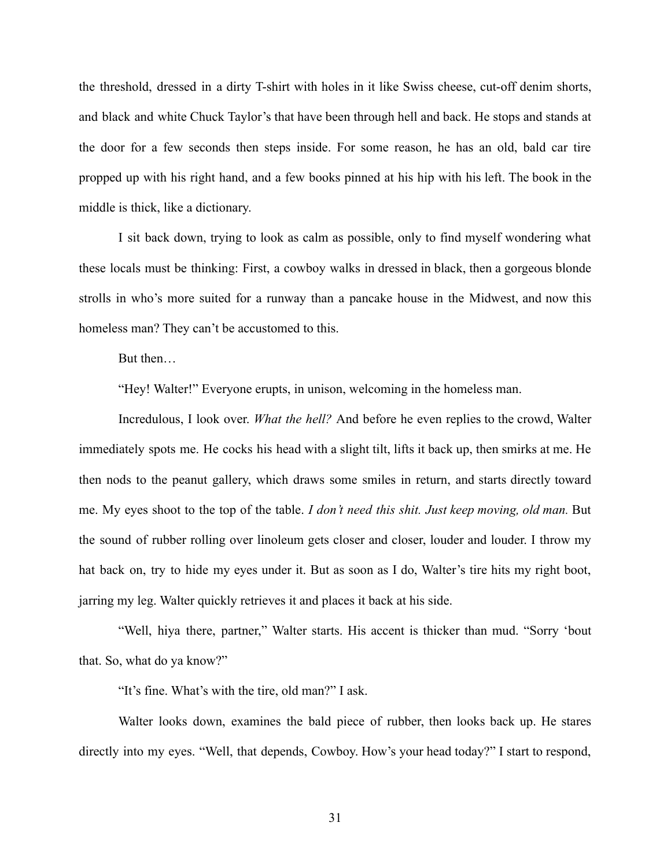the threshold, dressed in a dirty T-shirt with holes in it like Swiss cheese, cut-off denim shorts, and black and white Chuck Taylor's that have been through hell and back. He stops and stands at the door for a few seconds then steps inside. For some reason, he has an old, bald car tire propped up with his right hand, and a few books pinned at his hip with his left. The book in the middle is thick, like a dictionary.

I sit back down, trying to look as calm as possible, only to find myself wondering what these locals must be thinking: First, a cowboy walks in dressed in black, then a gorgeous blonde strolls in who's more suited for a runway than a pancake house in the Midwest, and now this homeless man? They can't be accustomed to this.

But then…

"Hey! Walter!" Everyone erupts, in unison, welcoming in the homeless man.

Incredulous, I look over. *What the hell?* And before he even replies to the crowd, Walter immediately spots me. He cocks his head with a slight tilt, lifts it back up, then smirks at me. He then nods to the peanut gallery, which draws some smiles in return, and starts directly toward me. My eyes shoot to the top of the table. *I don't need this shit. Just keep moving, old man.* But the sound of rubber rolling over linoleum gets closer and closer, louder and louder. I throw my hat back on, try to hide my eyes under it. But as soon as I do, Walter's tire hits my right boot, jarring my leg. Walter quickly retrieves it and places it back at his side.

"Well, hiya there, partner," Walter starts. His accent is thicker than mud. "Sorry 'bout that. So, what do ya know?"

"It's fine. What's with the tire, old man?" I ask.

Walter looks down, examines the bald piece of rubber, then looks back up. He stares directly into my eyes. "Well, that depends, Cowboy. How's your head today?" I start to respond,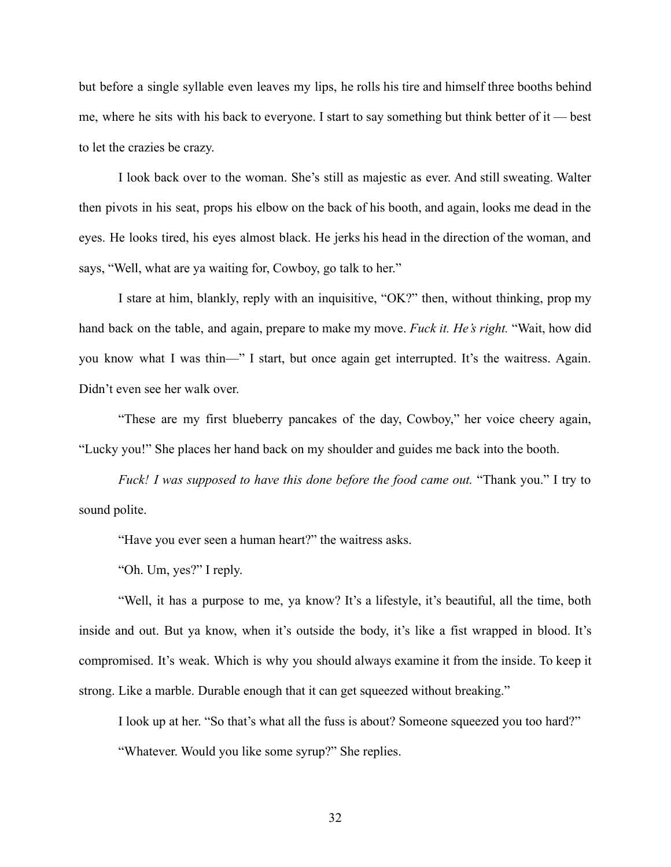but before a single syllable even leaves my lips, he rolls his tire and himself three booths behind me, where he sits with his back to everyone. I start to say something but think better of it — best to let the crazies be crazy.

I look back over to the woman. She's still as majestic as ever. And still sweating. Walter then pivots in his seat, props his elbow on the back of his booth, and again, looks me dead in the eyes. He looks tired, his eyes almost black. He jerks his head in the direction of the woman, and says, "Well, what are ya waiting for, Cowboy, go talk to her."

I stare at him, blankly, reply with an inquisitive, "OK?" then, without thinking, prop my hand back on the table, and again, prepare to make my move. *Fuck it. He's right.* "Wait, how did you know what I was thin—" I start, but once again get interrupted. It's the waitress. Again. Didn't even see her walk over.

"These are my first blueberry pancakes of the day, Cowboy," her voice cheery again, "Lucky you!" She places her hand back on my shoulder and guides me back into the booth.

*Fuck! I was supposed to have this done before the food came out.* "Thank you." I try to sound polite.

"Have you ever seen a human heart?" the waitress asks.

"Oh. Um, yes?" I reply.

"Well, it has a purpose to me, ya know? It's a lifestyle, it's beautiful, all the time, both inside and out. But ya know, when it's outside the body, it's like a fist wrapped in blood. It's compromised. It's weak. Which is why you should always examine it from the inside. To keep it strong. Like a marble. Durable enough that it can get squeezed without breaking."

I look up at her. "So that's what all the fuss is about? Someone squeezed you too hard?"

"Whatever. Would you like some syrup?" She replies.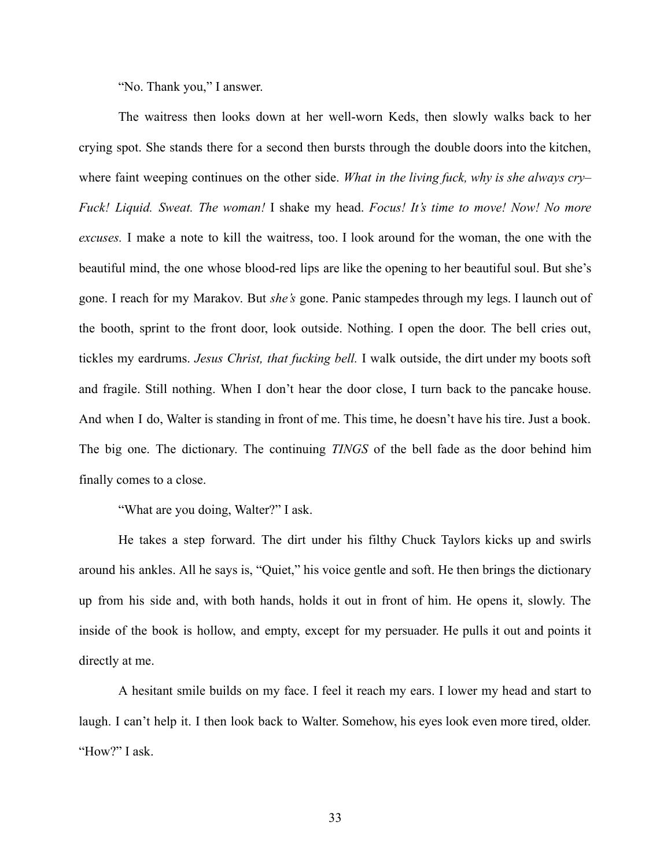"No. Thank you," I answer.

The waitress then looks down at her well-worn Keds, then slowly walks back to her crying spot. She stands there for a second then bursts through the double doors into the kitchen, where faint weeping continues on the other side. *What in the living fuck, why is she always cry– Fuck! Liquid. Sweat. The woman!* I shake my head. *Focus! It's time to move! Now! No more excuses.* I make a note to kill the waitress, too. I look around for the woman, the one with the beautiful mind, the one whose blood-red lips are like the opening to her beautiful soul. But she's gone. I reach for my Marakov. But *she's* gone. Panic stampedes through my legs. I launch out of the booth, sprint to the front door, look outside. Nothing. I open the door. The bell cries out, tickles my eardrums. *Jesus Christ, that fucking bell.* I walk outside, the dirt under my boots soft and fragile. Still nothing. When I don't hear the door close, I turn back to the pancake house. And when I do, Walter is standing in front of me. This time, he doesn't have his tire. Just a book. The big one. The dictionary. The continuing *TINGS* of the bell fade as the door behind him finally comes to a close.

"What are you doing, Walter?" I ask.

He takes a step forward. The dirt under his filthy Chuck Taylors kicks up and swirls around his ankles. All he says is, "Quiet," his voice gentle and soft. He then brings the dictionary up from his side and, with both hands, holds it out in front of him. He opens it, slowly. The inside of the book is hollow, and empty, except for my persuader. He pulls it out and points it directly at me.

A hesitant smile builds on my face. I feel it reach my ears. I lower my head and start to laugh. I can't help it. I then look back to Walter. Somehow, his eyes look even more tired, older. "How?" I ask.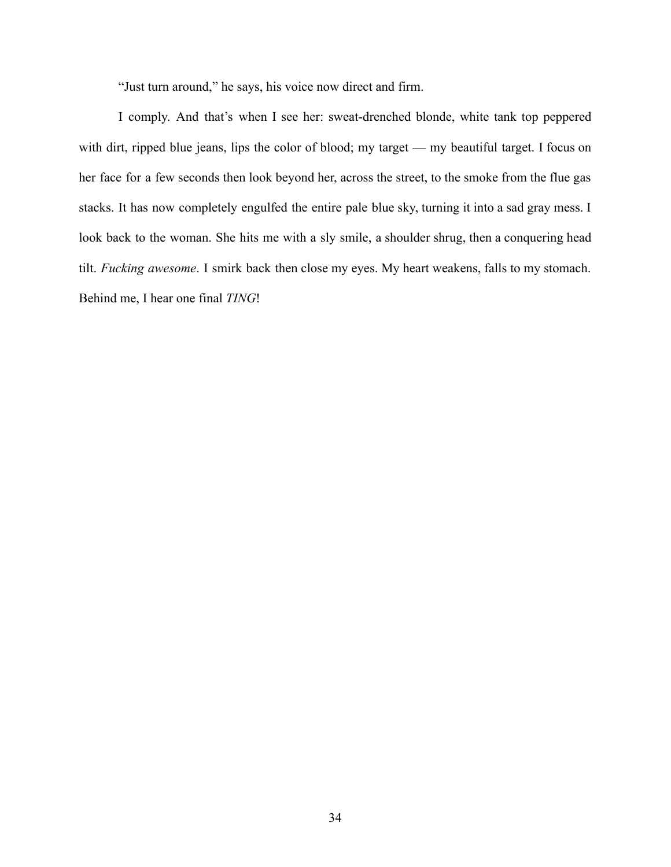"Just turn around," he says, his voice now direct and firm.

I comply. And that's when I see her: sweat-drenched blonde, white tank top peppered with dirt, ripped blue jeans, lips the color of blood; my target — my beautiful target. I focus on her face for a few seconds then look beyond her, across the street, to the smoke from the flue gas stacks. It has now completely engulfed the entire pale blue sky, turning it into a sad gray mess. I look back to the woman. She hits me with a sly smile, a shoulder shrug, then a conquering head tilt. *Fucking awesome*. I smirk back then close my eyes. My heart weakens, falls to my stomach. Behind me, I hear one final *TING*!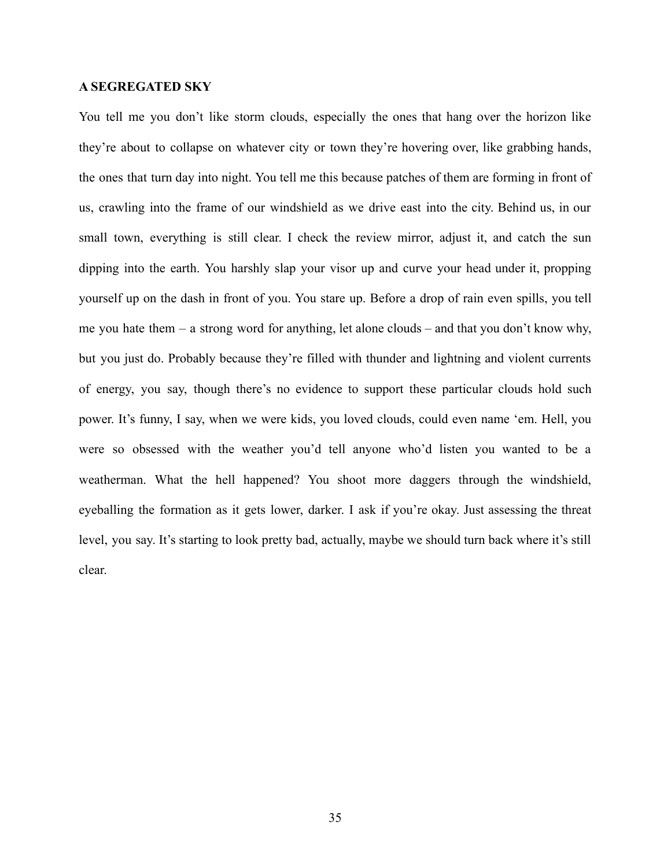# **A SEGREGATED SKY**

You tell me you don't like storm clouds, especially the ones that hang over the horizon like they're about to collapse on whatever city or town they're hovering over, like grabbing hands, the ones that turn day into night. You tell me this because patches of them are forming in front of us, crawling into the frame of our windshield as we drive east into the city. Behind us, in our small town, everything is still clear. I check the review mirror, adjust it, and catch the sun dipping into the earth. You harshly slap your visor up and curve your head under it, propping yourself up on the dash in front of you. You stare up. Before a drop of rain even spills, you tell me you hate them – a strong word for anything, let alone clouds – and that you don't know why, but you just do. Probably because they're filled with thunder and lightning and violent currents of energy, you say, though there's no evidence to support these particular clouds hold such power. It's funny, I say, when we were kids, you loved clouds, could even name 'em. Hell, you were so obsessed with the weather you'd tell anyone who'd listen you wanted to be a weatherman. What the hell happened? You shoot more daggers through the windshield, eyeballing the formation as it gets lower, darker. I ask if you're okay. Just assessing the threat level, you say. It's starting to look pretty bad, actually, maybe we should turn back where it's still clear.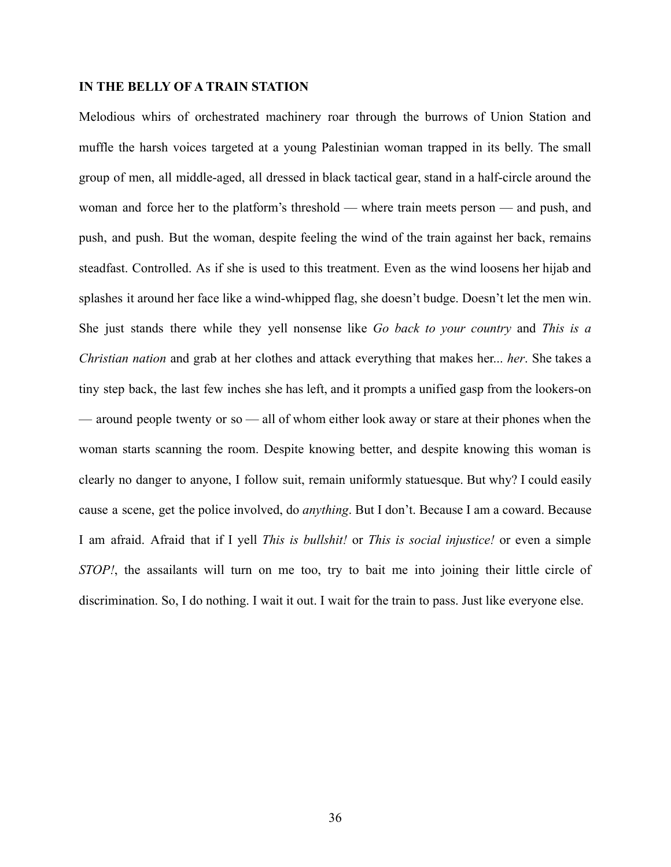## **IN THE BELLY OF A TRAIN STATION**

Melodious whirs of orchestrated machinery roar through the burrows of Union Station and muffle the harsh voices targeted at a young Palestinian woman trapped in its belly. The small group of men, all middle-aged, all dressed in black tactical gear, stand in a half-circle around the woman and force her to the platform's threshold — where train meets person — and push, and push, and push. But the woman, despite feeling the wind of the train against her back, remains steadfast. Controlled. As if she is used to this treatment. Even as the wind loosens her hijab and splashes it around her face like a wind-whipped flag, she doesn't budge. Doesn't let the men win. She just stands there while they yell nonsense like *Go back to your country* and *This is a Christian nation* and grab at her clothes and attack everything that makes her... *her*. She takes a tiny step back, the last few inches she has left, and it prompts a unified gasp from the lookers-on — around people twenty or so — all of whom either look away or stare at their phones when the woman starts scanning the room. Despite knowing better, and despite knowing this woman is clearly no danger to anyone, I follow suit, remain uniformly statuesque. But why? I could easily cause a scene, get the police involved, do *anything*. But I don't. Because I am a coward. Because I am afraid. Afraid that if I yell *This is bullshit!* or *This is social injustice!* or even a simple *STOP!*, the assailants will turn on me too, try to bait me into joining their little circle of discrimination. So, I do nothing. I wait it out. I wait for the train to pass. Just like everyone else.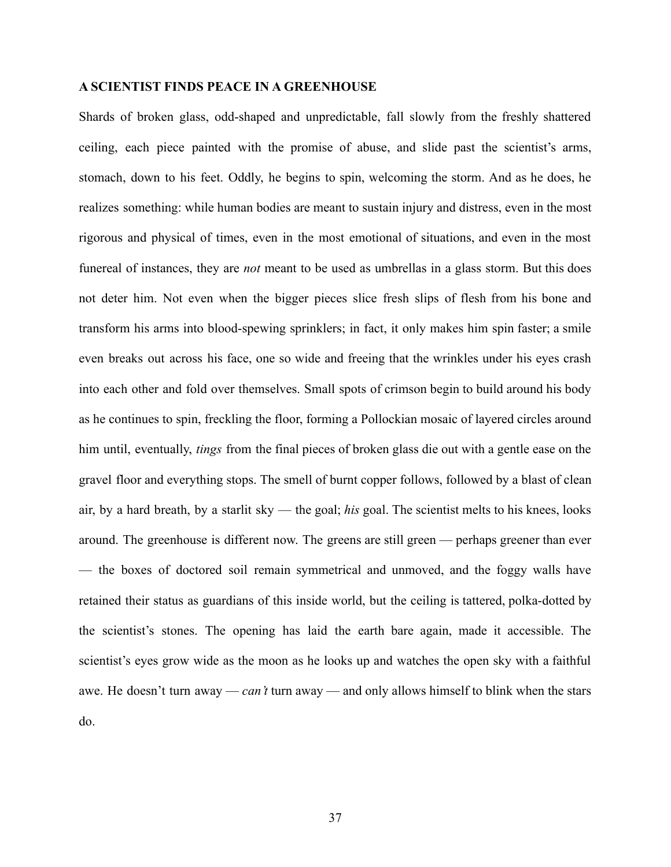## **A SCIENTIST FINDS PEACE IN A GREENHOUSE**

Shards of broken glass, odd-shaped and unpredictable, fall slowly from the freshly shattered ceiling, each piece painted with the promise of abuse, and slide past the scientist's arms, stomach, down to his feet. Oddly, he begins to spin, welcoming the storm. And as he does, he realizes something: while human bodies are meant to sustain injury and distress, even in the most rigorous and physical of times, even in the most emotional of situations, and even in the most funereal of instances, they are *not* meant to be used as umbrellas in a glass storm. But this does not deter him. Not even when the bigger pieces slice fresh slips of flesh from his bone and transform his arms into blood-spewing sprinklers; in fact, it only makes him spin faster; a smile even breaks out across his face, one so wide and freeing that the wrinkles under his eyes crash into each other and fold over themselves. Small spots of crimson begin to build around his body as he continues to spin, freckling the floor, forming a Pollockian mosaic of layered circles around him until, eventually, *tings* from the final pieces of broken glass die out with a gentle ease on the gravel floor and everything stops. The smell of burnt copper follows, followed by a blast of clean air, by a hard breath, by a starlit sky — the goal; *his* goal. The scientist melts to his knees, looks around. The greenhouse is different now. The greens are still green — perhaps greener than ever — the boxes of doctored soil remain symmetrical and unmoved, and the foggy walls have retained their status as guardians of this inside world, but the ceiling is tattered, polka-dotted by the scientist's stones. The opening has laid the earth bare again, made it accessible. The scientist's eyes grow wide as the moon as he looks up and watches the open sky with a faithful awe. He doesn't turn away — *can't* turn away — and only allows himself to blink when the stars do.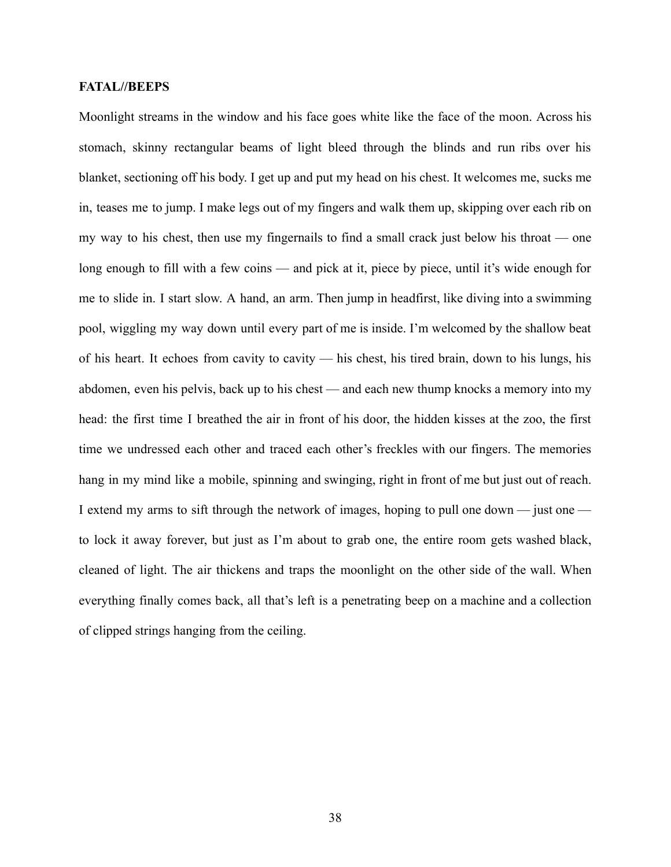## **FATAL//BEEPS**

Moonlight streams in the window and his face goes white like the face of the moon. Across his stomach, skinny rectangular beams of light bleed through the blinds and run ribs over his blanket, sectioning off his body. I get up and put my head on his chest. It welcomes me, sucks me in, teases me to jump. I make legs out of my fingers and walk them up, skipping over each rib on my way to his chest, then use my fingernails to find a small crack just below his throat — one long enough to fill with a few coins — and pick at it, piece by piece, until it's wide enough for me to slide in. I start slow. A hand, an arm. Then jump in headfirst, like diving into a swimming pool, wiggling my way down until every part of me is inside. I'm welcomed by the shallow beat of his heart. It echoes from cavity to cavity — his chest, his tired brain, down to his lungs, his abdomen, even his pelvis, back up to his chest — and each new thump knocks a memory into my head: the first time I breathed the air in front of his door, the hidden kisses at the zoo, the first time we undressed each other and traced each other's freckles with our fingers. The memories hang in my mind like a mobile, spinning and swinging, right in front of me but just out of reach. I extend my arms to sift through the network of images, hoping to pull one down — just one to lock it away forever, but just as I'm about to grab one, the entire room gets washed black, cleaned of light. The air thickens and traps the moonlight on the other side of the wall. When everything finally comes back, all that's left is a penetrating beep on a machine and a collection of clipped strings hanging from the ceiling.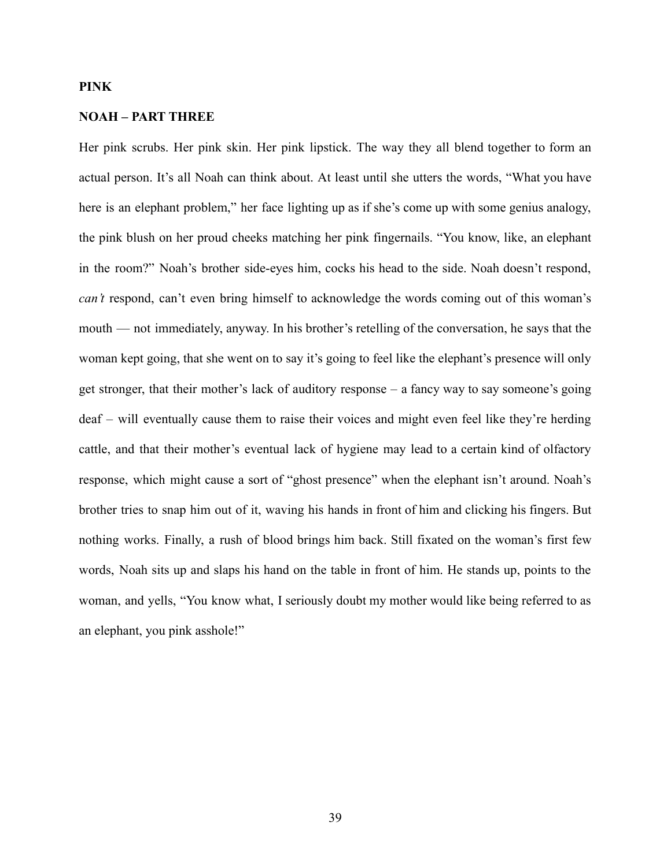# **PINK**

## **NOAH – PART THREE**

Her pink scrubs. Her pink skin. Her pink lipstick. The way they all blend together to form an actual person. It's all Noah can think about. At least until she utters the words, "What you have here is an elephant problem," her face lighting up as if she's come up with some genius analogy, the pink blush on her proud cheeks matching her pink fingernails. "You know, like, an elephant in the room?" Noah's brother side-eyes him, cocks his head to the side. Noah doesn't respond, *can't* respond, can't even bring himself to acknowledge the words coming out of this woman's mouth — not immediately, anyway. In his brother's retelling of the conversation, he says that the woman kept going, that she went on to say it's going to feel like the elephant's presence will only get stronger, that their mother's lack of auditory response – a fancy way to say someone's going deaf – will eventually cause them to raise their voices and might even feel like they're herding cattle, and that their mother's eventual lack of hygiene may lead to a certain kind of olfactory response, which might cause a sort of "ghost presence" when the elephant isn't around. Noah's brother tries to snap him out of it, waving his hands in front of him and clicking his fingers. But nothing works. Finally, a rush of blood brings him back. Still fixated on the woman's first few words, Noah sits up and slaps his hand on the table in front of him. He stands up, points to the woman, and yells, "You know what, I seriously doubt my mother would like being referred to as an elephant, you pink asshole!"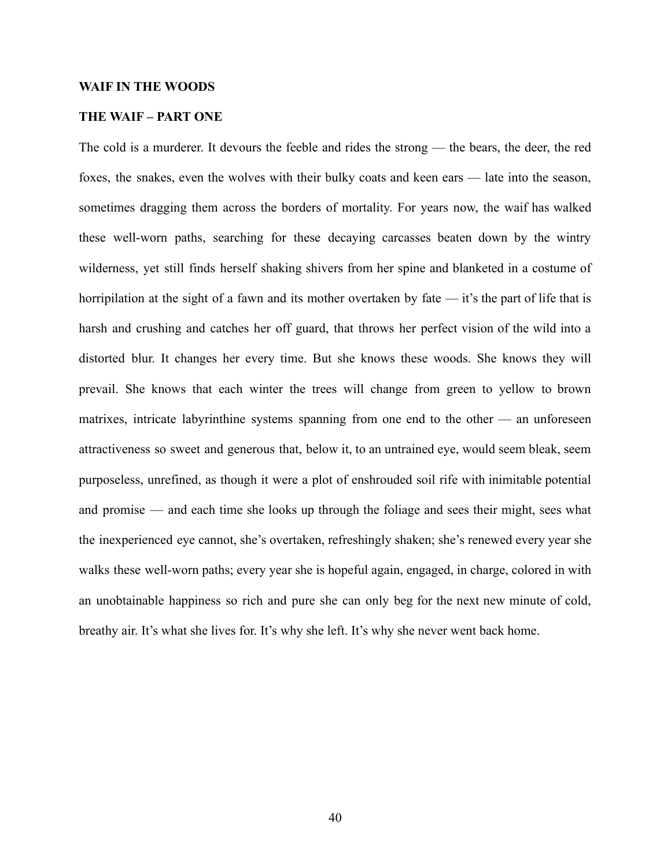#### **WAIF IN THE WOODS**

#### **THE WAIF – PART ONE**

The cold is a murderer. It devours the feeble and rides the strong — the bears, the deer, the red foxes, the snakes, even the wolves with their bulky coats and keen ears — late into the season, sometimes dragging them across the borders of mortality. For years now, the waif has walked these well-worn paths, searching for these decaying carcasses beaten down by the wintry wilderness, yet still finds herself shaking shivers from her spine and blanketed in a costume of horripilation at the sight of a fawn and its mother overtaken by fate — it's the part of life that is harsh and crushing and catches her off guard, that throws her perfect vision of the wild into a distorted blur. It changes her every time. But she knows these woods. She knows they will prevail. She knows that each winter the trees will change from green to yellow to brown matrixes, intricate labyrinthine systems spanning from one end to the other — an unforeseen attractiveness so sweet and generous that, below it, to an untrained eye, would seem bleak, seem purposeless, unrefined, as though it were a plot of enshrouded soil rife with inimitable potential and promise — and each time she looks up through the foliage and sees their might, sees what the inexperienced eye cannot, she's overtaken, refreshingly shaken; she's renewed every year she walks these well-worn paths; every year she is hopeful again, engaged, in charge, colored in with an unobtainable happiness so rich and pure she can only beg for the next new minute of cold, breathy air. It's what she lives for. It's why she left. It's why she never went back home.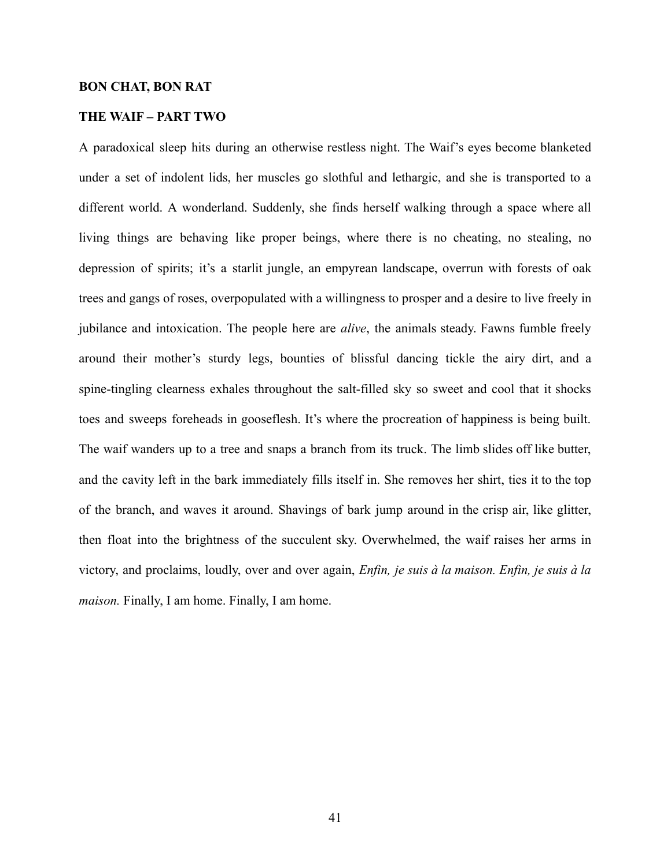#### **BON CHAT, BON RAT**

# **THE WAIF – PART TWO**

A paradoxical sleep hits during an otherwise restless night. The Waif's eyes become blanketed under a set of indolent lids, her muscles go slothful and lethargic, and she is transported to a different world. A wonderland. Suddenly, she finds herself walking through a space where all living things are behaving like proper beings, where there is no cheating, no stealing, no depression of spirits; it's a starlit jungle, an empyrean landscape, overrun with forests of oak trees and gangs of roses, overpopulated with a willingness to prosper and a desire to live freely in jubilance and intoxication. The people here are *alive*, the animals steady. Fawns fumble freely around their mother's sturdy legs, bounties of blissful dancing tickle the airy dirt, and a spine-tingling clearness exhales throughout the salt-filled sky so sweet and cool that it shocks toes and sweeps foreheads in gooseflesh. It's where the procreation of happiness is being built. The waif wanders up to a tree and snaps a branch from its truck. The limb slides off like butter, and the cavity left in the bark immediately fills itself in. She removes her shirt, ties it to the top of the branch, and waves it around. Shavings of bark jump around in the crisp air, like glitter, then float into the brightness of the succulent sky. Overwhelmed, the waif raises her arms in victory, and proclaims, loudly, over and over again, *Enfin, je suis à la maison. Enfin, je suis à la maison.* Finally, I am home. Finally, I am home.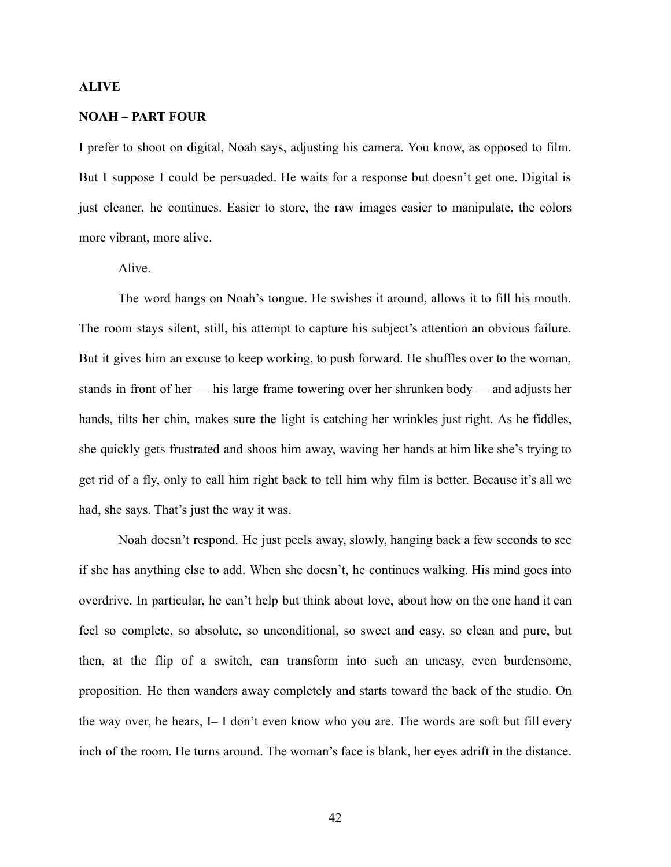#### **ALIVE**

#### **NOAH – PART FOUR**

I prefer to shoot on digital, Noah says, adjusting his camera. You know, as opposed to film. But I suppose I could be persuaded. He waits for a response but doesn't get one. Digital is just cleaner, he continues. Easier to store, the raw images easier to manipulate, the colors more vibrant, more alive.

Alive.

The word hangs on Noah's tongue. He swishes it around, allows it to fill his mouth. The room stays silent, still, his attempt to capture his subject's attention an obvious failure. But it gives him an excuse to keep working, to push forward. He shuffles over to the woman, stands in front of her — his large frame towering over her shrunken body — and adjusts her hands, tilts her chin, makes sure the light is catching her wrinkles just right. As he fiddles, she quickly gets frustrated and shoos him away, waving her hands at him like she's trying to get rid of a fly, only to call him right back to tell him why film is better. Because it's all we had, she says. That's just the way it was.

Noah doesn't respond. He just peels away, slowly, hanging back a few seconds to see if she has anything else to add. When she doesn't, he continues walking. His mind goes into overdrive. In particular, he can't help but think about love, about how on the one hand it can feel so complete, so absolute, so unconditional, so sweet and easy, so clean and pure, but then, at the flip of a switch, can transform into such an uneasy, even burdensome, proposition. He then wanders away completely and starts toward the back of the studio. On the way over, he hears, I– I don't even know who you are. The words are soft but fill every inch of the room. He turns around. The woman's face is blank, her eyes adrift in the distance.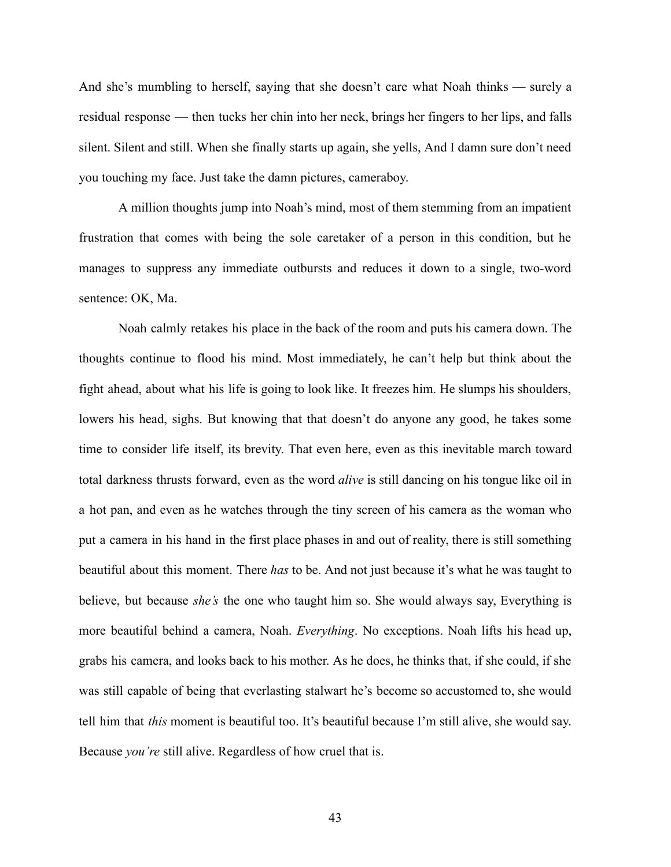And she's mumbling to herself, saying that she doesn't care what Noah thinks — surely a residual response — then tucks her chin into her neck, brings her fingers to her lips, and falls silent. Silent and still. When she finally starts up again, she yells, And I damn sure don't need you touching my face. Just take the damn pictures, cameraboy.

A million thoughts jump into Noah's mind, most of them stemming from an impatient frustration that comes with being the sole caretaker of a person in this condition, but he manages to suppress any immediate outbursts and reduces it down to a single, two-word sentence: OK, Ma.

Noah calmly retakes his place in the back of the room and puts his camera down. The thoughts continue to flood his mind. Most immediately, he can't help but think about the fight ahead, about what his life is going to look like. It freezes him. He slumps his shoulders, lowers his head, sighs. But knowing that that doesn't do anyone any good, he takes some time to consider life itself, its brevity. That even here, even as this inevitable march toward total darkness thrusts forward, even as the word *alive* is still dancing on his tongue like oil in a hot pan, and even as he watches through the tiny screen of his camera as the woman who put a camera in his hand in the first place phases in and out of reality, there is still something beautiful about this moment. There *has* to be. And not just because it's what he was taught to believe, but because *she's* the one who taught him so. She would always say, Everything is more beautiful behind a camera, Noah. *Everything*. No exceptions. Noah lifts his head up, grabs his camera, and looks back to his mother. As he does, he thinks that, if she could, if she was still capable of being that everlasting stalwart he's become so accustomed to, she would tell him that *this* moment is beautiful too. It's beautiful because I'm still alive, she would say. Because *you're* still alive. Regardless of how cruel that is.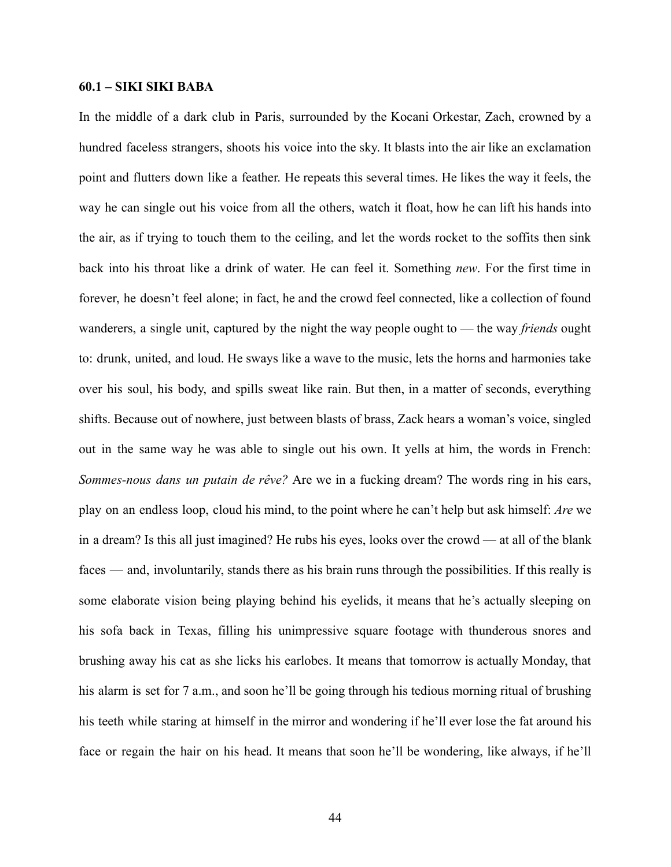## **60.1 – SIKI SIKI BABA**

In the middle of a dark club in Paris, surrounded by the Kocani Orkestar, Zach, crowned by a hundred faceless strangers, shoots his voice into the sky. It blasts into the air like an exclamation point and flutters down like a feather. He repeats this several times. He likes the way it feels, the way he can single out his voice from all the others, watch it float, how he can lift his hands into the air, as if trying to touch them to the ceiling, and let the words rocket to the soffits then sink back into his throat like a drink of water. He can feel it. Something *new*. For the first time in forever, he doesn't feel alone; in fact, he and the crowd feel connected, like a collection of found wanderers, a single unit, captured by the night the way people ought to — the way *friends* ought to: drunk, united, and loud. He sways like a wave to the music, lets the horns and harmonies take over his soul, his body, and spills sweat like rain. But then, in a matter of seconds, everything shifts. Because out of nowhere, just between blasts of brass, Zack hears a woman's voice, singled out in the same way he was able to single out his own. It yells at him, the words in French: *Sommes-nous dans un putain de rêve?* Are we in a fucking dream? The words ring in his ears, play on an endless loop, cloud his mind, to the point where he can't help but ask himself: *Are* we in a dream? Is this all just imagined? He rubs his eyes, looks over the crowd — at all of the blank faces — and, involuntarily, stands there as his brain runs through the possibilities. If this really is some elaborate vision being playing behind his eyelids, it means that he's actually sleeping on his sofa back in Texas, filling his unimpressive square footage with thunderous snores and brushing away his cat as she licks his earlobes. It means that tomorrow is actually Monday, that his alarm is set for 7 a.m., and soon he'll be going through his tedious morning ritual of brushing his teeth while staring at himself in the mirror and wondering if he'll ever lose the fat around his face or regain the hair on his head. It means that soon he'll be wondering, like always, if he'll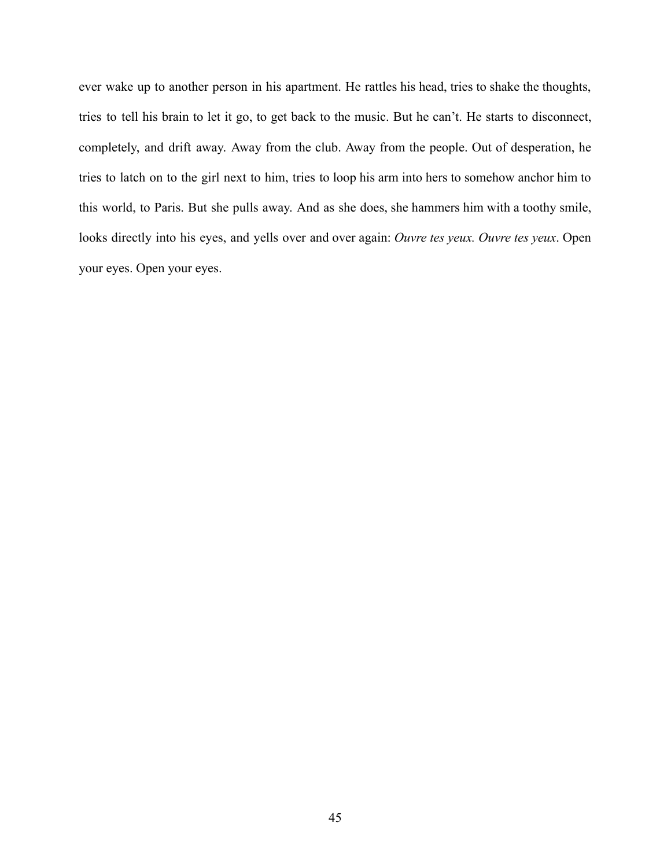ever wake up to another person in his apartment. He rattles his head, tries to shake the thoughts, tries to tell his brain to let it go, to get back to the music. But he can't. He starts to disconnect, completely, and drift away. Away from the club. Away from the people. Out of desperation, he tries to latch on to the girl next to him, tries to loop his arm into hers to somehow anchor him to this world, to Paris. But she pulls away. And as she does, she hammers him with a toothy smile, looks directly into his eyes, and yells over and over again: *Ouvre tes yeux. Ouvre tes yeux*. Open your eyes. Open your eyes.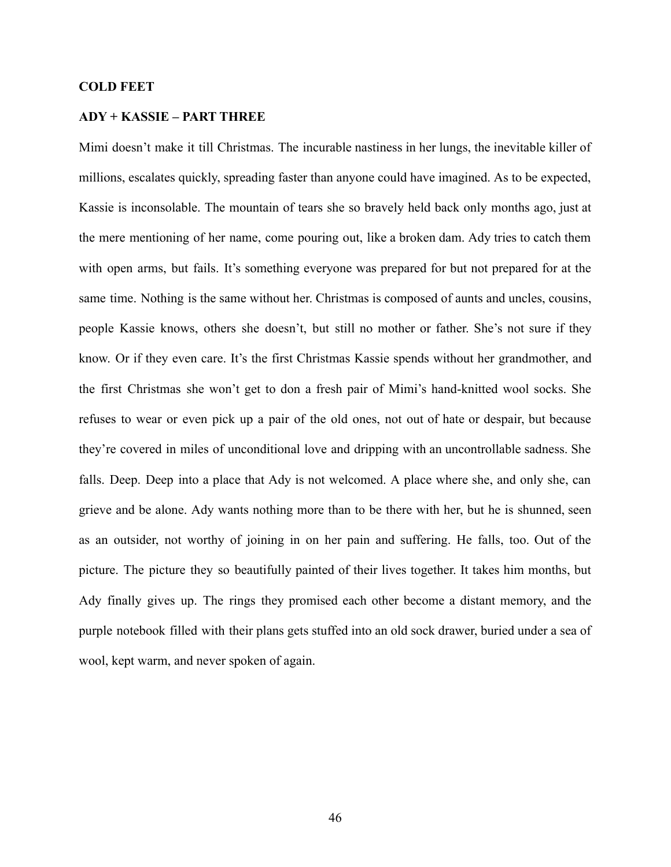## **COLD FEET**

# **ADY + KASSIE – PART THREE**

Mimi doesn't make it till Christmas. The incurable nastiness in her lungs, the inevitable killer of millions, escalates quickly, spreading faster than anyone could have imagined. As to be expected, Kassie is inconsolable. The mountain of tears she so bravely held back only months ago, just at the mere mentioning of her name, come pouring out, like a broken dam. Ady tries to catch them with open arms, but fails. It's something everyone was prepared for but not prepared for at the same time. Nothing is the same without her. Christmas is composed of aunts and uncles, cousins, people Kassie knows, others she doesn't, but still no mother or father. She's not sure if they know. Or if they even care. It's the first Christmas Kassie spends without her grandmother, and the first Christmas she won't get to don a fresh pair of Mimi's hand-knitted wool socks. She refuses to wear or even pick up a pair of the old ones, not out of hate or despair, but because they're covered in miles of unconditional love and dripping with an uncontrollable sadness. She falls. Deep. Deep into a place that Ady is not welcomed. A place where she, and only she, can grieve and be alone. Ady wants nothing more than to be there with her, but he is shunned, seen as an outsider, not worthy of joining in on her pain and suffering. He falls, too. Out of the picture. The picture they so beautifully painted of their lives together. It takes him months, but Ady finally gives up. The rings they promised each other become a distant memory, and the purple notebook filled with their plans gets stuffed into an old sock drawer, buried under a sea of wool, kept warm, and never spoken of again.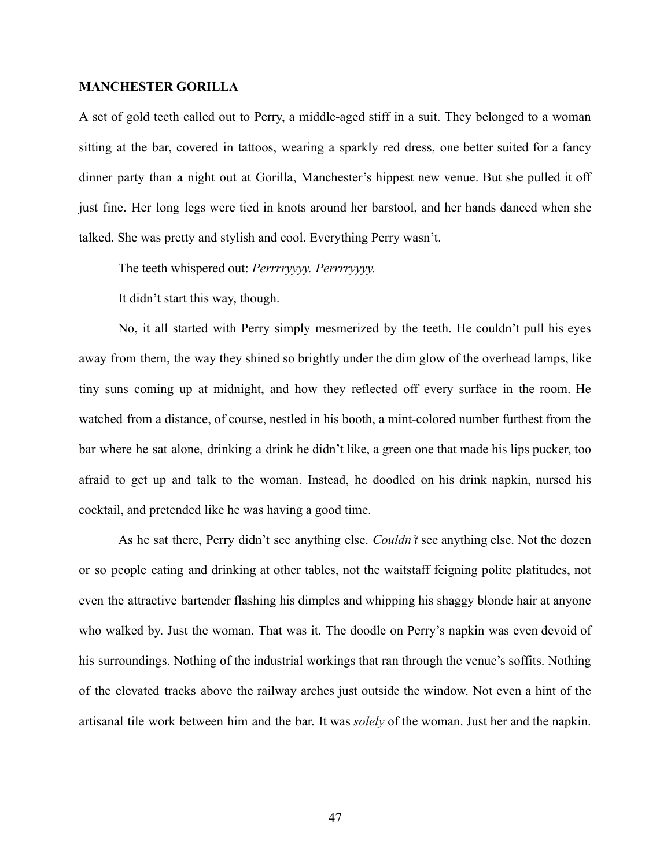## **MANCHESTER GORILLA**

A set of gold teeth called out to Perry, a middle-aged stiff in a suit. They belonged to a woman sitting at the bar, covered in tattoos, wearing a sparkly red dress, one better suited for a fancy dinner party than a night out at Gorilla, Manchester's hippest new venue. But she pulled it off just fine. Her long legs were tied in knots around her barstool, and her hands danced when she talked. She was pretty and stylish and cool. Everything Perry wasn't.

The teeth whispered out: *Perrrryyyy. Perrrryyyy.*

It didn't start this way, though.

No, it all started with Perry simply mesmerized by the teeth. He couldn't pull his eyes away from them, the way they shined so brightly under the dim glow of the overhead lamps, like tiny suns coming up at midnight, and how they reflected off every surface in the room. He watched from a distance, of course, nestled in his booth, a mint-colored number furthest from the bar where he sat alone, drinking a drink he didn't like, a green one that made his lips pucker, too afraid to get up and talk to the woman. Instead, he doodled on his drink napkin, nursed his cocktail, and pretended like he was having a good time.

As he sat there, Perry didn't see anything else. *Couldn't* see anything else. Not the dozen or so people eating and drinking at other tables, not the waitstaff feigning polite platitudes, not even the attractive bartender flashing his dimples and whipping his shaggy blonde hair at anyone who walked by. Just the woman. That was it. The doodle on Perry's napkin was even devoid of his surroundings. Nothing of the industrial workings that ran through the venue's soffits. Nothing of the elevated tracks above the railway arches just outside the window. Not even a hint of the artisanal tile work between him and the bar. It was *solely* of the woman. Just her and the napkin.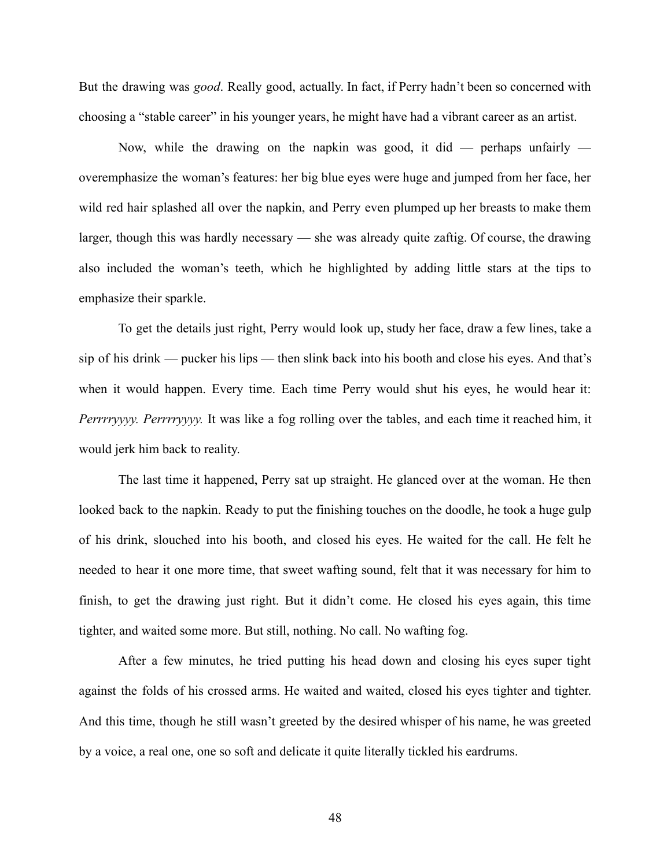But the drawing was *good*. Really good, actually. In fact, if Perry hadn't been so concerned with choosing a "stable career" in his younger years, he might have had a vibrant career as an artist.

Now, while the drawing on the napkin was good, it did — perhaps unfairly overemphasize the woman's features: her big blue eyes were huge and jumped from her face, her wild red hair splashed all over the napkin, and Perry even plumped up her breasts to make them larger, though this was hardly necessary — she was already quite zaftig. Of course, the drawing also included the woman's teeth, which he highlighted by adding little stars at the tips to emphasize their sparkle.

To get the details just right, Perry would look up, study her face, draw a few lines, take a sip of his drink — pucker his lips — then slink back into his booth and close his eyes. And that's when it would happen. Every time. Each time Perry would shut his eyes, he would hear it: *Perrrryyyy. Perrrryyyy.* It was like a fog rolling over the tables, and each time it reached him, it would jerk him back to reality.

The last time it happened, Perry sat up straight. He glanced over at the woman. He then looked back to the napkin. Ready to put the finishing touches on the doodle, he took a huge gulp of his drink, slouched into his booth, and closed his eyes. He waited for the call. He felt he needed to hear it one more time, that sweet wafting sound, felt that it was necessary for him to finish, to get the drawing just right. But it didn't come. He closed his eyes again, this time tighter, and waited some more. But still, nothing. No call. No wafting fog.

After a few minutes, he tried putting his head down and closing his eyes super tight against the folds of his crossed arms. He waited and waited, closed his eyes tighter and tighter. And this time, though he still wasn't greeted by the desired whisper of his name, he was greeted by a voice, a real one, one so soft and delicate it quite literally tickled his eardrums.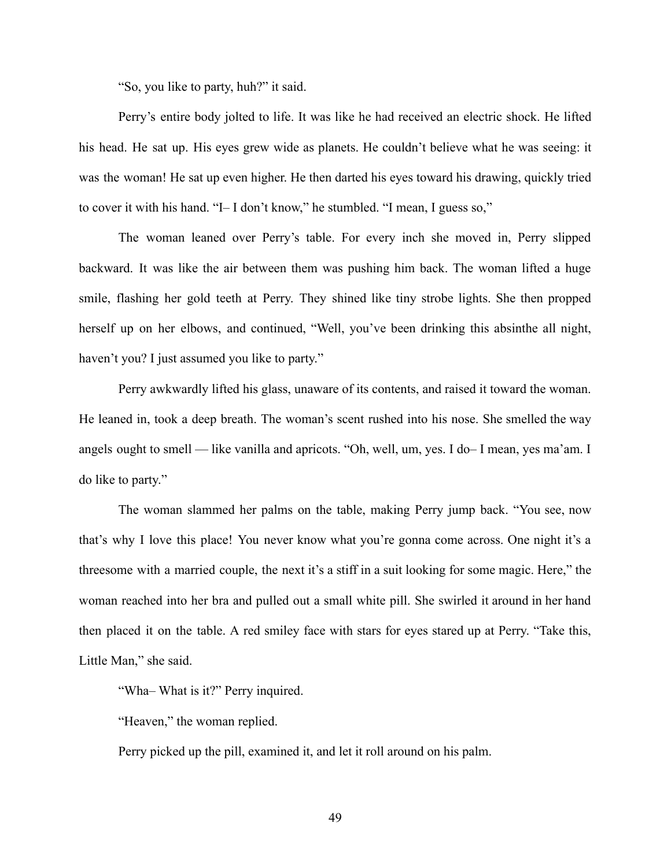"So, you like to party, huh?" it said.

Perry's entire body jolted to life. It was like he had received an electric shock. He lifted his head. He sat up. His eyes grew wide as planets. He couldn't believe what he was seeing: it was the woman! He sat up even higher. He then darted his eyes toward his drawing, quickly tried to cover it with his hand. "I– I don't know," he stumbled. "I mean, I guess so,"

The woman leaned over Perry's table. For every inch she moved in, Perry slipped backward. It was like the air between them was pushing him back. The woman lifted a huge smile, flashing her gold teeth at Perry. They shined like tiny strobe lights. She then propped herself up on her elbows, and continued, "Well, you've been drinking this absinthe all night, haven't you? I just assumed you like to party."

Perry awkwardly lifted his glass, unaware of its contents, and raised it toward the woman. He leaned in, took a deep breath. The woman's scent rushed into his nose. She smelled the way angels ought to smell — like vanilla and apricots. "Oh, well, um, yes. I do– I mean, yes ma'am. I do like to party."

The woman slammed her palms on the table, making Perry jump back. "You see, now that's why I love this place! You never know what you're gonna come across. One night it's a threesome with a married couple, the next it's a stiff in a suit looking for some magic. Here," the woman reached into her bra and pulled out a small white pill. She swirled it around in her hand then placed it on the table. A red smiley face with stars for eyes stared up at Perry. "Take this, Little Man," she said.

"Wha– What is it?" Perry inquired.

"Heaven," the woman replied.

Perry picked up the pill, examined it, and let it roll around on his palm.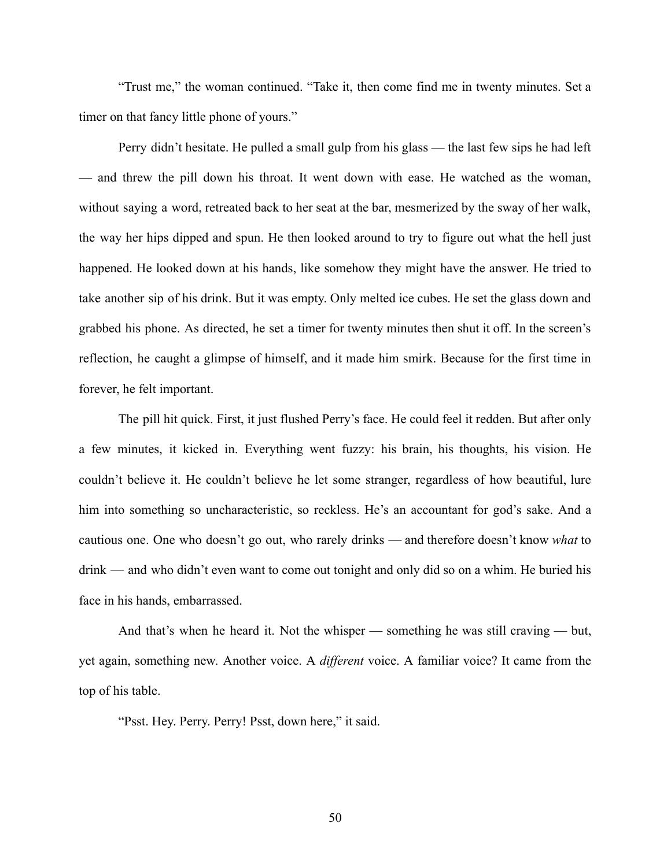"Trust me," the woman continued. "Take it, then come find me in twenty minutes. Set a timer on that fancy little phone of yours."

Perry didn't hesitate. He pulled a small gulp from his glass — the last few sips he had left — and threw the pill down his throat. It went down with ease. He watched as the woman, without saying a word, retreated back to her seat at the bar, mesmerized by the sway of her walk, the way her hips dipped and spun. He then looked around to try to figure out what the hell just happened. He looked down at his hands, like somehow they might have the answer. He tried to take another sip of his drink. But it was empty. Only melted ice cubes. He set the glass down and grabbed his phone. As directed, he set a timer for twenty minutes then shut it off. In the screen's reflection, he caught a glimpse of himself, and it made him smirk. Because for the first time in forever, he felt important.

The pill hit quick. First, it just flushed Perry's face. He could feel it redden. But after only a few minutes, it kicked in. Everything went fuzzy: his brain, his thoughts, his vision. He couldn't believe it. He couldn't believe he let some stranger, regardless of how beautiful, lure him into something so uncharacteristic, so reckless. He's an accountant for god's sake. And a cautious one. One who doesn't go out, who rarely drinks — and therefore doesn't know *what* to drink — and who didn't even want to come out tonight and only did so on a whim. He buried his face in his hands, embarrassed.

And that's when he heard it. Not the whisper — something he was still craving — but, yet again, something new*.* Another voice. A *different* voice. A familiar voice? It came from the top of his table.

"Psst. Hey. Perry. Perry! Psst, down here," it said.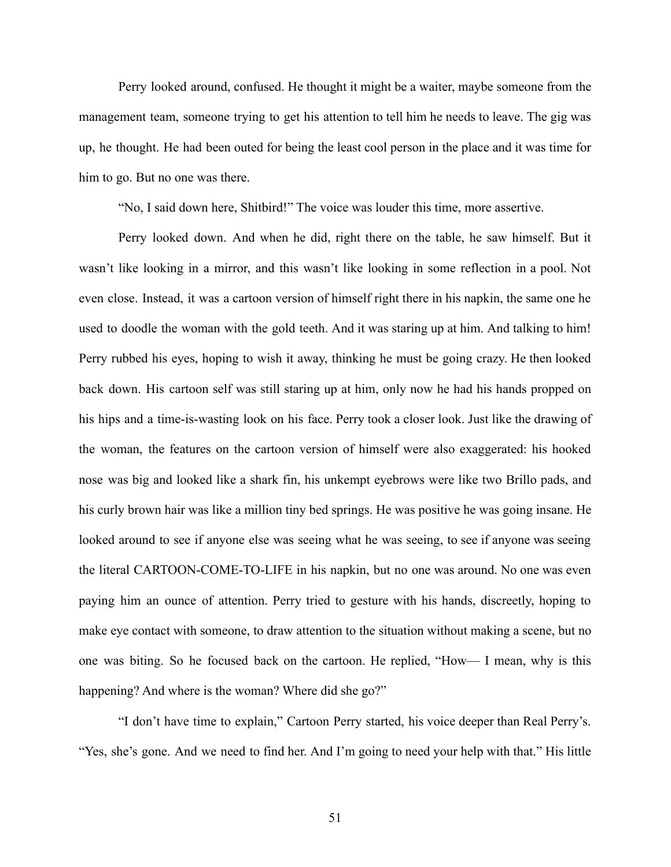Perry looked around, confused. He thought it might be a waiter, maybe someone from the management team, someone trying to get his attention to tell him he needs to leave. The gig was up, he thought. He had been outed for being the least cool person in the place and it was time for him to go. But no one was there.

"No, I said down here, Shitbird!" The voice was louder this time, more assertive.

Perry looked down. And when he did, right there on the table, he saw himself. But it wasn't like looking in a mirror, and this wasn't like looking in some reflection in a pool. Not even close. Instead, it was a cartoon version of himself right there in his napkin, the same one he used to doodle the woman with the gold teeth. And it was staring up at him. And talking to him! Perry rubbed his eyes, hoping to wish it away, thinking he must be going crazy. He then looked back down. His cartoon self was still staring up at him, only now he had his hands propped on his hips and a time-is-wasting look on his face. Perry took a closer look. Just like the drawing of the woman, the features on the cartoon version of himself were also exaggerated: his hooked nose was big and looked like a shark fin, his unkempt eyebrows were like two Brillo pads, and his curly brown hair was like a million tiny bed springs. He was positive he was going insane. He looked around to see if anyone else was seeing what he was seeing, to see if anyone was seeing the literal CARTOON-COME-TO-LIFE in his napkin, but no one was around. No one was even paying him an ounce of attention. Perry tried to gesture with his hands, discreetly, hoping to make eye contact with someone, to draw attention to the situation without making a scene, but no one was biting. So he focused back on the cartoon. He replied, "How— I mean, why is this happening? And where is the woman? Where did she go?"

"I don't have time to explain," Cartoon Perry started, his voice deeper than Real Perry's. "Yes, she's gone. And we need to find her. And I'm going to need your help with that." His little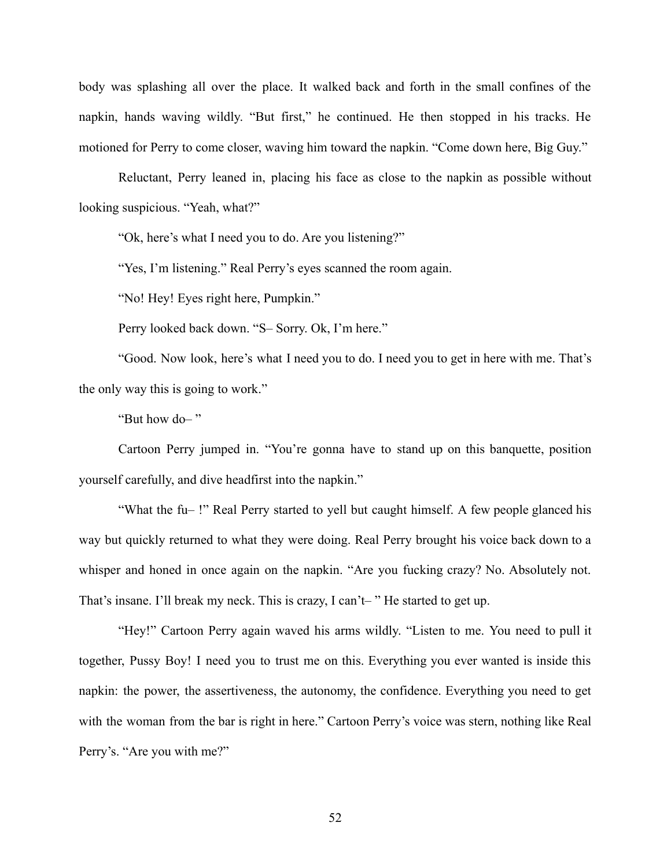body was splashing all over the place. It walked back and forth in the small confines of the napkin, hands waving wildly. "But first," he continued. He then stopped in his tracks. He motioned for Perry to come closer, waving him toward the napkin. "Come down here, Big Guy."

Reluctant, Perry leaned in, placing his face as close to the napkin as possible without looking suspicious. "Yeah, what?"

"Ok, here's what I need you to do. Are you listening?"

"Yes, I'm listening." Real Perry's eyes scanned the room again.

"No! Hey! Eyes right here, Pumpkin."

Perry looked back down. "S– Sorry. Ok, I'm here."

"Good. Now look, here's what I need you to do. I need you to get in here with me. That's the only way this is going to work."

"But how do– "

Cartoon Perry jumped in. "You're gonna have to stand up on this banquette, position yourself carefully, and dive headfirst into the napkin."

"What the fu– !" Real Perry started to yell but caught himself. A few people glanced his way but quickly returned to what they were doing. Real Perry brought his voice back down to a whisper and honed in once again on the napkin. "Are you fucking crazy? No. Absolutely not. That's insane. I'll break my neck. This is crazy, I can't– " He started to get up.

"Hey!" Cartoon Perry again waved his arms wildly. "Listen to me. You need to pull it together, Pussy Boy! I need you to trust me on this. Everything you ever wanted is inside this napkin: the power, the assertiveness, the autonomy, the confidence. Everything you need to get with the woman from the bar is right in here." Cartoon Perry's voice was stern, nothing like Real Perry's. "Are you with me?"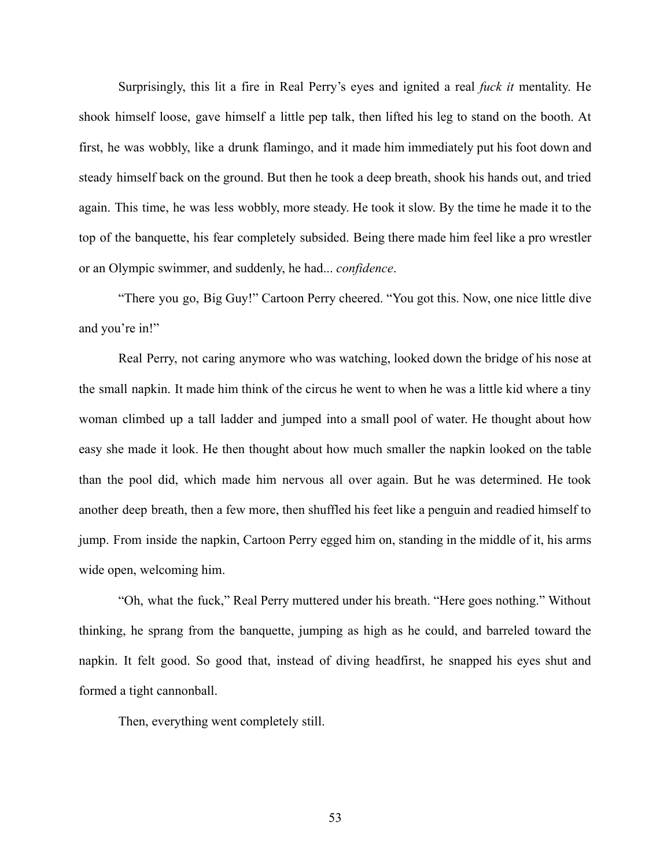Surprisingly, this lit a fire in Real Perry's eyes and ignited a real *fuck it* mentality. He shook himself loose, gave himself a little pep talk, then lifted his leg to stand on the booth. At first, he was wobbly, like a drunk flamingo, and it made him immediately put his foot down and steady himself back on the ground. But then he took a deep breath, shook his hands out, and tried again. This time, he was less wobbly, more steady. He took it slow. By the time he made it to the top of the banquette, his fear completely subsided. Being there made him feel like a pro wrestler or an Olympic swimmer, and suddenly, he had... *confidence*.

"There you go, Big Guy!" Cartoon Perry cheered. "You got this. Now, one nice little dive and you're in!"

Real Perry, not caring anymore who was watching, looked down the bridge of his nose at the small napkin. It made him think of the circus he went to when he was a little kid where a tiny woman climbed up a tall ladder and jumped into a small pool of water. He thought about how easy she made it look. He then thought about how much smaller the napkin looked on the table than the pool did, which made him nervous all over again. But he was determined. He took another deep breath, then a few more, then shuffled his feet like a penguin and readied himself to jump. From inside the napkin, Cartoon Perry egged him on, standing in the middle of it, his arms wide open, welcoming him.

"Oh, what the fuck," Real Perry muttered under his breath. "Here goes nothing." Without thinking, he sprang from the banquette, jumping as high as he could, and barreled toward the napkin. It felt good. So good that, instead of diving headfirst, he snapped his eyes shut and formed a tight cannonball.

Then, everything went completely still.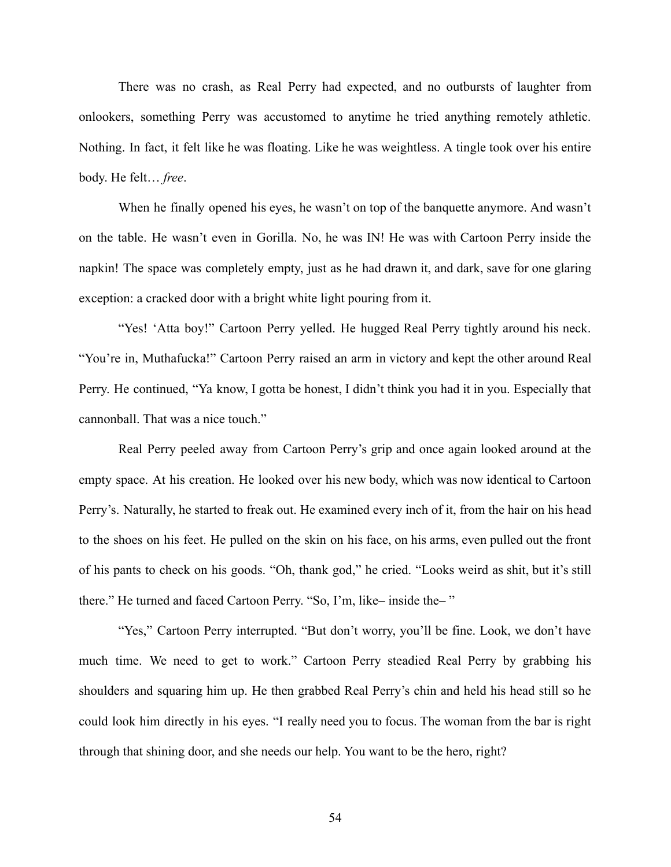There was no crash, as Real Perry had expected, and no outbursts of laughter from onlookers, something Perry was accustomed to anytime he tried anything remotely athletic. Nothing. In fact, it felt like he was floating. Like he was weightless. A tingle took over his entire body. He felt… *free*.

When he finally opened his eyes, he wasn't on top of the banquette anymore. And wasn't on the table. He wasn't even in Gorilla. No, he was IN! He was with Cartoon Perry inside the napkin! The space was completely empty, just as he had drawn it, and dark, save for one glaring exception: a cracked door with a bright white light pouring from it.

"Yes! 'Atta boy!" Cartoon Perry yelled. He hugged Real Perry tightly around his neck. "You're in, Muthafucka!" Cartoon Perry raised an arm in victory and kept the other around Real Perry. He continued, "Ya know, I gotta be honest, I didn't think you had it in you. Especially that cannonball. That was a nice touch."

Real Perry peeled away from Cartoon Perry's grip and once again looked around at the empty space. At his creation. He looked over his new body, which was now identical to Cartoon Perry's. Naturally, he started to freak out. He examined every inch of it, from the hair on his head to the shoes on his feet. He pulled on the skin on his face, on his arms, even pulled out the front of his pants to check on his goods. "Oh, thank god," he cried. "Looks weird as shit, but it's still there." He turned and faced Cartoon Perry. "So, I'm, like– inside the– "

"Yes," Cartoon Perry interrupted. "But don't worry, you'll be fine. Look, we don't have much time. We need to get to work." Cartoon Perry steadied Real Perry by grabbing his shoulders and squaring him up. He then grabbed Real Perry's chin and held his head still so he could look him directly in his eyes. "I really need you to focus. The woman from the bar is right through that shining door, and she needs our help. You want to be the hero, right?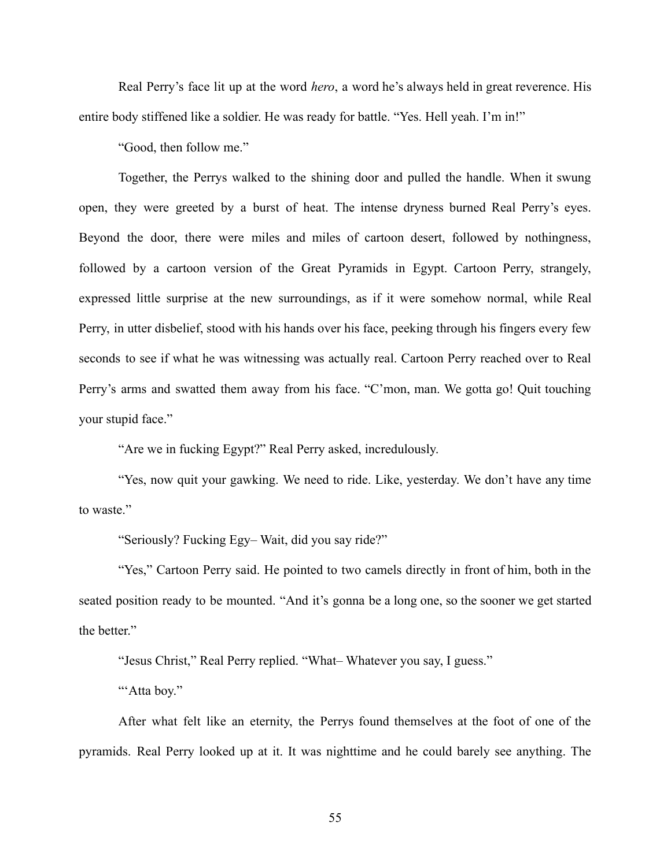Real Perry's face lit up at the word *hero*, a word he's always held in great reverence. His entire body stiffened like a soldier. He was ready for battle. "Yes. Hell yeah. I'm in!"

"Good, then follow me."

Together, the Perrys walked to the shining door and pulled the handle. When it swung open, they were greeted by a burst of heat. The intense dryness burned Real Perry's eyes. Beyond the door, there were miles and miles of cartoon desert, followed by nothingness, followed by a cartoon version of the Great Pyramids in Egypt. Cartoon Perry, strangely, expressed little surprise at the new surroundings, as if it were somehow normal, while Real Perry, in utter disbelief, stood with his hands over his face, peeking through his fingers every few seconds to see if what he was witnessing was actually real. Cartoon Perry reached over to Real Perry's arms and swatted them away from his face. "C'mon, man. We gotta go! Quit touching your stupid face."

"Are we in fucking Egypt?" Real Perry asked, incredulously.

"Yes, now quit your gawking. We need to ride. Like, yesterday. We don't have any time to waste."

"Seriously? Fucking Egy– Wait, did you say ride?"

"Yes," Cartoon Perry said. He pointed to two camels directly in front of him, both in the seated position ready to be mounted. "And it's gonna be a long one, so the sooner we get started the better."

"Jesus Christ," Real Perry replied. "What– Whatever you say, I guess."

"Atta boy."

After what felt like an eternity, the Perrys found themselves at the foot of one of the pyramids. Real Perry looked up at it. It was nighttime and he could barely see anything. The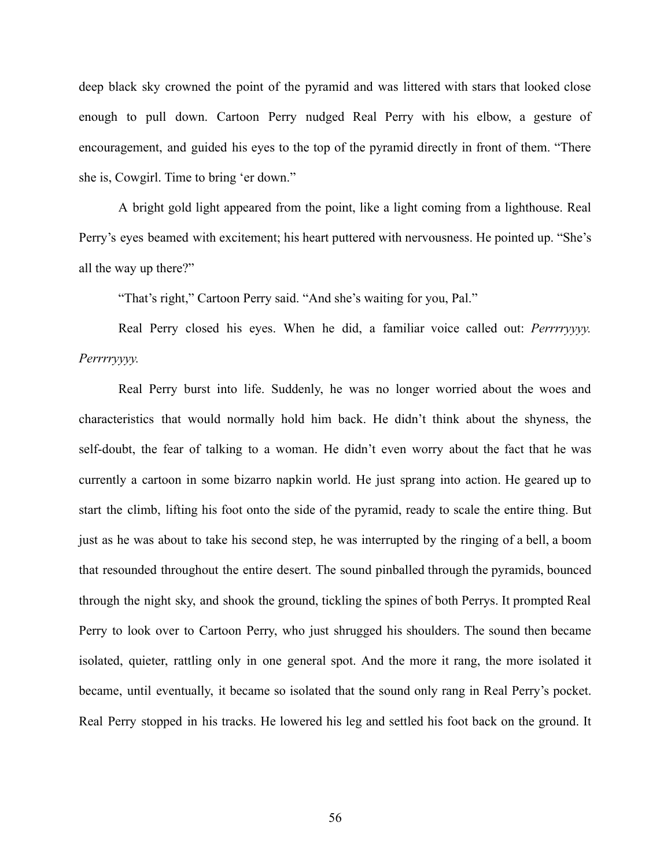deep black sky crowned the point of the pyramid and was littered with stars that looked close enough to pull down. Cartoon Perry nudged Real Perry with his elbow, a gesture of encouragement, and guided his eyes to the top of the pyramid directly in front of them. "There she is, Cowgirl. Time to bring 'er down."

A bright gold light appeared from the point, like a light coming from a lighthouse. Real Perry's eyes beamed with excitement; his heart puttered with nervousness. He pointed up. "She's all the way up there?"

"That's right," Cartoon Perry said. "And she's waiting for you, Pal."

Real Perry closed his eyes. When he did, a familiar voice called out: *Perrrryyyy. Perrrryyyy.*

Real Perry burst into life. Suddenly, he was no longer worried about the woes and characteristics that would normally hold him back. He didn't think about the shyness, the self-doubt, the fear of talking to a woman. He didn't even worry about the fact that he was currently a cartoon in some bizarro napkin world. He just sprang into action. He geared up to start the climb, lifting his foot onto the side of the pyramid, ready to scale the entire thing. But just as he was about to take his second step, he was interrupted by the ringing of a bell, a boom that resounded throughout the entire desert. The sound pinballed through the pyramids, bounced through the night sky, and shook the ground, tickling the spines of both Perrys. It prompted Real Perry to look over to Cartoon Perry, who just shrugged his shoulders. The sound then became isolated, quieter, rattling only in one general spot. And the more it rang, the more isolated it became, until eventually, it became so isolated that the sound only rang in Real Perry's pocket. Real Perry stopped in his tracks. He lowered his leg and settled his foot back on the ground. It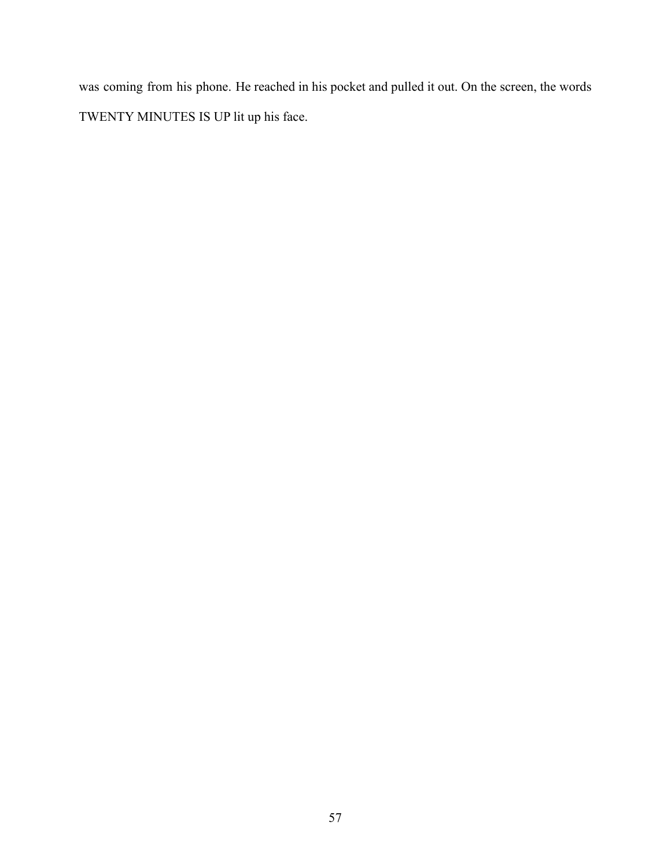was coming from his phone. He reached in his pocket and pulled it out. On the screen, the words TWENTY MINUTES IS UP lit up his face.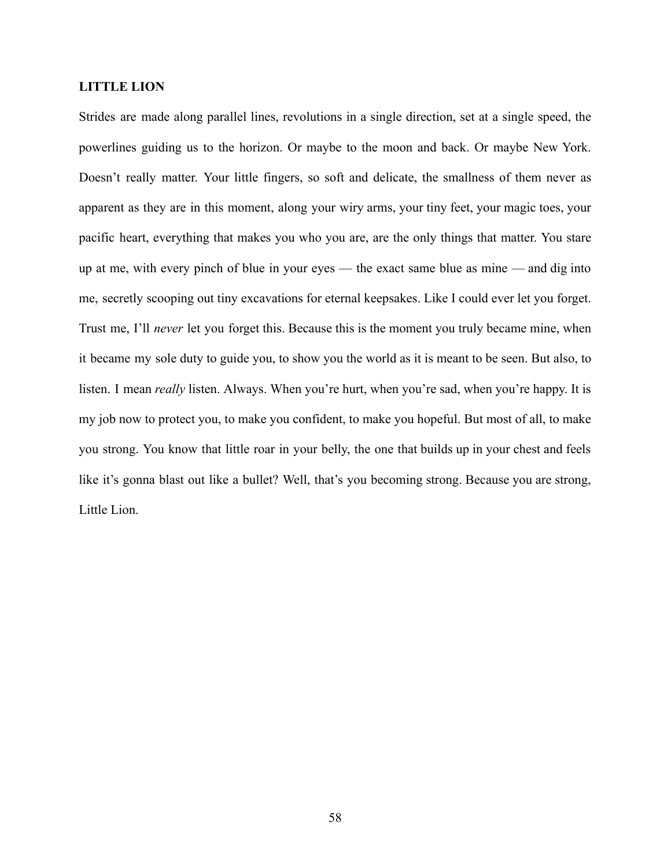### **LITTLE LION**

Strides are made along parallel lines, revolutions in a single direction, set at a single speed, the powerlines guiding us to the horizon. Or maybe to the moon and back. Or maybe New York. Doesn't really matter. Your little fingers, so soft and delicate, the smallness of them never as apparent as they are in this moment, along your wiry arms, your tiny feet, your magic toes, your pacific heart, everything that makes you who you are, are the only things that matter. You stare up at me, with every pinch of blue in your eyes — the exact same blue as mine — and dig into me, secretly scooping out tiny excavations for eternal keepsakes. Like I could ever let you forget. Trust me, I'll *never* let you forget this. Because this is the moment you truly became mine, when it became my sole duty to guide you, to show you the world as it is meant to be seen. But also, to listen. I mean *really* listen. Always. When you're hurt, when you're sad, when you're happy. It is my job now to protect you, to make you confident, to make you hopeful. But most of all, to make you strong. You know that little roar in your belly, the one that builds up in your chest and feels like it's gonna blast out like a bullet? Well, that's you becoming strong. Because you are strong, Little Lion.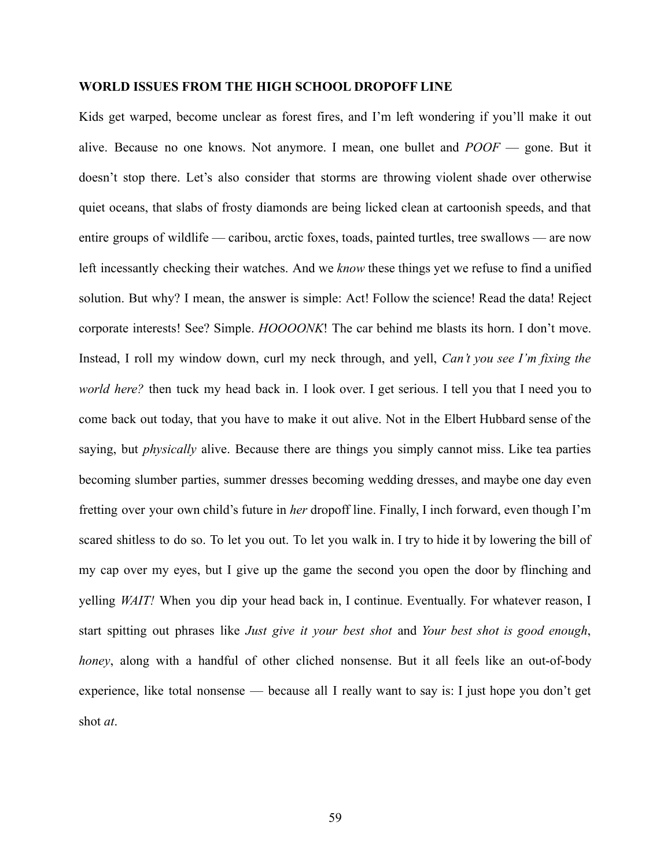#### **WORLD ISSUES FROM THE HIGH SCHOOL DROPOFF LINE**

Kids get warped, become unclear as forest fires, and I'm left wondering if you'll make it out alive. Because no one knows. Not anymore. I mean, one bullet and *POOF* — gone. But it doesn't stop there. Let's also consider that storms are throwing violent shade over otherwise quiet oceans, that slabs of frosty diamonds are being licked clean at cartoonish speeds, and that entire groups of wildlife — caribou, arctic foxes, toads, painted turtles, tree swallows — are now left incessantly checking their watches. And we *know* these things yet we refuse to find a unified solution. But why? I mean, the answer is simple: Act! Follow the science! Read the data! Reject corporate interests! See? Simple. *HOOOONK*! The car behind me blasts its horn. I don't move. Instead, I roll my window down, curl my neck through, and yell, *Can't you see I'm fixing the world here?* then tuck my head back in. I look over. I get serious. I tell you that I need you to come back out today, that you have to make it out alive. Not in the Elbert Hubbard sense of the saying, but *physically* alive. Because there are things you simply cannot miss. Like tea parties becoming slumber parties, summer dresses becoming wedding dresses, and maybe one day even fretting over your own child's future in *her* dropoff line. Finally, I inch forward, even though I'm scared shitless to do so. To let you out. To let you walk in. I try to hide it by lowering the bill of my cap over my eyes, but I give up the game the second you open the door by flinching and yelling *WAIT!* When you dip your head back in, I continue. Eventually. For whatever reason, I start spitting out phrases like *Just give it your best shot* and *Your best shot is good enough*, *honey*, along with a handful of other cliched nonsense. But it all feels like an out-of-body experience, like total nonsense — because all I really want to say is: I just hope you don't get shot *at*.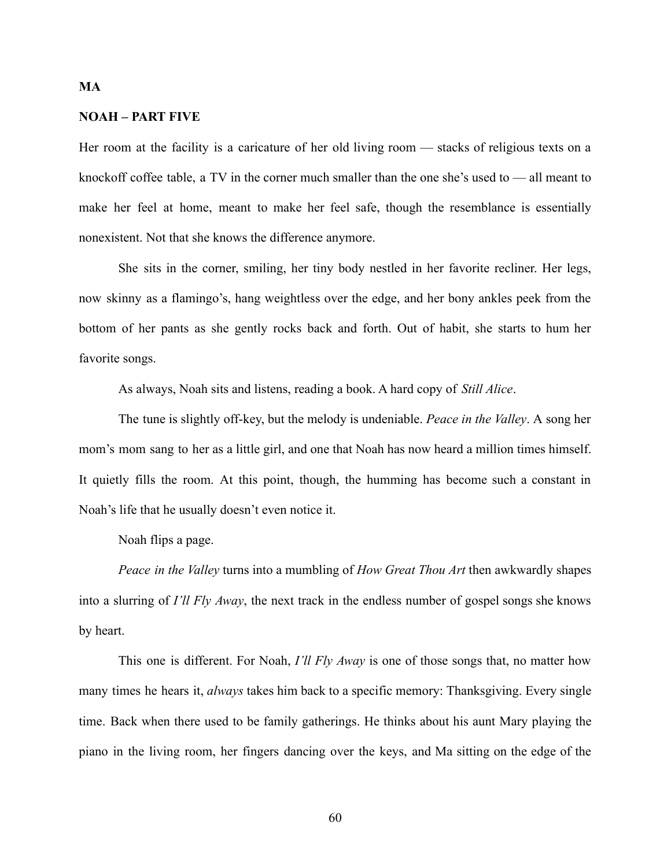#### **NOAH – PART FIVE**

**MA**

Her room at the facility is a caricature of her old living room — stacks of religious texts on a knockoff coffee table, a TV in the corner much smaller than the one she's used to — all meant to make her feel at home, meant to make her feel safe, though the resemblance is essentially nonexistent. Not that she knows the difference anymore.

She sits in the corner, smiling, her tiny body nestled in her favorite recliner. Her legs, now skinny as a flamingo's, hang weightless over the edge, and her bony ankles peek from the bottom of her pants as she gently rocks back and forth. Out of habit, she starts to hum her favorite songs.

As always, Noah sits and listens, reading a book. A hard copy of *Still Alice*.

The tune is slightly off-key, but the melody is undeniable. *Peace in the Valley*. A song her mom's mom sang to her as a little girl, and one that Noah has now heard a million times himself. It quietly fills the room. At this point, though, the humming has become such a constant in Noah's life that he usually doesn't even notice it.

Noah flips a page.

*Peace in the Valley* turns into a mumbling of *How Great Thou Art* then awkwardly shapes into a slurring of *I'll Fly Away*, the next track in the endless number of gospel songs she knows by heart.

This one is different. For Noah, *I'll Fly Away* is one of those songs that, no matter how many times he hears it, *always* takes him back to a specific memory: Thanksgiving. Every single time. Back when there used to be family gatherings. He thinks about his aunt Mary playing the piano in the living room, her fingers dancing over the keys, and Ma sitting on the edge of the

60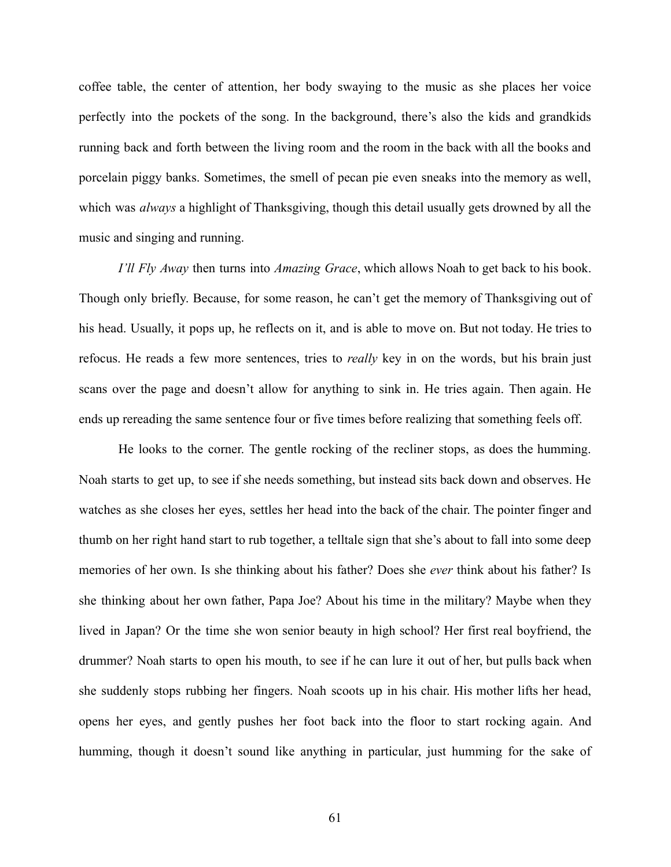coffee table, the center of attention, her body swaying to the music as she places her voice perfectly into the pockets of the song. In the background, there's also the kids and grandkids running back and forth between the living room and the room in the back with all the books and porcelain piggy banks. Sometimes, the smell of pecan pie even sneaks into the memory as well, which was *always* a highlight of Thanksgiving, though this detail usually gets drowned by all the music and singing and running.

*I'll Fly Away* then turns into *Amazing Grace*, which allows Noah to get back to his book. Though only briefly. Because, for some reason, he can't get the memory of Thanksgiving out of his head. Usually, it pops up, he reflects on it, and is able to move on. But not today. He tries to refocus. He reads a few more sentences, tries to *really* key in on the words, but his brain just scans over the page and doesn't allow for anything to sink in. He tries again. Then again. He ends up rereading the same sentence four or five times before realizing that something feels off.

He looks to the corner. The gentle rocking of the recliner stops, as does the humming. Noah starts to get up, to see if she needs something, but instead sits back down and observes. He watches as she closes her eyes, settles her head into the back of the chair. The pointer finger and thumb on her right hand start to rub together, a telltale sign that she's about to fall into some deep memories of her own. Is she thinking about his father? Does she *ever* think about his father? Is she thinking about her own father, Papa Joe? About his time in the military? Maybe when they lived in Japan? Or the time she won senior beauty in high school? Her first real boyfriend, the drummer? Noah starts to open his mouth, to see if he can lure it out of her, but pulls back when she suddenly stops rubbing her fingers. Noah scoots up in his chair. His mother lifts her head, opens her eyes, and gently pushes her foot back into the floor to start rocking again. And humming, though it doesn't sound like anything in particular, just humming for the sake of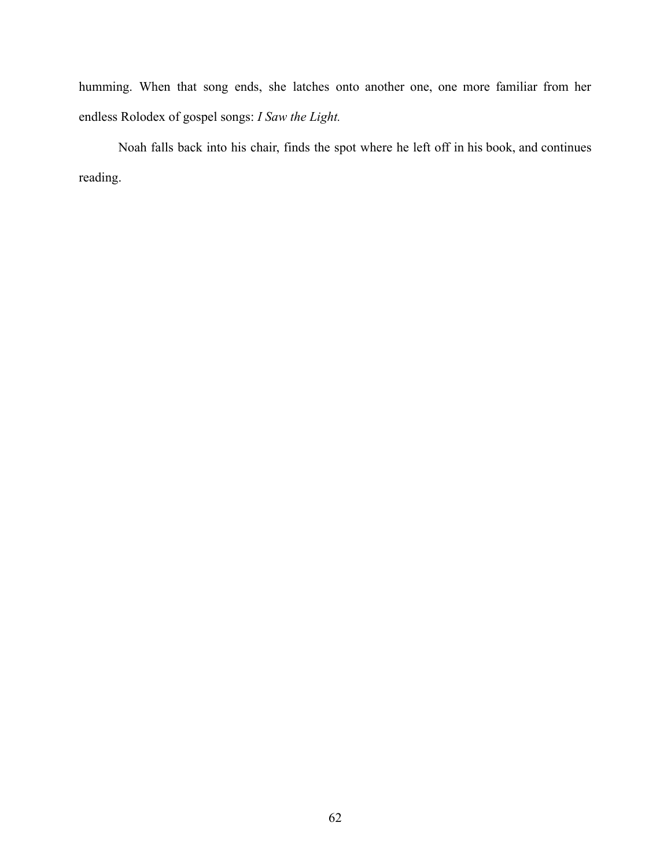humming. When that song ends, she latches onto another one, one more familiar from her endless Rolodex of gospel songs: *I Saw the Light.*

Noah falls back into his chair, finds the spot where he left off in his book, and continues reading.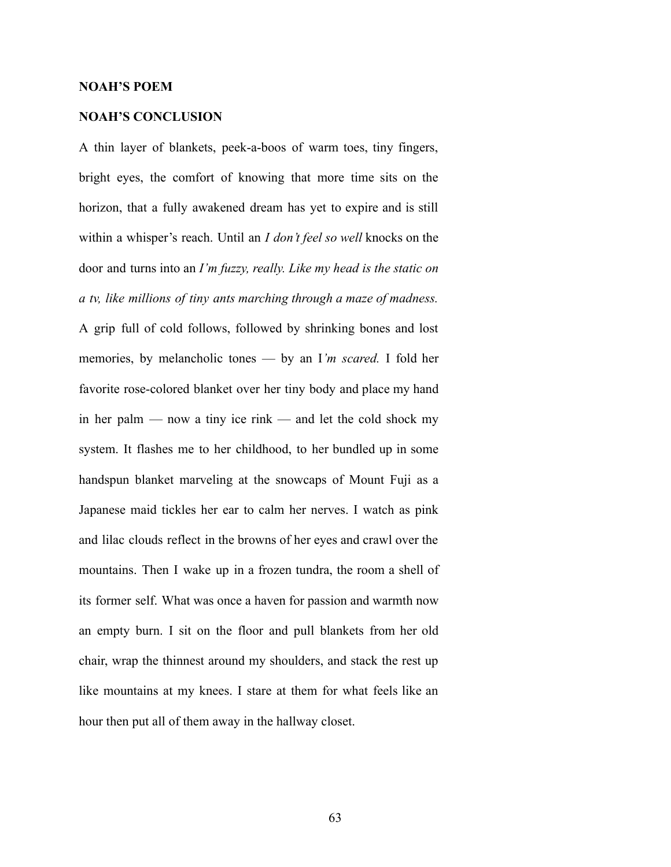#### **NOAH'S POEM**

### **NOAH'S CONCLUSION**

A thin layer of blankets, peek-a-boos of warm toes, tiny fingers, bright eyes, the comfort of knowing that more time sits on the horizon, that a fully awakened dream has yet to expire and is still within a whisper's reach. Until an *I don't feel so well* knocks on the door and turns into an *I'm fuzzy, really. Like my head is the static on a tv, like millions of tiny ants marching through a maze of madness.* A grip full of cold follows, followed by shrinking bones and lost memories, by melancholic tones — by an I*'m scared.* I fold her favorite rose-colored blanket over her tiny body and place my hand in her palm — now a tiny ice rink — and let the cold shock my system. It flashes me to her childhood, to her bundled up in some handspun blanket marveling at the snowcaps of Mount Fuji as a Japanese maid tickles her ear to calm her nerves. I watch as pink and lilac clouds reflect in the browns of her eyes and crawl over the mountains. Then I wake up in a frozen tundra, the room a shell of its former self. What was once a haven for passion and warmth now an empty burn. I sit on the floor and pull blankets from her old chair, wrap the thinnest around my shoulders, and stack the rest up like mountains at my knees. I stare at them for what feels like an hour then put all of them away in the hallway closet.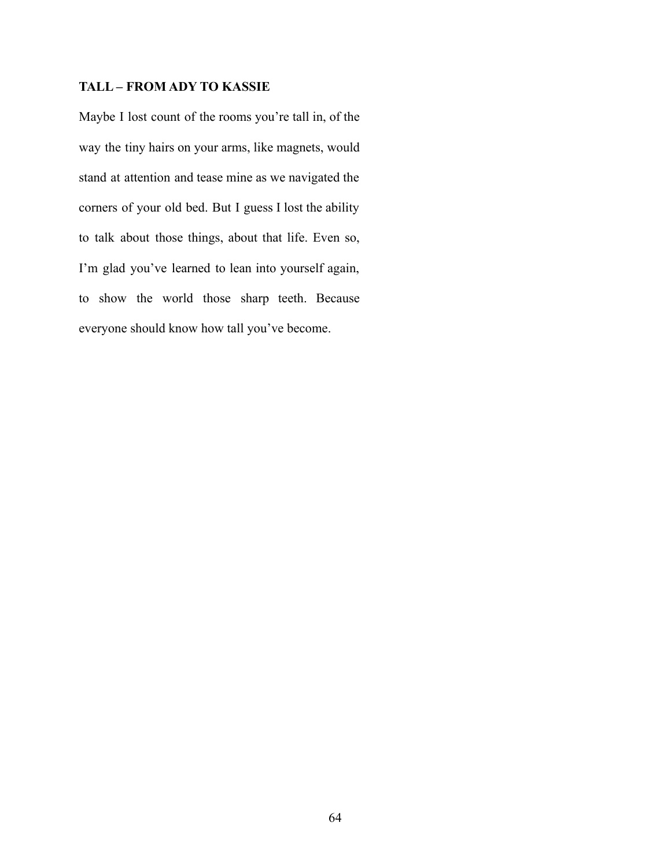# **TALL – FROM ADY TO KASSIE**

Maybe I lost count of the rooms you're tall in, of the way the tiny hairs on your arms, like magnets, would stand at attention and tease mine as we navigated the corners of your old bed. But I guess I lost the ability to talk about those things, about that life. Even so, I'm glad you've learned to lean into yourself again, to show the world those sharp teeth. Because everyone should know how tall you've become.